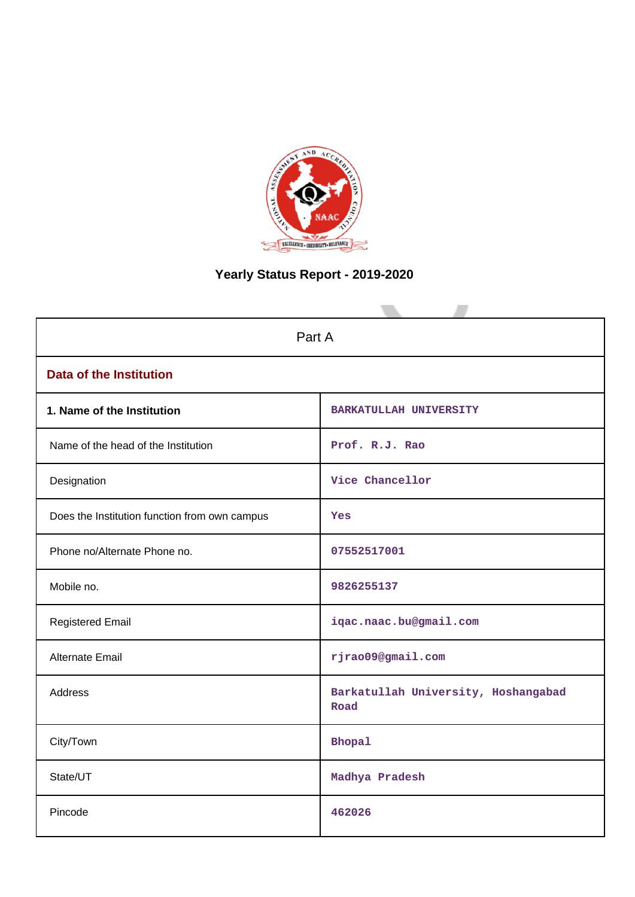

# **Yearly Status Report - 2019-2020**

| Part A                                        |                                             |  |  |  |  |  |
|-----------------------------------------------|---------------------------------------------|--|--|--|--|--|
| <b>Data of the Institution</b>                |                                             |  |  |  |  |  |
| 1. Name of the Institution                    | <b>BARKATULLAH UNIVERSITY</b>               |  |  |  |  |  |
| Name of the head of the Institution           | Prof. R.J. Rao                              |  |  |  |  |  |
| Designation                                   | Vice Chancellor                             |  |  |  |  |  |
| Does the Institution function from own campus | Yes                                         |  |  |  |  |  |
| Phone no/Alternate Phone no.                  | 07552517001                                 |  |  |  |  |  |
| Mobile no.                                    | 9826255137                                  |  |  |  |  |  |
| <b>Registered Email</b>                       | iqac.naac.bu@gmail.com                      |  |  |  |  |  |
| <b>Alternate Email</b>                        | rjrao09@gmail.com                           |  |  |  |  |  |
| <b>Address</b>                                | Barkatullah University, Hoshangabad<br>Road |  |  |  |  |  |
| City/Town                                     | <b>Bhopal</b>                               |  |  |  |  |  |
| State/UT                                      | Madhya Pradesh                              |  |  |  |  |  |
| Pincode                                       | 462026                                      |  |  |  |  |  |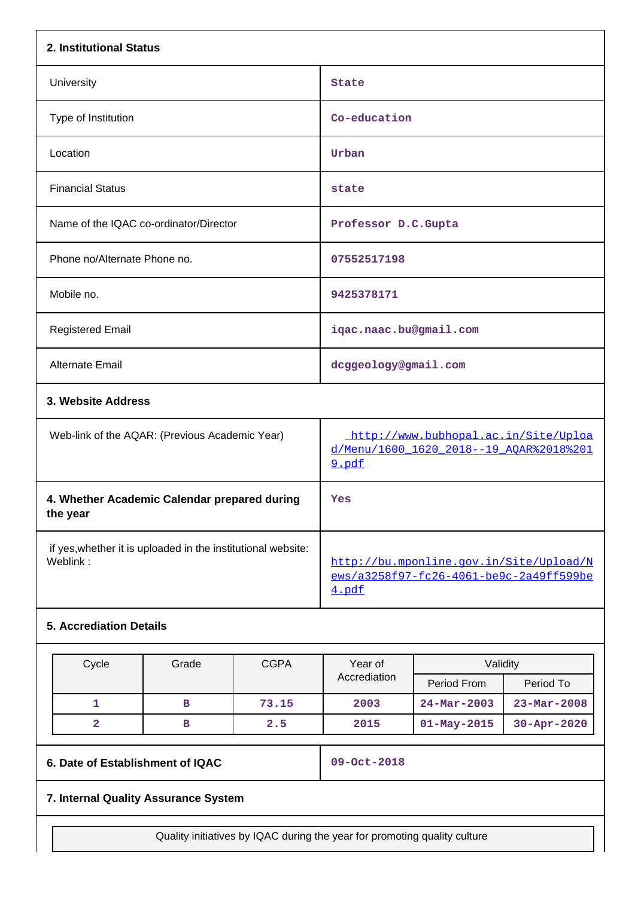| 2. Institutional Status                                                  |                                                                                             |
|--------------------------------------------------------------------------|---------------------------------------------------------------------------------------------|
| University                                                               | <b>State</b>                                                                                |
| Type of Institution                                                      | Co-education                                                                                |
| Location                                                                 | Urban                                                                                       |
| <b>Financial Status</b>                                                  | state                                                                                       |
| Name of the IQAC co-ordinator/Director                                   | Professor D.C.Gupta                                                                         |
| Phone no/Alternate Phone no.                                             | 07552517198                                                                                 |
| Mobile no.                                                               | 9425378171                                                                                  |
| <b>Registered Email</b>                                                  | iqac.naac.bu@gmail.com                                                                      |
| Alternate Email                                                          | dcggeology@gmail.com                                                                        |
| 3. Website Address                                                       |                                                                                             |
| Web-link of the AQAR: (Previous Academic Year)                           | http://www.bubhopal.ac.in/Site/Uploa<br>d/Menu/1600_1620_2018--19_AQAR%2018%201<br>9.pdf    |
| 4. Whether Academic Calendar prepared during<br>the year                 | Yes                                                                                         |
| if yes, whether it is uploaded in the institutional website:<br>Weblink: | http://bu.mponline.gov.in/Site/Upload/N<br>ews/a3258f97-fc26-4061-be9c-2a49ff599be<br>4.pdf |
| <b>5. Accrediation Details</b>                                           |                                                                                             |

| Cycle | Grade | <b>CGPA</b> | Year of      | Validity          |                          |
|-------|-------|-------------|--------------|-------------------|--------------------------|
|       |       |             | Accrediation | Period From       | Period To                |
|       | в     | 73.15       | 2003         | $24 - Mar - 2003$ | $23 - \text{Mar} - 2008$ |
|       | в     | 2.5         | 2015         | $01 - May - 2015$ |                          |

**6. Date of Establishment of IQAC 09-Oct-2018**

# **7. Internal Quality Assurance System**

Quality initiatives by IQAC during the year for promoting quality culture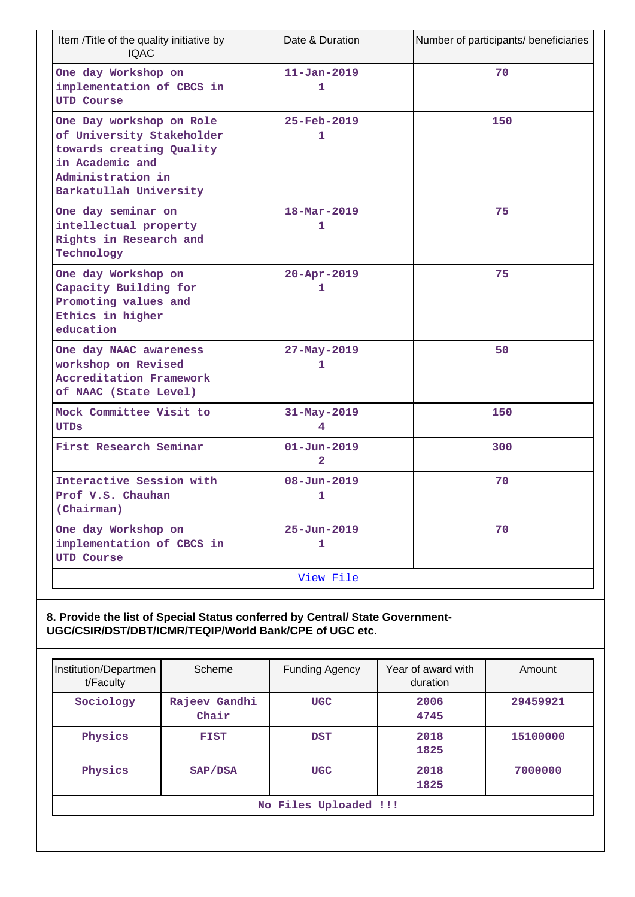| Item /Title of the quality initiative by<br><b>IQAC</b>                                                                                             | Date & Duration                              | Number of participants/ beneficiaries |
|-----------------------------------------------------------------------------------------------------------------------------------------------------|----------------------------------------------|---------------------------------------|
| One day Workshop on<br>implementation of CBCS in<br><b>UTD Course</b>                                                                               | $11 - Jan - 2019$<br>1                       | 70                                    |
| One Day workshop on Role<br>of University Stakeholder<br>towards creating Quality<br>in Academic and<br>Administration in<br>Barkatullah University | $25 - Feb - 2019$<br>1                       | 150                                   |
| One day seminar on<br>intellectual property<br>Rights in Research and<br>Technology                                                                 | $18 - \text{Mar} - 2019$<br>1                | 75                                    |
| One day Workshop on<br>Capacity Building for<br>Promoting values and<br>Ethics in higher<br>education                                               | $20 - Appr - 2019$<br>1                      | 75                                    |
| One day NAAC awareness<br>workshop on Revised<br><b>Accreditation Framework</b><br>of NAAC (State Level)                                            | 27-May-2019<br>1                             | 50                                    |
| Mock Committee Visit to<br>UTDS                                                                                                                     | $31 - May - 2019$<br>4                       | 150                                   |
| First Research Seminar                                                                                                                              | $01 - Jun - 2019$<br>$\overline{\mathbf{2}}$ | 300                                   |
| Interactive Session with<br>Prof V.S. Chauhan<br>(Chairman)                                                                                         | $08 - Jun - 2019$<br>1                       | 70                                    |
| One day Workshop on<br>implementation of CBCS in<br><b>UTD Course</b>                                                                               | $25 - Jun - 2019$<br>1                       | 70                                    |
|                                                                                                                                                     | View File                                    |                                       |

### **8. Provide the list of Special Status conferred by Central/ State Government-UGC/CSIR/DST/DBT/ICMR/TEQIP/World Bank/CPE of UGC etc.**

| Institution/Departmen<br>t/Faculty | Scheme                 | Funding Agency | Year of award with<br>duration | Amount   |  |  |
|------------------------------------|------------------------|----------------|--------------------------------|----------|--|--|
| Sociology                          | Rajeev Gandhi<br>Chair | <b>UGC</b>     | 2006<br>4745                   | 29459921 |  |  |
| Physics                            | <b>FIST</b>            | <b>DST</b>     |                                | 15100000 |  |  |
| Physics                            | SAP/DSA                |                | 2018<br><b>UGC</b><br>1825     |          |  |  |
| No Files Uploaded !!!              |                        |                |                                |          |  |  |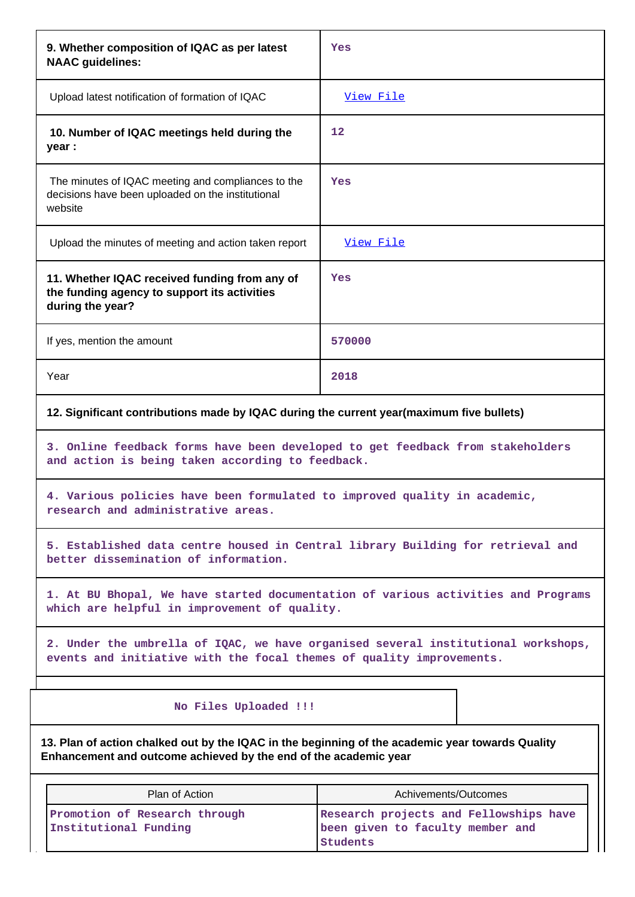| 9. Whether composition of IQAC as per latest<br><b>NAAC</b> guidelines:                                                                                              | Yes                                                                                                                                                       |  |  |  |  |  |
|----------------------------------------------------------------------------------------------------------------------------------------------------------------------|-----------------------------------------------------------------------------------------------------------------------------------------------------------|--|--|--|--|--|
| Upload latest notification of formation of IQAC                                                                                                                      | View File                                                                                                                                                 |  |  |  |  |  |
| 10. Number of IQAC meetings held during the<br>year :                                                                                                                | $12 \overline{ }$                                                                                                                                         |  |  |  |  |  |
| The minutes of IQAC meeting and compliances to the<br>decisions have been uploaded on the institutional<br>website                                                   | Yes                                                                                                                                                       |  |  |  |  |  |
| Upload the minutes of meeting and action taken report                                                                                                                | View File                                                                                                                                                 |  |  |  |  |  |
| 11. Whether IQAC received funding from any of<br>the funding agency to support its activities<br>during the year?                                                    | Yes                                                                                                                                                       |  |  |  |  |  |
| If yes, mention the amount                                                                                                                                           | 570000                                                                                                                                                    |  |  |  |  |  |
| Year                                                                                                                                                                 | 2018                                                                                                                                                      |  |  |  |  |  |
| 12. Significant contributions made by IQAC during the current year(maximum five bullets)                                                                             |                                                                                                                                                           |  |  |  |  |  |
|                                                                                                                                                                      | 3. Online feedback forms have been developed to get feedback from stakeholders<br>and action is being taken according to feedback.                        |  |  |  |  |  |
| 4. Various policies have been formulated to improved quality in academic,<br>research and administrative areas.                                                      |                                                                                                                                                           |  |  |  |  |  |
| 5. Established data centre housed in Central library Building for retrieval and<br>better dissemination of information.                                              |                                                                                                                                                           |  |  |  |  |  |
| which are helpful in improvement of quality.                                                                                                                         | 1. At BU Bhopal, We have started documentation of various activities and Programs                                                                         |  |  |  |  |  |
|                                                                                                                                                                      | 2. Under the umbrella of IQAC, we have organised several institutional workshops,<br>events and initiative with the focal themes of quality improvements. |  |  |  |  |  |
| No Files Uploaded !!!                                                                                                                                                |                                                                                                                                                           |  |  |  |  |  |
| 13. Plan of action chalked out by the IQAC in the beginning of the academic year towards Quality<br>Enhancement and outcome achieved by the end of the academic year |                                                                                                                                                           |  |  |  |  |  |
| Plan of Action                                                                                                                                                       | Achivements/Outcomes                                                                                                                                      |  |  |  |  |  |
| Promotion of Research through<br>Research projects and Fellowships have<br>Institutional Funding<br>been given to faculty member and<br><b>Students</b>              |                                                                                                                                                           |  |  |  |  |  |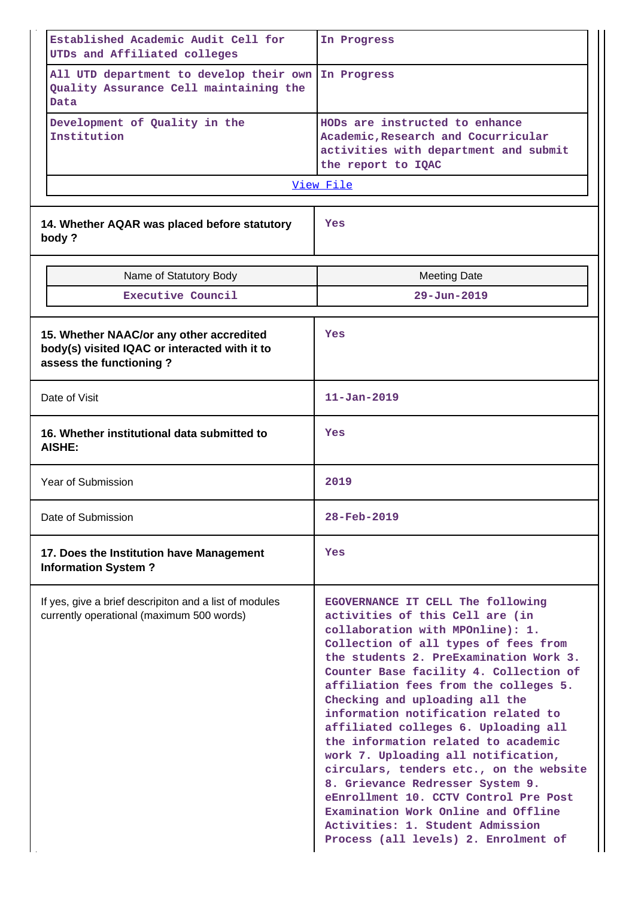| Established Academic Audit Cell for<br>UTDs and Affiliated colleges                                                  | In Progress                                                                                                                                                                                                                                                                                                                                                                                                                                                                                                                                                                                                                                                                                                             |  |  |  |  |
|----------------------------------------------------------------------------------------------------------------------|-------------------------------------------------------------------------------------------------------------------------------------------------------------------------------------------------------------------------------------------------------------------------------------------------------------------------------------------------------------------------------------------------------------------------------------------------------------------------------------------------------------------------------------------------------------------------------------------------------------------------------------------------------------------------------------------------------------------------|--|--|--|--|
| All UTD department to develop their own<br>Quality Assurance Cell maintaining the<br>Data                            | In Progress                                                                                                                                                                                                                                                                                                                                                                                                                                                                                                                                                                                                                                                                                                             |  |  |  |  |
| Development of Quality in the<br>Institution                                                                         | HODs are instructed to enhance<br>Academic, Research and Cocurricular<br>activities with department and submit<br>the report to IQAC                                                                                                                                                                                                                                                                                                                                                                                                                                                                                                                                                                                    |  |  |  |  |
|                                                                                                                      | View File                                                                                                                                                                                                                                                                                                                                                                                                                                                                                                                                                                                                                                                                                                               |  |  |  |  |
| 14. Whether AQAR was placed before statutory<br>body?                                                                | Yes                                                                                                                                                                                                                                                                                                                                                                                                                                                                                                                                                                                                                                                                                                                     |  |  |  |  |
| Name of Statutory Body                                                                                               | <b>Meeting Date</b>                                                                                                                                                                                                                                                                                                                                                                                                                                                                                                                                                                                                                                                                                                     |  |  |  |  |
| Executive Council                                                                                                    | $29 - Jun - 2019$                                                                                                                                                                                                                                                                                                                                                                                                                                                                                                                                                                                                                                                                                                       |  |  |  |  |
| 15. Whether NAAC/or any other accredited<br>body(s) visited IQAC or interacted with it to<br>assess the functioning? | Yes                                                                                                                                                                                                                                                                                                                                                                                                                                                                                                                                                                                                                                                                                                                     |  |  |  |  |
| Date of Visit                                                                                                        | $11 - Jan - 2019$                                                                                                                                                                                                                                                                                                                                                                                                                                                                                                                                                                                                                                                                                                       |  |  |  |  |
| 16. Whether institutional data submitted to<br>AISHE:                                                                | Yes                                                                                                                                                                                                                                                                                                                                                                                                                                                                                                                                                                                                                                                                                                                     |  |  |  |  |
| Year of Submission                                                                                                   | 2019                                                                                                                                                                                                                                                                                                                                                                                                                                                                                                                                                                                                                                                                                                                    |  |  |  |  |
| Date of Submission                                                                                                   | $28 - Feb - 2019$                                                                                                                                                                                                                                                                                                                                                                                                                                                                                                                                                                                                                                                                                                       |  |  |  |  |
| 17. Does the Institution have Management<br><b>Information System?</b>                                               | Yes                                                                                                                                                                                                                                                                                                                                                                                                                                                                                                                                                                                                                                                                                                                     |  |  |  |  |
| If yes, give a brief descripiton and a list of modules<br>currently operational (maximum 500 words)                  | EGOVERNANCE IT CELL The following<br>activities of this Cell are (in<br>collaboration with MPOnline): 1.<br>Collection of all types of fees from<br>the students 2. PreExamination Work 3.<br>Counter Base facility 4. Collection of<br>affiliation fees from the colleges 5.<br>Checking and uploading all the<br>information notification related to<br>affiliated colleges 6. Uploading all<br>the information related to academic<br>work 7. Uploading all notification,<br>circulars, tenders etc., on the website<br>8. Grievance Redresser System 9.<br>eEnrollment 10. CCTV Control Pre Post<br>Examination Work Online and Offline<br>Activities: 1. Student Admission<br>Process (all levels) 2. Enrolment of |  |  |  |  |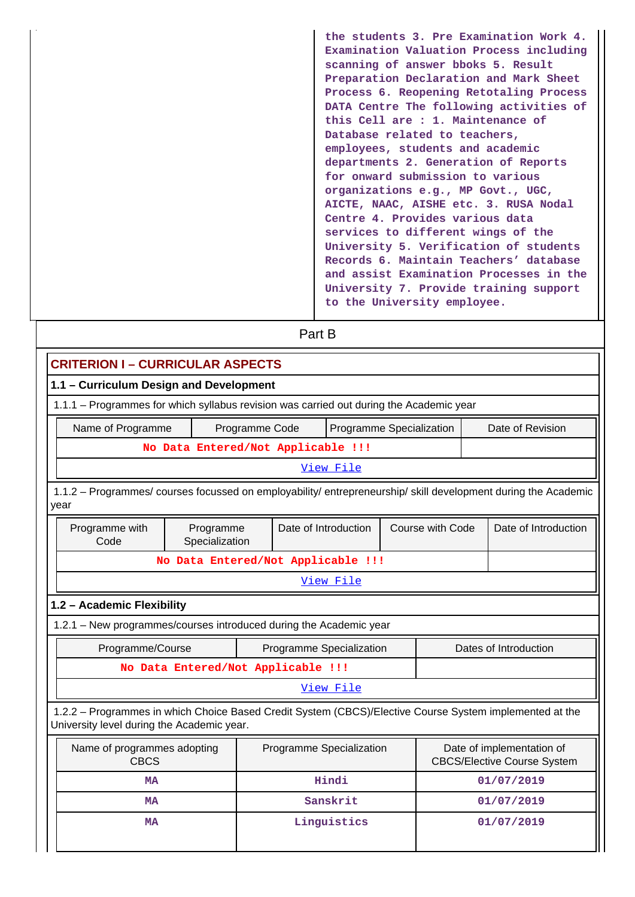**the students 3. Pre Examination Work 4. Examination Valuation Process including scanning of answer bboks 5. Result Preparation Declaration and Mark Sheet Process 6. Reopening Retotaling Process DATA Centre The following activities of this Cell are : 1. Maintenance of Database related to teachers, employees, students and academic departments 2. Generation of Reports for onward submission to various organizations e.g., MP Govt., UGC, AICTE, NAAC, AISHE etc. 3. RUSA Nodal Centre 4. Provides various data services to different wings of the University 5. Verification of students Records 6. Maintain Teachers' database and assist Examination Processes in the University 7. Provide training support to the University employee.**

| Part B                                                                                                                                                |                                                                                                                            |  |  |                          |  |  |  |                       |  |  |
|-------------------------------------------------------------------------------------------------------------------------------------------------------|----------------------------------------------------------------------------------------------------------------------------|--|--|--------------------------|--|--|--|-----------------------|--|--|
| <b>CRITERION I - CURRICULAR ASPECTS</b>                                                                                                               |                                                                                                                            |  |  |                          |  |  |  |                       |  |  |
| 1.1 - Curriculum Design and Development                                                                                                               |                                                                                                                            |  |  |                          |  |  |  |                       |  |  |
| 1.1.1 - Programmes for which syllabus revision was carried out during the Academic year                                                               |                                                                                                                            |  |  |                          |  |  |  |                       |  |  |
| Name of Programme                                                                                                                                     | Date of Revision<br>Programme Code<br>Programme Specialization                                                             |  |  |                          |  |  |  |                       |  |  |
|                                                                                                                                                       | No Data Entered/Not Applicable !!!                                                                                         |  |  |                          |  |  |  |                       |  |  |
|                                                                                                                                                       |                                                                                                                            |  |  | View File                |  |  |  |                       |  |  |
| year                                                                                                                                                  | 1.1.2 – Programmes/ courses focussed on employability/ entrepreneurship/ skill development during the Academic             |  |  |                          |  |  |  |                       |  |  |
| Programme with<br>Code                                                                                                                                | Date of Introduction<br>Course with Code<br>Date of Introduction<br>Programme<br>Specialization                            |  |  |                          |  |  |  |                       |  |  |
|                                                                                                                                                       | No Data Entered/Not Applicable !!!                                                                                         |  |  |                          |  |  |  |                       |  |  |
|                                                                                                                                                       |                                                                                                                            |  |  | View File                |  |  |  |                       |  |  |
| 1.2 - Academic Flexibility                                                                                                                            |                                                                                                                            |  |  |                          |  |  |  |                       |  |  |
| 1.2.1 - New programmes/courses introduced during the Academic year                                                                                    |                                                                                                                            |  |  |                          |  |  |  |                       |  |  |
| Programme/Course                                                                                                                                      |                                                                                                                            |  |  | Programme Specialization |  |  |  | Dates of Introduction |  |  |
|                                                                                                                                                       | No Data Entered/Not Applicable !!!                                                                                         |  |  |                          |  |  |  |                       |  |  |
|                                                                                                                                                       |                                                                                                                            |  |  | View File                |  |  |  |                       |  |  |
| 1.2.2 - Programmes in which Choice Based Credit System (CBCS)/Elective Course System implemented at the<br>University level during the Academic year. |                                                                                                                            |  |  |                          |  |  |  |                       |  |  |
| <b>CBCS</b>                                                                                                                                           | Date of implementation of<br>Name of programmes adopting<br>Programme Specialization<br><b>CBCS/Elective Course System</b> |  |  |                          |  |  |  |                       |  |  |
| <b>MA</b>                                                                                                                                             |                                                                                                                            |  |  | Hindi                    |  |  |  | 01/07/2019            |  |  |
| <b>MA</b>                                                                                                                                             |                                                                                                                            |  |  | Sanskrit                 |  |  |  | 01/07/2019            |  |  |
| <b>MA</b>                                                                                                                                             |                                                                                                                            |  |  | Linguistics              |  |  |  | 01/07/2019            |  |  |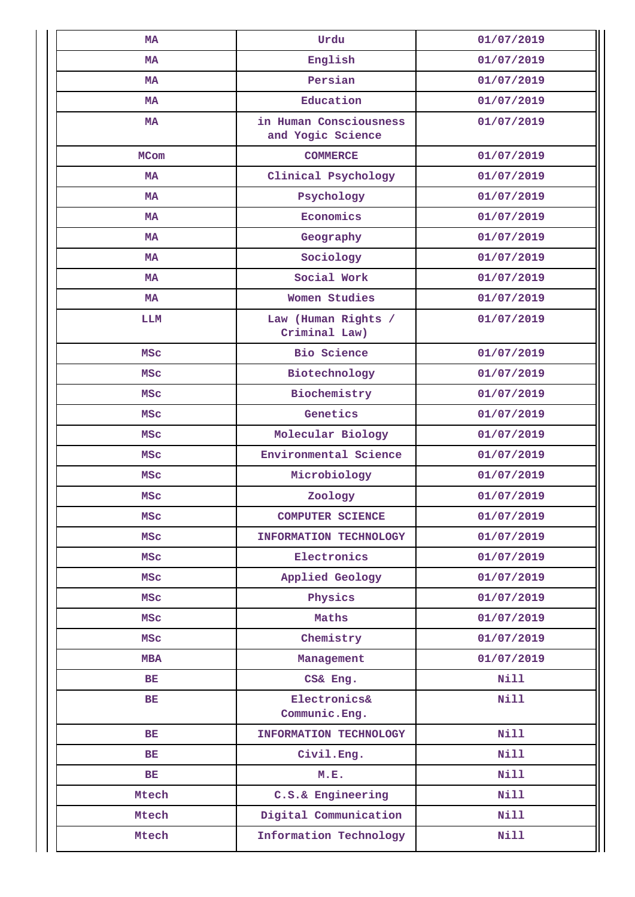| <b>MA</b>   | Urdu                                        | 01/07/2019  |  |  |
|-------------|---------------------------------------------|-------------|--|--|
| <b>MA</b>   | English                                     | 01/07/2019  |  |  |
| MA          | Persian                                     | 01/07/2019  |  |  |
| MA          | Education                                   | 01/07/2019  |  |  |
| <b>MA</b>   | in Human Consciousness<br>and Yogic Science | 01/07/2019  |  |  |
| <b>MCom</b> | <b>COMMERCE</b>                             | 01/07/2019  |  |  |
| MA          | Clinical Psychology                         | 01/07/2019  |  |  |
| <b>MA</b>   | Psychology                                  | 01/07/2019  |  |  |
| МA          | Economics                                   | 01/07/2019  |  |  |
| <b>MA</b>   | Geography                                   | 01/07/2019  |  |  |
| MA          | Sociology                                   | 01/07/2019  |  |  |
| MA          | Social Work                                 | 01/07/2019  |  |  |
| <b>MA</b>   | Women Studies                               | 01/07/2019  |  |  |
| LLM         | Law (Human Rights /<br>Criminal Law)        | 01/07/2019  |  |  |
| <b>MSC</b>  | <b>Bio Science</b>                          |             |  |  |
| <b>MSC</b>  | Biotechnology                               | 01/07/2019  |  |  |
| MSC         | Biochemistry                                | 01/07/2019  |  |  |
| MSC         | Genetics                                    | 01/07/2019  |  |  |
| <b>MSC</b>  | Molecular Biology                           | 01/07/2019  |  |  |
| MSC         | Environmental Science                       | 01/07/2019  |  |  |
| MSC         | Microbiology                                | 01/07/2019  |  |  |
| <b>MSC</b>  | Zoology                                     | 01/07/2019  |  |  |
| <b>MSC</b>  | <b>COMPUTER SCIENCE</b>                     | 01/07/2019  |  |  |
| <b>MSC</b>  | INFORMATION TECHNOLOGY                      | 01/07/2019  |  |  |
| <b>MSC</b>  | Electronics                                 | 01/07/2019  |  |  |
| <b>MSC</b>  | Applied Geology                             | 01/07/2019  |  |  |
| <b>MSC</b>  | Physics                                     | 01/07/2019  |  |  |
| <b>MSC</b>  | Maths                                       | 01/07/2019  |  |  |
| <b>MSC</b>  | Chemistry                                   | 01/07/2019  |  |  |
| <b>MBA</b>  | Management                                  | 01/07/2019  |  |  |
| BE          | CS& Eng.                                    | Nill        |  |  |
| BE          | Electronics&<br>Communic. Eng.              | Nill        |  |  |
| BE          | INFORMATION TECHNOLOGY                      | Nill        |  |  |
| BE          | Civil.Eng.                                  | Nill        |  |  |
| <b>BE</b>   | M.E.                                        | <b>Nill</b> |  |  |
| Mtech       | C.S.& Engineering                           | Nill        |  |  |
| Mtech       | Digital Communication                       | Nill        |  |  |
| Mtech       | Information Technology                      | <b>Nill</b> |  |  |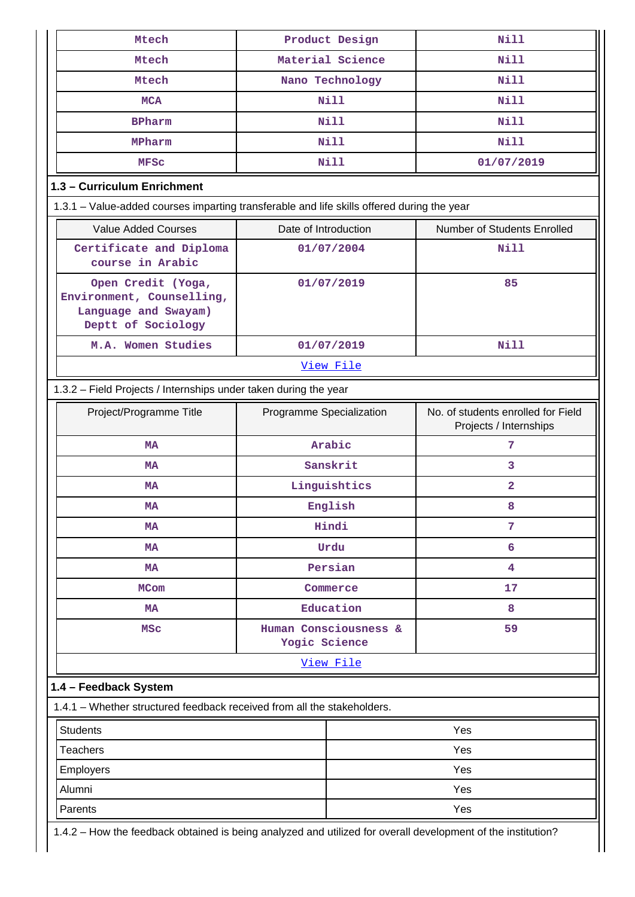| Mtech                                                                                         | Product Design                         | <b>Nill</b>                                                  |  |  |  |  |  |  |
|-----------------------------------------------------------------------------------------------|----------------------------------------|--------------------------------------------------------------|--|--|--|--|--|--|
| Mtech                                                                                         | Material Science                       | <b>Nill</b>                                                  |  |  |  |  |  |  |
| Mtech                                                                                         | Nano Technology                        | <b>Nill</b>                                                  |  |  |  |  |  |  |
| <b>MCA</b>                                                                                    | <b>Nill</b>                            | <b>Nill</b>                                                  |  |  |  |  |  |  |
| <b>BPharm</b>                                                                                 | <b>Nill</b>                            | <b>Nill</b>                                                  |  |  |  |  |  |  |
| MPharm                                                                                        | <b>Nill</b>                            | <b>Nill</b>                                                  |  |  |  |  |  |  |
| <b>MFSC</b>                                                                                   | Nill                                   | 01/07/2019                                                   |  |  |  |  |  |  |
| 1.3 - Curriculum Enrichment                                                                   |                                        |                                                              |  |  |  |  |  |  |
| 1.3.1 - Value-added courses imparting transferable and life skills offered during the year    |                                        |                                                              |  |  |  |  |  |  |
| <b>Value Added Courses</b>                                                                    | Date of Introduction                   | Number of Students Enrolled                                  |  |  |  |  |  |  |
| Certificate and Diploma<br>course in Arabic                                                   | 01/07/2004                             | Nill                                                         |  |  |  |  |  |  |
| Open Credit (Yoga,<br>Environment, Counselling,<br>Language and Swayam)<br>Deptt of Sociology | 01/07/2019                             | 85                                                           |  |  |  |  |  |  |
| M.A. Women Studies                                                                            | 01/07/2019                             | <b>Nill</b>                                                  |  |  |  |  |  |  |
|                                                                                               |                                        |                                                              |  |  |  |  |  |  |
| 1.3.2 - Field Projects / Internships under taken during the year                              |                                        |                                                              |  |  |  |  |  |  |
| Project/Programme Title                                                                       | Programme Specialization               | No. of students enrolled for Field<br>Projects / Internships |  |  |  |  |  |  |
| MA                                                                                            | Arabic                                 | 7                                                            |  |  |  |  |  |  |
| MA                                                                                            | Sanskrit                               | 3                                                            |  |  |  |  |  |  |
| <b>MA</b>                                                                                     | Linguishtics                           | 2                                                            |  |  |  |  |  |  |
| MA                                                                                            | English                                | 8                                                            |  |  |  |  |  |  |
| MA                                                                                            | Hindi                                  | 7                                                            |  |  |  |  |  |  |
| MA                                                                                            | Urdu                                   | 6                                                            |  |  |  |  |  |  |
| MA                                                                                            | Persian                                | 4                                                            |  |  |  |  |  |  |
| <b>MCom</b>                                                                                   | Commerce                               | 17                                                           |  |  |  |  |  |  |
| MA                                                                                            | Education                              | 8                                                            |  |  |  |  |  |  |
| <b>MSC</b>                                                                                    | Human Consciousness &<br>Yogic Science | 59                                                           |  |  |  |  |  |  |
|                                                                                               | View File                              |                                                              |  |  |  |  |  |  |
| 1.4 - Feedback System                                                                         |                                        |                                                              |  |  |  |  |  |  |
| 1.4.1 - Whether structured feedback received from all the stakeholders.                       |                                        |                                                              |  |  |  |  |  |  |
| <b>Students</b>                                                                               |                                        | Yes                                                          |  |  |  |  |  |  |
| <b>Teachers</b>                                                                               |                                        | Yes                                                          |  |  |  |  |  |  |
| Employers                                                                                     |                                        | Yes                                                          |  |  |  |  |  |  |
| Alumni                                                                                        |                                        | Yes                                                          |  |  |  |  |  |  |
| Parents                                                                                       |                                        | Yes                                                          |  |  |  |  |  |  |
|                                                                                               |                                        |                                                              |  |  |  |  |  |  |

1.4.2 – How the feedback obtained is being analyzed and utilized for overall development of the institution?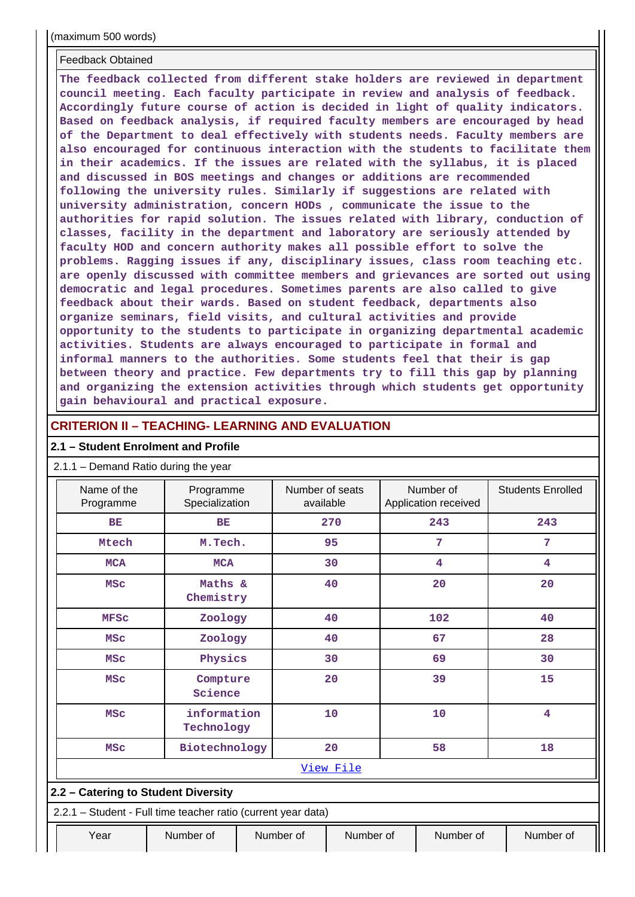#### Feedback Obtained

**The feedback collected from different stake holders are reviewed in department council meeting. Each faculty participate in review and analysis of feedback. Accordingly future course of action is decided in light of quality indicators. Based on feedback analysis, if required faculty members are encouraged by head of the Department to deal effectively with students needs. Faculty members are also encouraged for continuous interaction with the students to facilitate them in their academics. If the issues are related with the syllabus, it is placed and discussed in BOS meetings and changes or additions are recommended following the university rules. Similarly if suggestions are related with university administration, concern HODs , communicate the issue to the authorities for rapid solution. The issues related with library, conduction of classes, facility in the department and laboratory are seriously attended by faculty HOD and concern authority makes all possible effort to solve the problems. Ragging issues if any, disciplinary issues, class room teaching etc. are openly discussed with committee members and grievances are sorted out using democratic and legal procedures. Sometimes parents are also called to give feedback about their wards. Based on student feedback, departments also organize seminars, field visits, and cultural activities and provide opportunity to the students to participate in organizing departmental academic activities. Students are always encouraged to participate in formal and informal manners to the authorities. Some students feel that their is gap between theory and practice. Few departments try to fill this gap by planning and organizing the extension activities through which students get opportunity gain behavioural and practical exposure.**

#### **CRITERION II – TEACHING- LEARNING AND EVALUATION**

#### **2.1 – Student Enrolment and Profile**

#### 2.1.1 – Demand Ratio during the year

| Name of the<br>Programme            |                                          | Programme<br>Specialization                                   |  | Number of seats<br>available |           |     | Number of<br>Application received | <b>Students Enrolled</b> |  |
|-------------------------------------|------------------------------------------|---------------------------------------------------------------|--|------------------------------|-----------|-----|-----------------------------------|--------------------------|--|
| <b>BE</b>                           |                                          | <b>BE</b>                                                     |  |                              | 270       |     | 243                               | 243                      |  |
| Mtech                               |                                          | M.Tech.                                                       |  |                              | 95        |     | 7                                 | $7\phantom{.0}$          |  |
| <b>MCA</b>                          |                                          | <b>MCA</b>                                                    |  |                              | 30        |     | 4                                 | 4                        |  |
|                                     | Maths &<br>40<br><b>MSC</b><br>Chemistry |                                                               |  |                              |           | 20  | 20                                |                          |  |
|                                     | Zoology<br>40<br><b>MFSC</b>             |                                                               |  |                              |           | 102 | 40                                |                          |  |
|                                     | Zoology<br>40<br><b>MSC</b>              |                                                               |  |                              |           | 67  | 28                                |                          |  |
| <b>MSC</b>                          |                                          | Physics                                                       |  |                              | 30        |     | 69                                | 30                       |  |
| <b>MSC</b>                          |                                          | Compture<br>Science                                           |  | 20                           |           |     | 39                                | 15                       |  |
| <b>MSC</b>                          |                                          | information<br>Technology                                     |  |                              | 10        |     | 10                                | 4                        |  |
| <b>MSC</b>                          |                                          | Biotechnology                                                 |  |                              | 20        |     | 58                                | 18                       |  |
|                                     | View File                                |                                                               |  |                              |           |     |                                   |                          |  |
| 2.2 - Catering to Student Diversity |                                          |                                                               |  |                              |           |     |                                   |                          |  |
|                                     |                                          | 2.2.1 - Student - Full time teacher ratio (current year data) |  |                              |           |     |                                   |                          |  |
| Year                                |                                          | Number of                                                     |  | Number of                    | Number of |     | Number of                         | Number of                |  |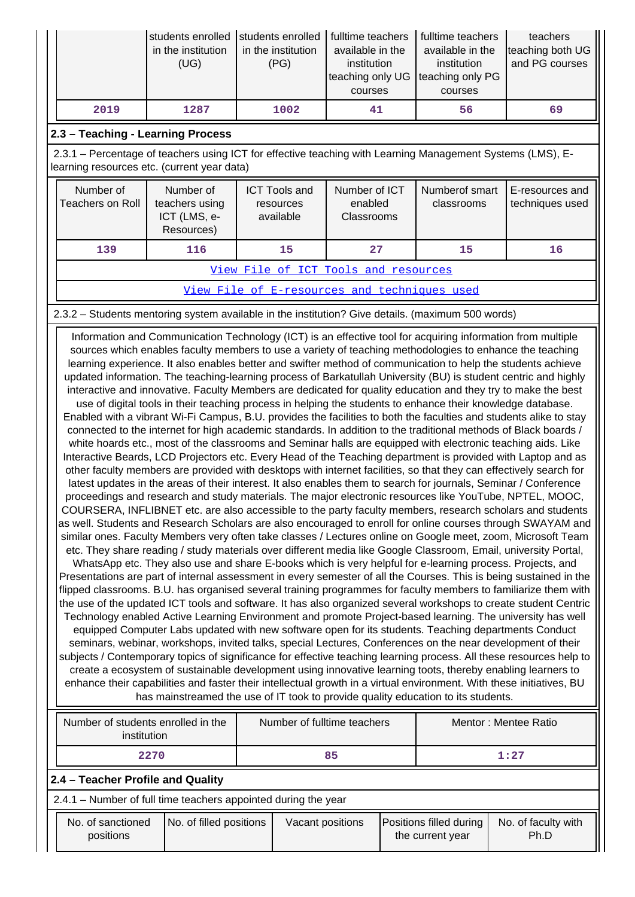|      | in the institution<br>(UG) | students enrolled Students enrolled   fulltime teachers<br>in the institution<br>(PG) | available in the<br>institution<br>teaching only UG teaching only PG<br>courses | fulltime teachers<br>available in the<br>institution<br>courses | teachers<br>teaching both UG<br>and PG courses |
|------|----------------------------|---------------------------------------------------------------------------------------|---------------------------------------------------------------------------------|-----------------------------------------------------------------|------------------------------------------------|
| 2019 | 1287                       | 1002                                                                                  | 41                                                                              | 56                                                              | 69                                             |

# **2.3 – Teaching - Learning Process**

 2.3.1 – Percentage of teachers using ICT for effective teaching with Learning Management Systems (LMS), Elearning resources etc. (current year data)

| Number of<br>Teachers on Roll        | Number of<br>teachers using<br>ICT (LMS, e-<br>Resources) | <b>ICT Tools and</b><br>resources<br>available | Number of ICT<br>enabled<br>Classrooms | Numberof smart<br>classrooms | E-resources and<br>techniques used |  |  |
|--------------------------------------|-----------------------------------------------------------|------------------------------------------------|----------------------------------------|------------------------------|------------------------------------|--|--|
| 139                                  | 116                                                       | 15                                             | 27                                     | 15                           | 16                                 |  |  |
| View File of ICT Tools and resources |                                                           |                                                |                                        |                              |                                    |  |  |

# [View File of E-resources and techniques used](https://assessmentonline.naac.gov.in/public/Postacc/e_resource/14506_e_resource_1640415443.xlsx)

### 2.3.2 – Students mentoring system available in the institution? Give details. (maximum 500 words)

 Information and Communication Technology (ICT) is an effective tool for acquiring information from multiple sources which enables faculty members to use a variety of teaching methodologies to enhance the teaching learning experience. It also enables better and swifter method of communication to help the students achieve updated information. The teaching-learning process of Barkatullah University (BU) is student centric and highly interactive and innovative. Faculty Members are dedicated for quality education and they try to make the best

use of digital tools in their teaching process in helping the students to enhance their knowledge database. Enabled with a vibrant Wi-Fi Campus, B.U. provides the facilities to both the faculties and students alike to stay connected to the internet for high academic standards. In addition to the traditional methods of Black boards / white hoards etc., most of the classrooms and Seminar halls are equipped with electronic teaching aids. Like Interactive Beards, LCD Projectors etc. Every Head of the Teaching department is provided with Laptop and as other faculty members are provided with desktops with internet facilities, so that they can effectively search for latest updates in the areas of their interest. It also enables them to search for journals, Seminar / Conference proceedings and research and study materials. The major electronic resources like YouTube, NPTEL, MOOC, COURSERA, INFLIBNET etc. are also accessible to the party faculty members, research scholars and students as well. Students and Research Scholars are also encouraged to enroll for online courses through SWAYAM and similar ones. Faculty Members very often take classes / Lectures online on Google meet, zoom, Microsoft Team

etc. They share reading / study materials over different media like Google Classroom, Email, university Portal, WhatsApp etc. They also use and share E-books which is very helpful for e-learning process. Projects, and Presentations are part of internal assessment in every semester of all the Courses. This is being sustained in the flipped classrooms. B.U. has organised several training programmes for faculty members to familiarize them with the use of the updated ICT tools and software. It has also organized several workshops to create student Centric Technology enabled Active Learning Environment and promote Project-based learning. The university has well equipped Computer Labs updated with new software open for its students. Teaching departments Conduct seminars, webinar, workshops, invited talks, special Lectures, Conferences on the near development of their subjects / Contemporary topics of significance for effective teaching learning process. All these resources help to create a ecosystem of sustainable development using innovative learning toots, thereby enabling learners to enhance their capabilities and faster their intellectual growth in a virtual environment. With these initiatives, BU has mainstreamed the use of IT took to provide quality education to its students.

| Number of students enrolled in the<br>institution | Number of fulltime teachers | Mentor: Mentee Ratio |  |  |  |  |  |  |
|---------------------------------------------------|-----------------------------|----------------------|--|--|--|--|--|--|
| 2270                                              | 85                          | 1:27                 |  |  |  |  |  |  |
| 2.4 – Teacher Profile and Quality                 |                             |                      |  |  |  |  |  |  |

2.4.1 – Number of full time teachers appointed during the year

| No. of sanctioned<br>positions | No. of filled positions | Vacant positions | Positions filled during<br>the current year | No. of faculty with<br>Ph.D |
|--------------------------------|-------------------------|------------------|---------------------------------------------|-----------------------------|
|--------------------------------|-------------------------|------------------|---------------------------------------------|-----------------------------|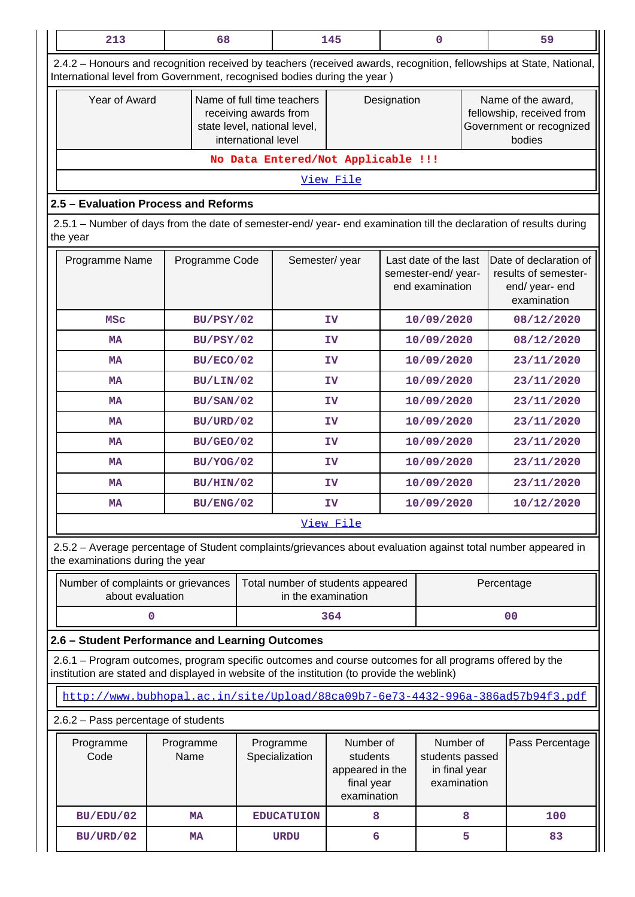| 213                                                                                                                                                                                                    | 68                |                                    | 145<br>$\mathbf 0$                                                                                         |            |                                                                | 59         |                                                                                       |  |
|--------------------------------------------------------------------------------------------------------------------------------------------------------------------------------------------------------|-------------------|------------------------------------|------------------------------------------------------------------------------------------------------------|------------|----------------------------------------------------------------|------------|---------------------------------------------------------------------------------------|--|
| 2.4.2 - Honours and recognition received by teachers (received awards, recognition, fellowships at State, National,<br>International level from Government, recognised bodies during the year)         |                   |                                    |                                                                                                            |            |                                                                |            |                                                                                       |  |
|                                                                                                                                                                                                        | Year of Award     |                                    | Name of full time teachers<br>receiving awards from<br>state level, national level,<br>international level |            | Designation                                                    |            | Name of the award,<br>fellowship, received from<br>Government or recognized<br>bodies |  |
|                                                                                                                                                                                                        |                   | No Data Entered/Not Applicable !!! |                                                                                                            |            |                                                                |            |                                                                                       |  |
| View File                                                                                                                                                                                              |                   |                                    |                                                                                                            |            |                                                                |            |                                                                                       |  |
| 2.5 - Evaluation Process and Reforms                                                                                                                                                                   |                   |                                    |                                                                                                            |            |                                                                |            |                                                                                       |  |
| 2.5.1 - Number of days from the date of semester-end/ year- end examination till the declaration of results during<br>the year                                                                         |                   |                                    |                                                                                                            |            |                                                                |            |                                                                                       |  |
| Programme Name                                                                                                                                                                                         | Programme Code    |                                    | Semester/year                                                                                              |            | Last date of the last<br>semester-end/year-<br>end examination |            | Date of declaration of<br>results of semester-<br>end/year-end<br>examination         |  |
| <b>MSC</b>                                                                                                                                                                                             | BU/PSY/02         |                                    | ΙV                                                                                                         |            | 10/09/2020                                                     |            | 08/12/2020                                                                            |  |
| <b>MA</b>                                                                                                                                                                                              | BU/PSY/02         |                                    | ΙV                                                                                                         |            | 10/09/2020                                                     |            | 08/12/2020                                                                            |  |
| <b>MA</b>                                                                                                                                                                                              | BU/ECO/02         |                                    | ΙV                                                                                                         |            | 10/09/2020                                                     |            | 23/11/2020                                                                            |  |
| <b>MA</b>                                                                                                                                                                                              | BU/LIN/02         |                                    | ΙV                                                                                                         | 10/09/2020 |                                                                | 23/11/2020 |                                                                                       |  |
| <b>MA</b>                                                                                                                                                                                              | BU/SAN/02         |                                    | <b>IV</b>                                                                                                  | 10/09/2020 |                                                                |            | 23/11/2020                                                                            |  |
| <b>MA</b>                                                                                                                                                                                              | BU/URD/02         |                                    | ΙV                                                                                                         |            | 10/09/2020                                                     |            | 23/11/2020                                                                            |  |
| <b>MA</b>                                                                                                                                                                                              | BU/GEO/02         |                                    | ΙV                                                                                                         | 10/09/2020 |                                                                |            | 23/11/2020                                                                            |  |
| <b>MA</b>                                                                                                                                                                                              | BU/YOG/02         |                                    | ΙV                                                                                                         | 10/09/2020 |                                                                |            | 23/11/2020                                                                            |  |
| MA                                                                                                                                                                                                     | BU/HIN/02         |                                    | ΙV                                                                                                         | 10/09/2020 |                                                                |            | 23/11/2020                                                                            |  |
| MA                                                                                                                                                                                                     | BU/ENG/02         |                                    | 10/09/2020<br>ΙV                                                                                           |            |                                                                | 10/12/2020 |                                                                                       |  |
|                                                                                                                                                                                                        |                   |                                    | View File                                                                                                  |            |                                                                |            |                                                                                       |  |
| 2.5.2 - Average percentage of Student complaints/grievances about evaluation against total number appeared in<br>the examinations during the year                                                      |                   |                                    |                                                                                                            |            |                                                                |            |                                                                                       |  |
| Number of complaints or grievances<br>about evaluation                                                                                                                                                 |                   | Total number of students appeared  | in the examination                                                                                         | Percentage |                                                                |            |                                                                                       |  |
| $\mathbf 0$                                                                                                                                                                                            |                   |                                    | 364                                                                                                        |            |                                                                |            | 0 <sub>0</sub>                                                                        |  |
| 2.6 - Student Performance and Learning Outcomes                                                                                                                                                        |                   |                                    |                                                                                                            |            |                                                                |            |                                                                                       |  |
| 2.6.1 – Program outcomes, program specific outcomes and course outcomes for all programs offered by the<br>institution are stated and displayed in website of the institution (to provide the weblink) |                   |                                    |                                                                                                            |            |                                                                |            |                                                                                       |  |
| http://www.bubhopal.ac.in/site/Upload/88ca09b7-6e73-4432-996a-386ad57b94f3.pdf                                                                                                                         |                   |                                    |                                                                                                            |            |                                                                |            |                                                                                       |  |
| 2.6.2 - Pass percentage of students                                                                                                                                                                    |                   |                                    |                                                                                                            |            |                                                                |            |                                                                                       |  |
| Programme<br>Code                                                                                                                                                                                      | Programme<br>Name | Programme<br>Specialization        | Number of<br>students<br>appeared in the<br>final year<br>examination                                      |            | Number of<br>students passed<br>in final year<br>examination   |            | Pass Percentage                                                                       |  |
| BU/EDU/02                                                                                                                                                                                              | <b>MA</b>         | <b>EDUCATUION</b>                  | 8                                                                                                          |            |                                                                | 8          | 100                                                                                   |  |
| BU/URD/02                                                                                                                                                                                              | <b>MA</b>         | <b>URDU</b>                        | 6                                                                                                          |            |                                                                | 5          | 83                                                                                    |  |

 $\mathbf{1}$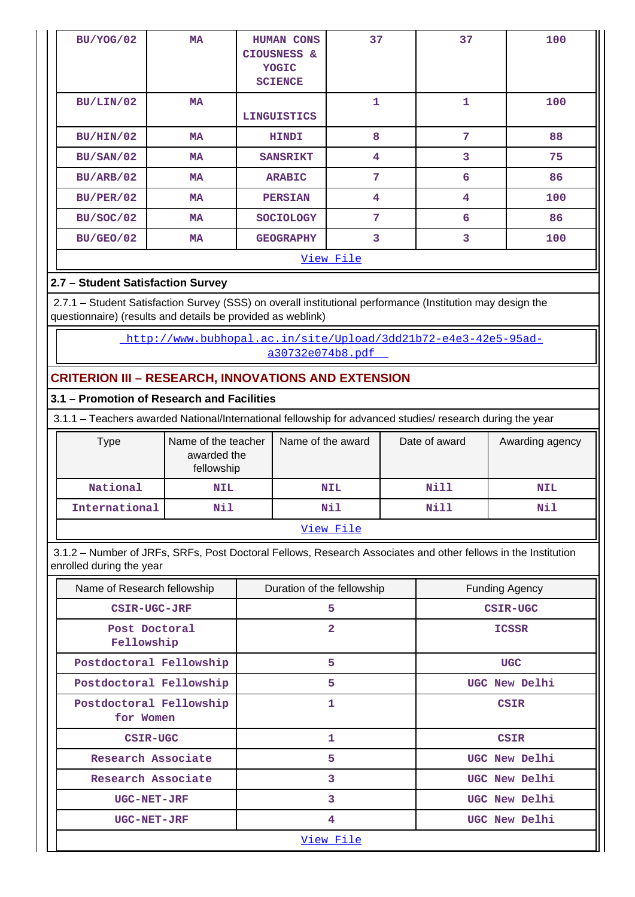| BU/YOG/02        | <b>MA</b> | <b>HUMAN CONS</b><br>CIOUSNESS &<br>YOGIC<br><b>SCIENCE</b> | 37                      | 37 | 100 |  |  |  |  |
|------------------|-----------|-------------------------------------------------------------|-------------------------|----|-----|--|--|--|--|
| BU/LIN/02        | <b>MA</b> | <b>LINGUISTICS</b>                                          | 1                       | 1  | 100 |  |  |  |  |
| BU/HIN/02        | <b>MA</b> | <b>HINDI</b>                                                | 8                       | 7  | 88  |  |  |  |  |
| BU/SAN/02        | <b>MA</b> | <b>SANSRIKT</b>                                             | 4                       | 3  | 75  |  |  |  |  |
| BU/ARB/02        | <b>MA</b> | <b>ARABIC</b>                                               | 7                       | 6  | 86  |  |  |  |  |
| BU/PER/02        | MA        | <b>PERSIAN</b>                                              | $\overline{\mathbf{4}}$ | 4  | 100 |  |  |  |  |
| <b>BU/SOC/02</b> | MA        | <b>SOCIOLOGY</b>                                            | 7                       | 6  | 86  |  |  |  |  |
| BU/GEO/02        | MA        | <b>GEOGRAPHY</b>                                            | 3                       | 3  | 100 |  |  |  |  |
|                  | View File |                                                             |                         |    |     |  |  |  |  |

# **2.7 – Student Satisfaction Survey**

 2.7.1 – Student Satisfaction Survey (SSS) on overall institutional performance (Institution may design the questionnaire) (results and details be provided as weblink)

> [http://www.bubhopal.ac.in/site/Upload/3dd21b72-e4e3-42e5-95ad](http://www.bubhopal.ac.in/site/Upload/3dd21b72-e4e3-42e5-95ad-a30732e074b8.pdf)[a30732e074b8.pdf](http://www.bubhopal.ac.in/site/Upload/3dd21b72-e4e3-42e5-95ad-a30732e074b8.pdf)

# **CRITERION III – RESEARCH, INNOVATIONS AND EXTENSION**

# **3.1 – Promotion of Research and Facilities**

3.1.1 – Teachers awarded National/International fellowship for advanced studies/ research during the year

| Type          | Name of the teacher<br>awarded the<br>fellowship | Name of the award | Date of award | Awarding agency |  |  |  |
|---------------|--------------------------------------------------|-------------------|---------------|-----------------|--|--|--|
| National      | NIL                                              | <b>NIL</b>        | Nill          | <b>NIL</b>      |  |  |  |
| International | Nil                                              | Nil               | Nill          | Nil             |  |  |  |
| View File     |                                                  |                   |               |                 |  |  |  |

 3.1.2 – Number of JRFs, SRFs, Post Doctoral Fellows, Research Associates and other fellows in the Institution enrolled during the year

| Name of Research fellowship          | Duration of the fellowship | <b>Funding Agency</b> |  |  |  |  |
|--------------------------------------|----------------------------|-----------------------|--|--|--|--|
| CSIR-UGC-JRF                         | 5                          | CSIR-UGC              |  |  |  |  |
| Post Doctoral<br>Fellowship          | $\overline{2}$             | <b>ICSSR</b>          |  |  |  |  |
| Postdoctoral Fellowship              | 5                          | <b>UGC</b>            |  |  |  |  |
| Postdoctoral Fellowship              | 5                          | UGC New Delhi         |  |  |  |  |
| Postdoctoral Fellowship<br>for Women | 1                          | <b>CSIR</b>           |  |  |  |  |
| CSIR-UGC                             | 1                          | <b>CSIR</b>           |  |  |  |  |
| Research Associate                   | 5                          | UGC New Delhi         |  |  |  |  |
| Research Associate                   | 3                          | UGC New Delhi         |  |  |  |  |
| <b>UGC-NET-JRF</b>                   | 3                          | UGC New Delhi         |  |  |  |  |
| <b>UGC-NET-JRF</b>                   | 4                          | UGC New Delhi         |  |  |  |  |
|                                      | View File                  |                       |  |  |  |  |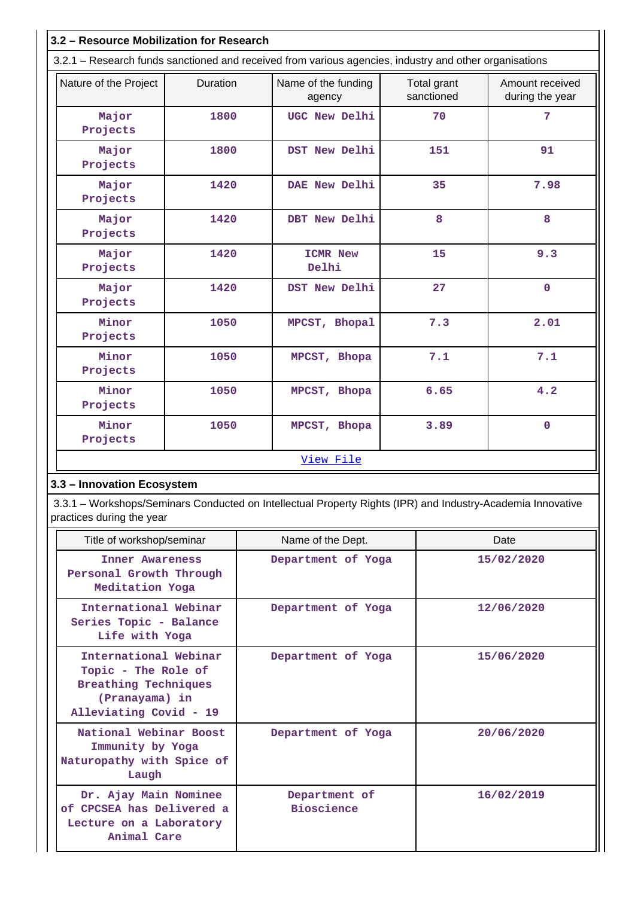| 3.2 - Resource Mobilization for Research                                                                                                 |      |                               |                           |                                    |  |  |  |  |
|------------------------------------------------------------------------------------------------------------------------------------------|------|-------------------------------|---------------------------|------------------------------------|--|--|--|--|
| 3.2.1 - Research funds sanctioned and received from various agencies, industry and other organisations                                   |      |                               |                           |                                    |  |  |  |  |
| Nature of the Project<br>Duration                                                                                                        |      | Name of the funding<br>agency | Total grant<br>sanctioned | Amount received<br>during the year |  |  |  |  |
| Major<br>Projects                                                                                                                        | 1800 | UGC New Delhi                 | 70                        | 7                                  |  |  |  |  |
| Major<br>Projects                                                                                                                        | 1800 | DST New Delhi                 | 151                       | 91                                 |  |  |  |  |
| Major<br>Projects                                                                                                                        | 1420 | DAE New Delhi                 | 35                        | 7.98                               |  |  |  |  |
| Major<br>Projects                                                                                                                        | 1420 | DBT New Delhi                 | 8                         | 8                                  |  |  |  |  |
| Major<br>Projects                                                                                                                        | 1420 | <b>ICMR New</b><br>Delhi      | 15                        | 9.3                                |  |  |  |  |
| Major<br>Projects                                                                                                                        | 1420 | DST New Delhi                 | 27                        | $\mathbf 0$                        |  |  |  |  |
| Minor<br>Projects                                                                                                                        | 1050 | MPCST, Bhopal                 | 7.3                       | 2.01                               |  |  |  |  |
| Minor<br>Projects                                                                                                                        | 1050 | MPCST, Bhopa                  | 7.1                       | 7.1                                |  |  |  |  |
| Minor<br>Projects                                                                                                                        | 1050 | MPCST, Bhopa                  | 6.65                      | 4.2                                |  |  |  |  |
| Minor<br>Projects                                                                                                                        | 1050 | MPCST, Bhopa                  | 3.89                      | $\mathbf 0$                        |  |  |  |  |
| View File                                                                                                                                |      |                               |                           |                                    |  |  |  |  |
| 3.3 - Innovation Ecosystem                                                                                                               |      |                               |                           |                                    |  |  |  |  |
| 3.3.1 – Workshops/Seminars Conducted on Intellectual Property Rights (IPR) and Industry-Academia Innovative<br>practices during the year |      |                               |                           |                                    |  |  |  |  |
|                                                                                                                                          |      |                               |                           |                                    |  |  |  |  |

| Title of workshop/seminar                                                                                        | Name of the Dept.                  | Date       |
|------------------------------------------------------------------------------------------------------------------|------------------------------------|------------|
| <b>Inner Awareness</b><br>Personal Growth Through<br>Meditation Yoga                                             | Department of Yoga                 | 15/02/2020 |
| International Webinar<br>Series Topic - Balance<br>Life with Yoga                                                | Department of Yoga                 | 12/06/2020 |
| International Webinar<br>Topic - The Role of<br>Breathing Techniques<br>(Pranayama) in<br>Alleviating Covid - 19 | Department of Yoga                 | 15/06/2020 |
| National Webinar Boost<br>Immunity by Yoga<br>Naturopathy with Spice of<br>Laugh                                 | Department of Yoga                 | 20/06/2020 |
| Dr. Ajay Main Nominee<br>of CPCSEA has Delivered a<br>Lecture on a Laboratory<br>Animal Care                     | Department of<br><b>Bioscience</b> | 16/02/2019 |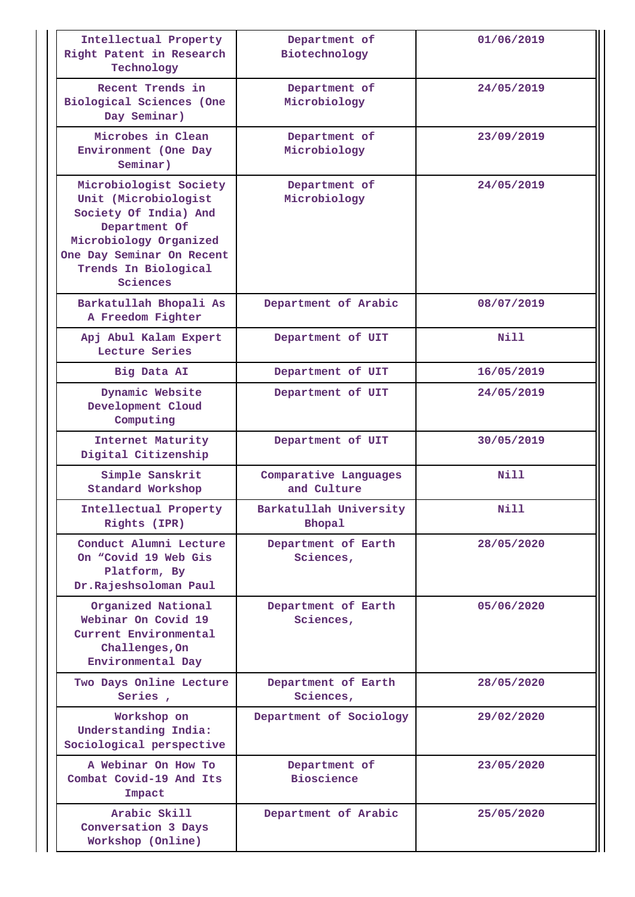| Intellectual Property<br>Right Patent in Research<br>Technology                                                                                                                     | Department of<br>Biotechnology          | 01/06/2019 |
|-------------------------------------------------------------------------------------------------------------------------------------------------------------------------------------|-----------------------------------------|------------|
| Recent Trends in<br>Biological Sciences (One<br>Day Seminar)                                                                                                                        | Department of<br>Microbiology           | 24/05/2019 |
| Microbes in Clean<br>Environment (One Day<br>Seminar)                                                                                                                               | Department of<br>Microbiology           | 23/09/2019 |
| Microbiologist Society<br>Unit (Microbiologist<br>Society Of India) And<br>Department Of<br>Microbiology Organized<br>One Day Seminar On Recent<br>Trends In Biological<br>Sciences | Department of<br>Microbiology           | 24/05/2019 |
| Barkatullah Bhopali As<br>A Freedom Fighter                                                                                                                                         | Department of Arabic                    | 08/07/2019 |
| Apj Abul Kalam Expert<br>Lecture Series                                                                                                                                             | Department of UIT                       | Nill       |
| Big Data AI                                                                                                                                                                         | Department of UIT                       | 16/05/2019 |
| Dynamic Website<br>Development Cloud<br>Computing                                                                                                                                   | Department of UIT                       | 24/05/2019 |
| Internet Maturity<br>Digital Citizenship                                                                                                                                            | Department of UIT                       | 30/05/2019 |
| Simple Sanskrit<br>Standard Workshop                                                                                                                                                | Comparative Languages<br>and Culture    | Nill       |
| Intellectual Property<br>Rights (IPR)                                                                                                                                               | Barkatullah University<br><b>Bhopal</b> | Nill       |
| Conduct Alumni Lecture<br>On "Covid 19 Web Gis<br>Platform, By<br>Dr.Rajeshsoloman Paul                                                                                             | Department of Earth<br>Sciences,        | 28/05/2020 |
| Organized National<br>Webinar On Covid 19<br>Current Environmental<br>Challenges, On<br>Environmental Day                                                                           | Department of Earth<br>Sciences,        | 05/06/2020 |
| Two Days Online Lecture<br>Series,                                                                                                                                                  | Department of Earth<br>Sciences,        | 28/05/2020 |
| Workshop on<br>Understanding India:<br>Sociological perspective                                                                                                                     | Department of Sociology                 | 29/02/2020 |
| A Webinar On How To<br>Combat Covid-19 And Its<br>Impact                                                                                                                            | Department of<br><b>Bioscience</b>      | 23/05/2020 |
| Arabic Skill<br>Conversation 3 Days<br>Workshop (Online)                                                                                                                            | Department of Arabic                    | 25/05/2020 |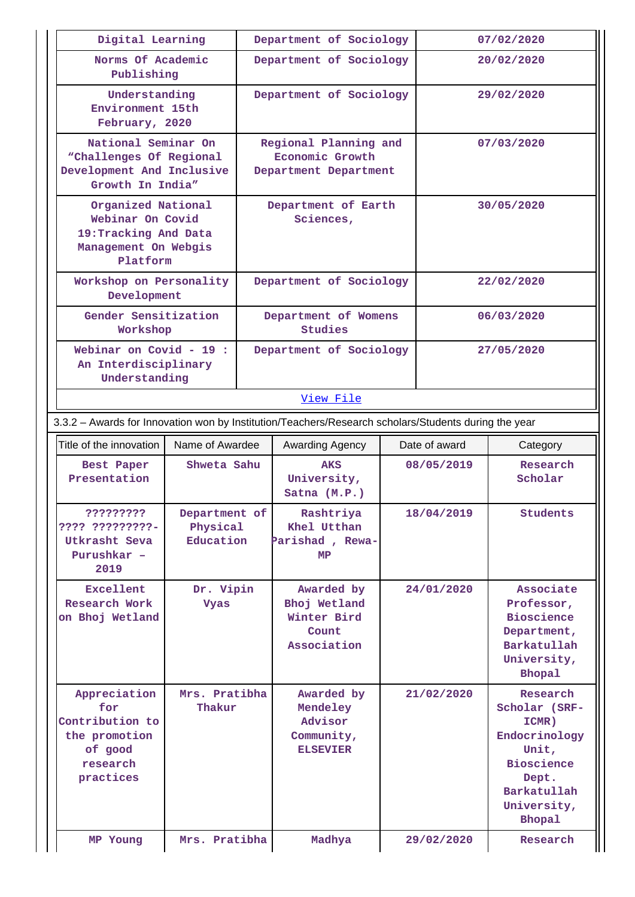| Digital Learning                                                                                     |                                        |  | Department of Sociology                                            |            |            | 07/02/2020                                                                                                                                |  |  |
|------------------------------------------------------------------------------------------------------|----------------------------------------|--|--------------------------------------------------------------------|------------|------------|-------------------------------------------------------------------------------------------------------------------------------------------|--|--|
| Norms Of Academic<br>Publishing<br>Understanding<br>Environment 15th<br>February, 2020               |                                        |  | Department of Sociology                                            |            | 20/02/2020 |                                                                                                                                           |  |  |
|                                                                                                      |                                        |  | Department of Sociology                                            | 29/02/2020 |            |                                                                                                                                           |  |  |
| National Seminar On<br>"Challenges Of Regional<br>Development And Inclusive<br>Growth In India"      |                                        |  | Regional Planning and<br>Economic Growth<br>Department Department  |            | 07/03/2020 |                                                                                                                                           |  |  |
| Organized National<br>Webinar On Covid<br>19: Tracking And Data<br>Management On Webgis<br>Platform  |                                        |  | Department of Earth<br>Sciences,                                   |            | 30/05/2020 |                                                                                                                                           |  |  |
| Workshop on Personality<br>Development                                                               |                                        |  | Department of Sociology                                            |            |            | 22/02/2020                                                                                                                                |  |  |
| Gender Sensitization<br>Workshop                                                                     |                                        |  | Department of Womens<br><b>Studies</b>                             |            |            | 06/03/2020                                                                                                                                |  |  |
| Webinar on Covid - 19 :<br>An Interdisciplinary<br>Understanding                                     |                                        |  | Department of Sociology                                            |            |            | 27/05/2020                                                                                                                                |  |  |
|                                                                                                      |                                        |  | View File                                                          |            |            |                                                                                                                                           |  |  |
| 3.3.2 - Awards for Innovation won by Institution/Teachers/Research scholars/Students during the year |                                        |  |                                                                    |            |            |                                                                                                                                           |  |  |
| Title of the innovation                                                                              | Name of Awardee                        |  | Date of award<br>Awarding Agency                                   |            |            | Category                                                                                                                                  |  |  |
| Best Paper<br>Presentation                                                                           | Shweta Sahu                            |  | <b>AKS</b><br>University,<br>Satna (M.P.)                          |            | 08/05/2019 | Research<br>Scholar                                                                                                                       |  |  |
| ?????????<br>???? ?????????-<br>Utkrasht Seva<br>Purushkar -<br>2019                                 | Department of<br>Physical<br>Education |  | Rashtriya<br>Khel Utthan<br>Parishad , Rewa-<br>MP                 | 18/04/2019 |            | <b>Students</b>                                                                                                                           |  |  |
| Excellent<br>Dr. Vipin<br><b>Research Work</b><br><b>Vyas</b><br>on Bhoj Wetland                     |                                        |  | Awarded by<br>Bhoj Wetland<br>Winter Bird<br>Count<br>Association  | 24/01/2020 |            | Associate<br>Professor,<br><b>Bioscience</b><br>Department,<br>Barkatullah<br>University,<br><b>Bhopal</b>                                |  |  |
| Appreciation<br>for<br>Contribution to<br>the promotion<br>of good<br>research<br>practices          | Mrs. Pratibha<br>Thakur                |  | Awarded by<br>Mendeley<br>Advisor<br>Community,<br><b>ELSEVIER</b> |            | 21/02/2020 | Research<br>Scholar (SRF-<br>ICMR)<br>Endocrinology<br>Unit,<br><b>Bioscience</b><br>Dept.<br>Barkatullah<br>University,<br><b>Bhopal</b> |  |  |
| Mrs. Pratibha<br>MP Young                                                                            |                                        |  | Madhya                                                             |            | 29/02/2020 | Research                                                                                                                                  |  |  |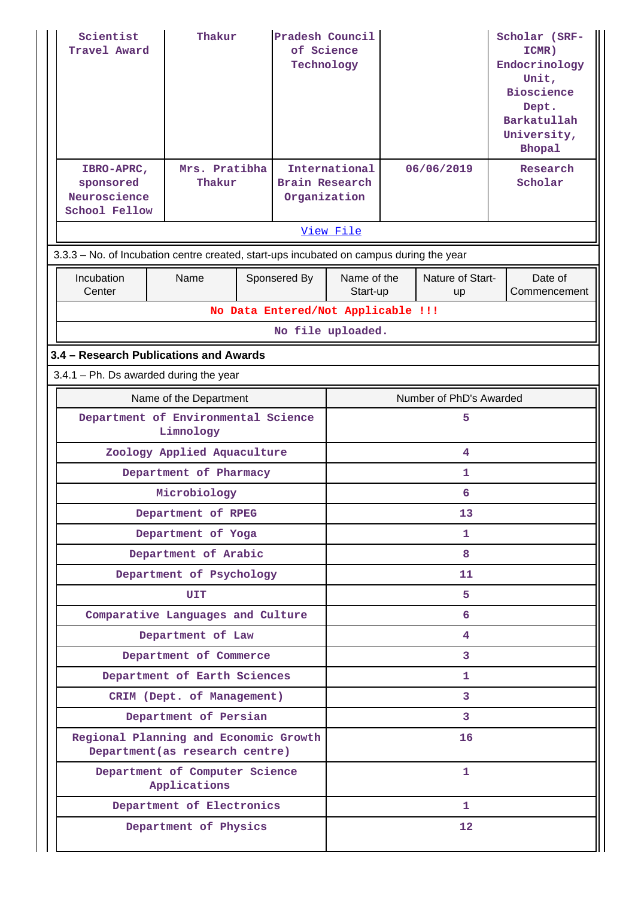| Scientist<br>Travel Award<br>IBRO-APRC,<br>sponsored<br>Neuroscience<br>School Fellow   | Thakur<br>Mrs. Pratibha<br>Thakur |   | Pradesh Council<br>of Science<br>Technology<br>Brain Research<br>Organization | International           |                              | 06/06/2019             |  | Scholar (SRF-<br>ICMR)<br>Endocrinology<br>Unit,<br><b>Bioscience</b><br>Dept.<br>Barkatullah<br>University,<br><b>Bhopal</b><br>Research<br>Scholar |
|-----------------------------------------------------------------------------------------|-----------------------------------|---|-------------------------------------------------------------------------------|-------------------------|------------------------------|------------------------|--|------------------------------------------------------------------------------------------------------------------------------------------------------|
|                                                                                         |                                   |   |                                                                               | View File               |                              |                        |  |                                                                                                                                                      |
| 3.3.3 - No. of Incubation centre created, start-ups incubated on campus during the year |                                   |   |                                                                               |                         |                              |                        |  |                                                                                                                                                      |
| Incubation<br>Center                                                                    | Name                              |   | Sponsered By                                                                  | Name of the<br>Start-up |                              | Nature of Start-<br>up |  | Date of<br>Commencement                                                                                                                              |
|                                                                                         |                                   |   | No Data Entered/Not Applicable !!!                                            |                         |                              |                        |  |                                                                                                                                                      |
| No file uploaded.                                                                       |                                   |   |                                                                               |                         |                              |                        |  |                                                                                                                                                      |
| 3.4 - Research Publications and Awards                                                  |                                   |   |                                                                               |                         |                              |                        |  |                                                                                                                                                      |
| $3.4.1$ – Ph. Ds awarded during the year                                                |                                   |   |                                                                               |                         |                              |                        |  |                                                                                                                                                      |
| Name of the Department                                                                  |                                   |   |                                                                               |                         | Number of PhD's Awarded<br>5 |                        |  |                                                                                                                                                      |
| Department of Environmental Science<br>Limnology                                        |                                   |   |                                                                               |                         |                              |                        |  |                                                                                                                                                      |
| Zoology Applied Aquaculture                                                             |                                   |   |                                                                               |                         |                              | 4                      |  |                                                                                                                                                      |
|                                                                                         | Department of Pharmacy            |   |                                                                               |                         |                              | 1                      |  |                                                                                                                                                      |
|                                                                                         | Microbiology                      |   |                                                                               | 6                       |                              |                        |  |                                                                                                                                                      |
|                                                                                         | Department of RPEG                |   |                                                                               | 13                      |                              |                        |  |                                                                                                                                                      |
|                                                                                         | Department of Yoga                |   |                                                                               | 1                       |                              |                        |  |                                                                                                                                                      |
|                                                                                         | Department of Arabic              |   |                                                                               | 8<br>11                 |                              |                        |  |                                                                                                                                                      |
|                                                                                         | Department of Psychology<br>UIT   |   |                                                                               | 5                       |                              |                        |  |                                                                                                                                                      |
|                                                                                         | Comparative Languages and Culture |   |                                                                               |                         |                              | 6                      |  |                                                                                                                                                      |
|                                                                                         | Department of Law                 |   |                                                                               |                         |                              | 4                      |  |                                                                                                                                                      |
|                                                                                         | Department of Commerce            |   |                                                                               |                         |                              | 3                      |  |                                                                                                                                                      |
|                                                                                         | Department of Earth Sciences      |   |                                                                               |                         |                              | 1                      |  |                                                                                                                                                      |
|                                                                                         | CRIM (Dept. of Management)        |   |                                                                               |                         |                              | 3                      |  |                                                                                                                                                      |
|                                                                                         | Department of Persian             |   |                                                                               |                         |                              | 3                      |  |                                                                                                                                                      |
| Regional Planning and Economic Growth                                                   | Department (as research centre)   |   |                                                                               |                         |                              | 16                     |  |                                                                                                                                                      |
| Department of Computer Science<br>Applications                                          |                                   | 1 |                                                                               |                         |                              |                        |  |                                                                                                                                                      |
|                                                                                         | Department of Electronics         |   |                                                                               | 1                       |                              |                        |  |                                                                                                                                                      |
| Department of Physics                                                                   |                                   |   | 12                                                                            |                         |                              |                        |  |                                                                                                                                                      |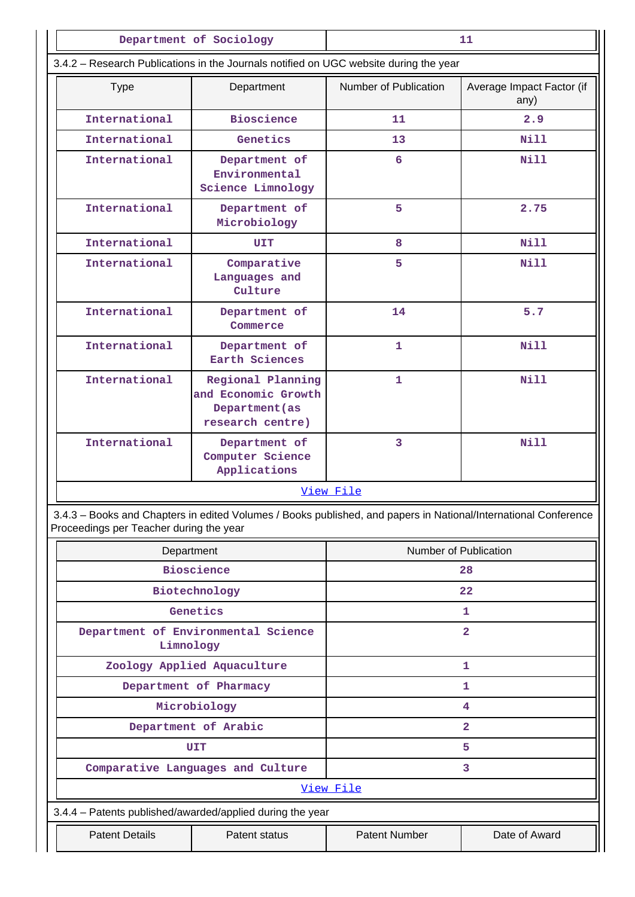|                                         | Department of Sociology                                                                                         | 11                      |                                   |  |  |
|-----------------------------------------|-----------------------------------------------------------------------------------------------------------------|-------------------------|-----------------------------------|--|--|
|                                         | 3.4.2 - Research Publications in the Journals notified on UGC website during the year                           |                         |                                   |  |  |
| <b>Type</b>                             | Department                                                                                                      | Number of Publication   | Average Impact Factor (if<br>any) |  |  |
| International                           | <b>Bioscience</b>                                                                                               | 11                      | 2.9                               |  |  |
| International                           | Genetics                                                                                                        | 13                      | N <sub>i</sub> 11                 |  |  |
| International                           | Department of<br>Environmental<br>Science Limnology                                                             | 6                       | Nill                              |  |  |
| International                           | Department of<br>Microbiology                                                                                   | 5                       | 2.75                              |  |  |
| International                           | UIT                                                                                                             | 8                       | N <sub>i</sub> 11                 |  |  |
| International                           | Comparative<br>Languages and<br>Culture                                                                         | 5                       | Nill                              |  |  |
| International                           | Department of<br>Commerce                                                                                       | 14                      | 5.7                               |  |  |
| International                           | Department of<br>Earth Sciences                                                                                 | $\mathbf{1}$            | Nill                              |  |  |
| International                           | Regional Planning<br>and Economic Growth<br>Department (as<br>research centre)                                  | $\mathbf{1}$            | Nill                              |  |  |
| International                           | Department of<br>Computer Science<br>Applications                                                               | 3                       | Nill                              |  |  |
|                                         |                                                                                                                 | View File               |                                   |  |  |
| Proceedings per Teacher during the year | 3.4.3 - Books and Chapters in edited Volumes / Books published, and papers in National/International Conference |                         |                                   |  |  |
|                                         | Department                                                                                                      |                         | Number of Publication             |  |  |
|                                         | <b>Bioscience</b>                                                                                               |                         | 28                                |  |  |
|                                         | Biotechnology                                                                                                   |                         | 22                                |  |  |
|                                         | Genetics                                                                                                        |                         | 1                                 |  |  |
|                                         | Department of Environmental Science<br>Limnology                                                                | $\overline{\mathbf{2}}$ |                                   |  |  |
|                                         | Zoology Applied Aquaculture                                                                                     |                         | 1                                 |  |  |
|                                         | Department of Pharmacy                                                                                          |                         | 1                                 |  |  |
|                                         | Microbiology                                                                                                    | 4                       |                                   |  |  |

**Department of Arabic 22 (2)** 

**UIT** 5

 **Comparative Languages and Culture 3**

[View File](https://assessmentonline.naac.gov.in/public/Postacc/Books_and_Chapters/14506_Books_and_Chapters_1633089163.xlsx)

 3.4.4 – Patents published/awarded/applied during the year Patent Details | Patent status | Patent Number | Date of Award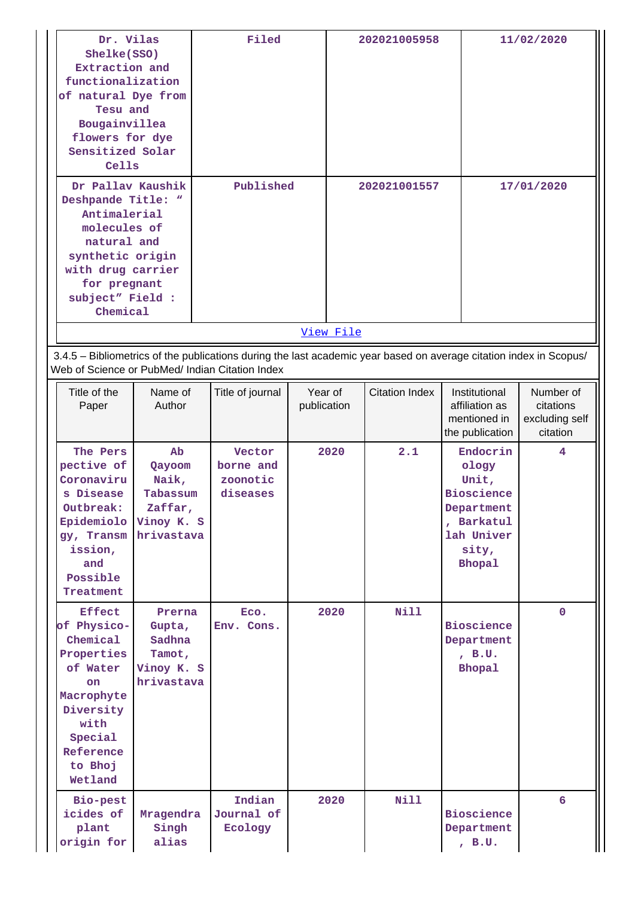| Dr. Vilas<br>Shelke(SSO)<br>Extraction and<br>functionalization<br>of natural Dye from<br>Tesu and<br>Bougainvillea<br>flowers for dye<br>Sensitized Solar<br>Cells             |                                                                          | Filed                                                                                                                                                                 |                        |           | 202021005958          |                                                                                                                     | 11/02/2020                                           |  |
|---------------------------------------------------------------------------------------------------------------------------------------------------------------------------------|--------------------------------------------------------------------------|-----------------------------------------------------------------------------------------------------------------------------------------------------------------------|------------------------|-----------|-----------------------|---------------------------------------------------------------------------------------------------------------------|------------------------------------------------------|--|
| Dr Pallav Kaushik<br>Deshpande Title: "<br>Antimalerial<br>molecules of<br>natural and<br>synthetic origin<br>with drug carrier<br>for pregnant<br>subject" Field :<br>Chemical |                                                                          | Published                                                                                                                                                             |                        | View File | 202021001557          |                                                                                                                     | 17/01/2020                                           |  |
|                                                                                                                                                                                 |                                                                          | 3.4.5 - Bibliometrics of the publications during the last academic year based on average citation index in Scopus/<br>Web of Science or PubMed/ Indian Citation Index |                        |           |                       |                                                                                                                     |                                                      |  |
| Title of the<br>Paper                                                                                                                                                           | Name of<br>Author                                                        | Title of journal                                                                                                                                                      | Year of<br>publication |           | <b>Citation Index</b> | Institutional<br>affiliation as<br>mentioned in<br>the publication                                                  | Number of<br>citations<br>excluding self<br>citation |  |
| The Pers<br>pective of<br>Coronaviru<br>s Disease<br>Outbreak:<br>Epidemiolo<br>gy, Transm<br>ission,<br>and<br>Possible<br>Treatment                                           | Ab<br>Qayoom<br>Naik,<br>Tabassum<br>Zaffar,<br>Vinoy K. S<br>hrivastava | Vector<br>borne and<br>zoonotic<br>diseases                                                                                                                           |                        | 2020      | 2.1                   | Endocrin<br>ology<br>Unit,<br><b>Bioscience</b><br>Department<br>, Barkatul<br>lah Univer<br>sity,<br><b>Bhopal</b> | 4                                                    |  |
| <b>Effect</b><br>of Physico-<br>Chemical<br>Properties<br>of Water<br>on<br>Macrophyte<br>Diversity<br>with<br>Special<br>Reference<br>to Bhoj<br>Wetland                       | Prerna<br>Gupta,<br>Sadhna<br>Tamot,<br>Vinoy K. S<br>hrivastava         | ECO.<br>Env. Cons.                                                                                                                                                    |                        | 2020      | <b>Nill</b>           | <b>Bioscience</b><br>Department<br>, B.U.<br><b>Bhopal</b>                                                          | $\mathbf{0}$                                         |  |
| Bio-pest<br>icides of<br>plant<br>origin for                                                                                                                                    | Mragendra<br>Singh<br>alias                                              | Indian<br>Journal of<br>Ecology                                                                                                                                       |                        | 2020      | <b>Nill</b>           | <b>Bioscience</b><br>Department<br>, B.U.                                                                           | 6                                                    |  |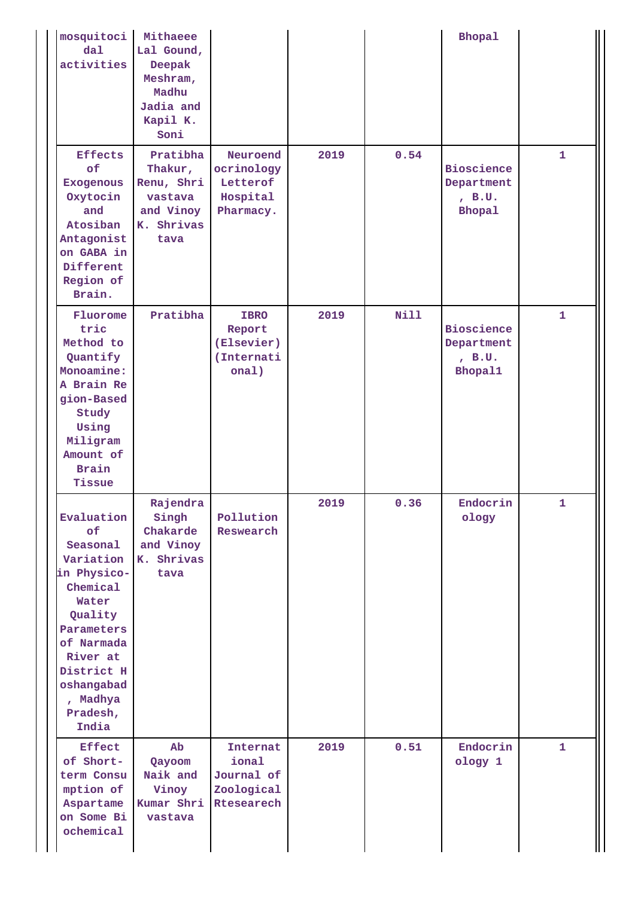| mosquitoci<br>$d$ al<br>activities<br><b>Effects</b><br>of                                                                                                                                    | Mithaeee<br>Lal Gound,<br>Deepak<br>Meshram,<br>Madhu<br>Jadia and<br>Kapil K.<br>Soni<br>Pratibha<br>Thakur, | Neuroend<br>ocrinology                                      | 2019 | 0.54        | <b>Bhopal</b><br><b>Bioscience</b>                   | $\mathbf{1}$ |
|-----------------------------------------------------------------------------------------------------------------------------------------------------------------------------------------------|---------------------------------------------------------------------------------------------------------------|-------------------------------------------------------------|------|-------------|------------------------------------------------------|--------------|
| <b>Exogenous</b><br>Oxytocin<br>and<br>Atosiban<br>Antagonist<br>on GABA in<br>Different<br>Region of<br>Brain.                                                                               | Renu, Shri<br>vastava<br>and Vinoy<br>K. Shrivas<br>tava                                                      | Letterof<br>Hospital<br>Pharmacy.                           |      |             | Department<br>, B.U.<br><b>Bhopal</b>                |              |
| Fluorome<br>tric<br>Method to<br>Quantify<br>Monoamine:<br>A Brain Re<br>gion-Based<br>Study<br>Using<br>Miligram<br>Amount of<br><b>Brain</b><br>Tissue                                      | Pratibha                                                                                                      | <b>IBRO</b><br>Report<br>(Elsevier)<br>(Internati<br>onal)  | 2019 | <b>Nill</b> | <b>Bioscience</b><br>Department<br>, B.U.<br>Bhopal1 | $\mathbf{1}$ |
| Evaluation<br>of<br>Seasonal<br>Variation<br>in Physico-<br>Chemical<br>Water<br>Quality<br>Parameters<br>of Narmada<br>River at<br>District H<br>oshangabad<br>, Madhya<br>Pradesh,<br>India | Rajendra<br>Singh<br>Chakarde<br>and Vinoy<br>K. Shrivas<br>tava                                              | Pollution<br>Reswearch                                      | 2019 | 0.36        | Endocrin<br>ology                                    | $\mathbf{1}$ |
| <b>Effect</b><br>of Short-<br>term Consu<br>mption of<br>Aspartame<br>on Some Bi<br>ochemical                                                                                                 | $\mathbf{A}\mathbf{b}$<br>Qayoom<br>Naik and<br>Vinoy<br>Kumar Shri<br>vastava                                | Internat<br>ional<br>Journal of<br>Zoological<br>Rtesearech | 2019 | 0.51        | Endocrin<br>ology 1                                  | $\mathbf{1}$ |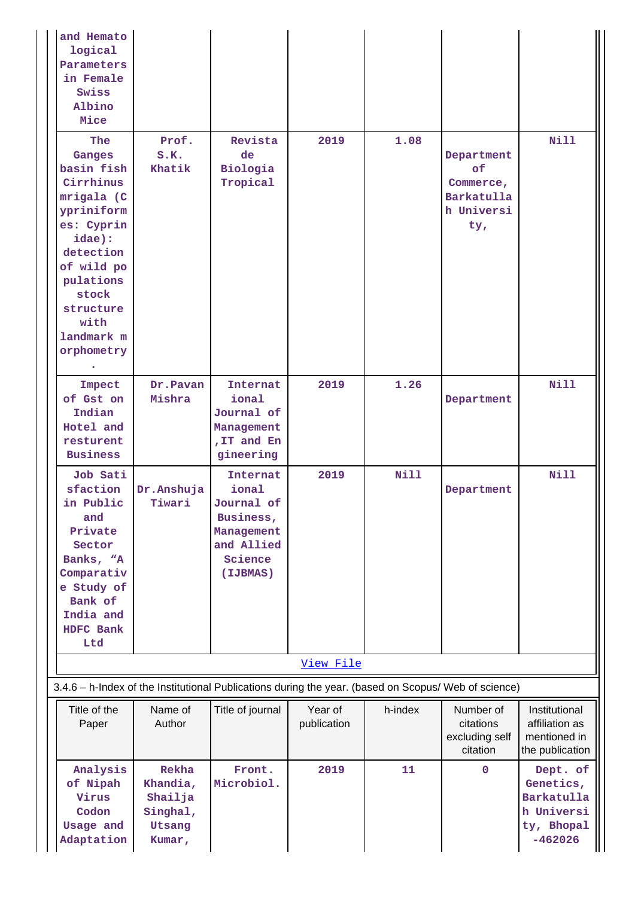| and Hemato<br>logical<br>Parameters<br>in Female<br>Swiss<br>Albino<br>Mice                                                                                                                           |                                                              |                                                                                                 |                        |         |                                                                  |                                                                              |
|-------------------------------------------------------------------------------------------------------------------------------------------------------------------------------------------------------|--------------------------------------------------------------|-------------------------------------------------------------------------------------------------|------------------------|---------|------------------------------------------------------------------|------------------------------------------------------------------------------|
| <b>The</b><br>Ganges<br>basin fish<br>Cirrhinus<br>mrigala (C<br>ypriniform<br>es: Cyprin<br>idae):<br>detection<br>of wild po<br>pulations<br>stock<br>structure<br>with<br>landmark m<br>orphometry | Prof.<br>S.K.<br>Khatik                                      | Revista<br>de<br>Biologia<br>Tropical                                                           | 2019                   | 1.08    | Department<br>of<br>Commerce,<br>Barkatulla<br>h Universi<br>ty, | Nill                                                                         |
| Impect<br>of Gst on<br>Indian<br>Hotel and<br>resturent<br><b>Business</b>                                                                                                                            | Dr.Pavan<br>Mishra                                           | <b>Internat</b><br>ional<br>Journal of<br>Management<br>, IT and En<br>gineering                | 2019                   | 1.26    | Department                                                       | <b>Nill</b>                                                                  |
| Job Sati<br>sfaction<br>in Public<br>and<br>Private<br>Sector<br>Banks, "A<br>Comparativ<br>e Study of<br>Bank of<br>India and<br>HDFC Bank<br>Ltd                                                    | Dr.Anshuja<br>Tiwari                                         | Internat<br>ional<br>Journal of<br>Business,<br>Management<br>and Allied<br>Science<br>(IJBMAS) | 2019                   | Nill    | Department                                                       | Nill                                                                         |
| 3.4.6 - h-Index of the Institutional Publications during the year. (based on Scopus/ Web of science)                                                                                                  |                                                              |                                                                                                 | View File              |         |                                                                  |                                                                              |
|                                                                                                                                                                                                       |                                                              |                                                                                                 |                        |         |                                                                  |                                                                              |
| Title of the<br>Paper                                                                                                                                                                                 | Name of<br>Author                                            | Title of journal                                                                                | Year of<br>publication | h-index | Number of<br>citations<br>excluding self<br>citation             | Institutional<br>affiliation as<br>mentioned in<br>the publication           |
| Analysis<br>of Nipah<br>Virus<br>Codon<br>Usage and<br>Adaptation                                                                                                                                     | Rekha<br>Khandia,<br>Shailja<br>Singhal,<br>Utsang<br>Kumar, | Front.<br>Microbiol.                                                                            | 2019                   | 11      | $\mathbf{0}$                                                     | Dept. of<br>Genetics,<br>Barkatulla<br>h Universi<br>ty, Bhopal<br>$-462026$ |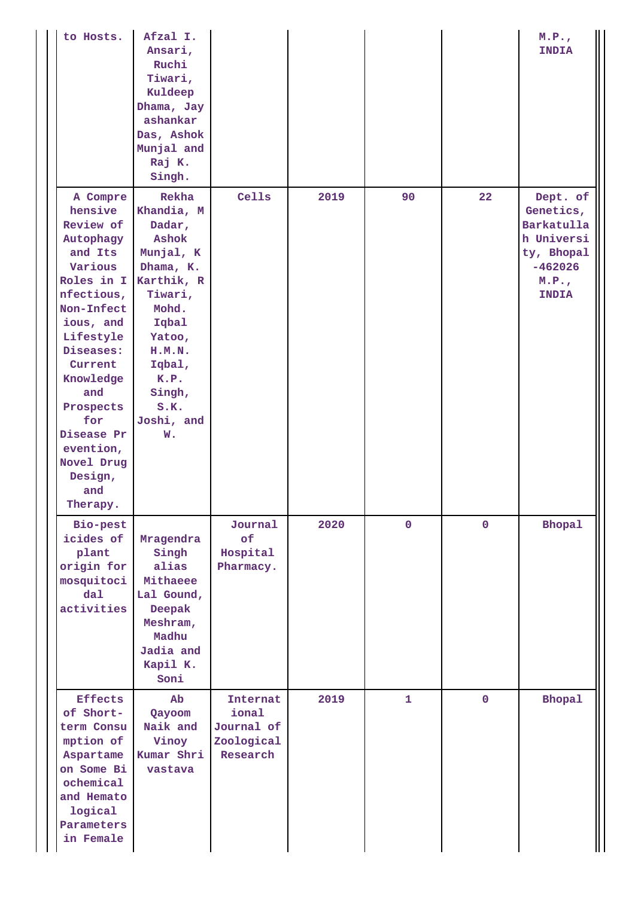| to Hosts.                                                                                                                                                                                                                                                                      | Afzal I.<br>Ansari,<br>Ruchi<br>Tiwari,<br>Kuldeep<br>Dhama, Jay<br>ashankar<br>Das, Ashok<br>Munjal and<br>Raj K.<br>Singh.                                                            |                                                           |      |              |              | M.P.<br>INDIA                                                                                        |
|--------------------------------------------------------------------------------------------------------------------------------------------------------------------------------------------------------------------------------------------------------------------------------|-----------------------------------------------------------------------------------------------------------------------------------------------------------------------------------------|-----------------------------------------------------------|------|--------------|--------------|------------------------------------------------------------------------------------------------------|
| A Compre<br>hensive<br>Review of<br>Autophagy<br>and Its<br>Various<br>Roles in I<br>nfectious,<br>Non-Infect<br>ious, and<br>Lifestyle<br>Diseases:<br>Current<br>Knowledge<br>and<br>Prospects<br>for<br>Disease Pr<br>evention,<br>Novel Drug<br>Design,<br>and<br>Therapy. | Rekha<br>Khandia, M<br>Dadar,<br>Ashok<br>Munjal, K<br>Dhama, K.<br>Karthik, R<br>Tiwari,<br>Mohd.<br>Iqbal<br>Yatoo,<br>H.M.N.<br>Iqbal,<br>K.P.<br>Singh,<br>S.K.<br>Joshi, and<br>w. | Cells                                                     | 2019 | 90           | 22           | Dept. of<br>Genetics,<br>Barkatulla<br>h Universi<br>ty, Bhopal<br>$-462026$<br>M.P.<br><b>INDIA</b> |
| Bio-pest<br>icides of<br>plant<br>origin for<br>mosquitoci<br>$d$ al<br>activities                                                                                                                                                                                             | Mragendra<br>Singh<br>alias<br>Mithaeee<br>Lal Gound,<br>Deepak<br>Meshram,<br>Madhu<br>Jadia and<br>Kapil K.<br>Soni                                                                   | Journal<br>of<br>Hospital<br>Pharmacy.                    | 2020 | $\mathbf 0$  | $\mathbf 0$  | <b>Bhopal</b>                                                                                        |
| <b>Effects</b><br>of Short-<br>term Consu<br>mption of<br>Aspartame<br>on Some Bi<br>ochemical<br>and Hemato<br>logical<br>Parameters<br>in Female                                                                                                                             | Ab<br>Qayoom<br>Naik and<br>Vinoy<br>Kumar Shri<br>vastava                                                                                                                              | Internat<br>ional<br>Journal of<br>Zoological<br>Research | 2019 | $\mathbf{1}$ | $\mathbf{O}$ | <b>Bhopal</b>                                                                                        |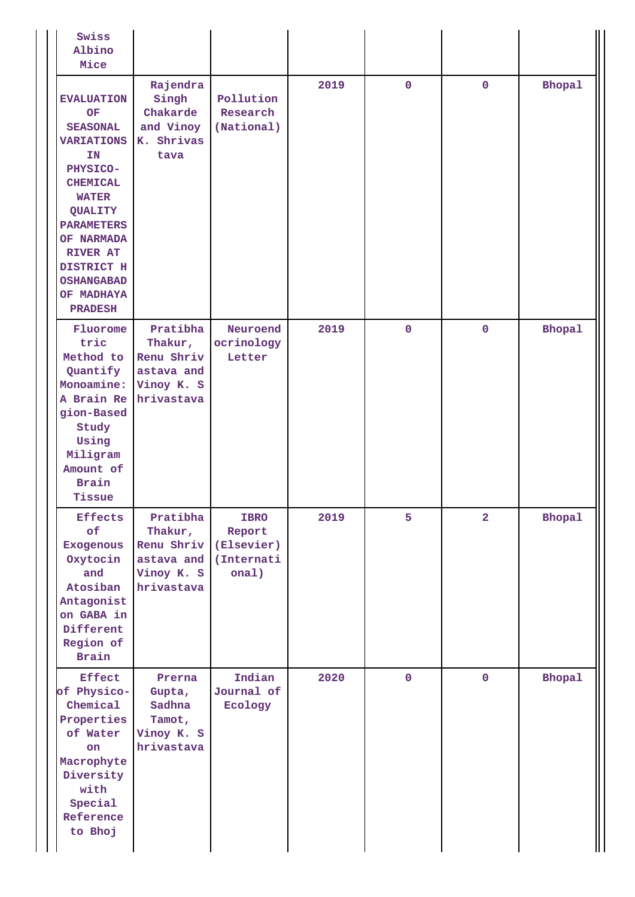| Swiss<br>Albino<br>Mice                                                                                                                                                                                                                                         |                                                                             |                                                            |      |             |                |               |
|-----------------------------------------------------------------------------------------------------------------------------------------------------------------------------------------------------------------------------------------------------------------|-----------------------------------------------------------------------------|------------------------------------------------------------|------|-------------|----------------|---------------|
| <b>EVALUATION</b><br><b>OF</b><br><b>SEASONAL</b><br><b>VARIATIONS</b><br>IN<br>PHYSICO-<br><b>CHEMICAL</b><br><b>WATER</b><br>QUALITY<br><b>PARAMETERS</b><br>OF NARMADA<br><b>RIVER AT</b><br>DISTRICT H<br><b>OSHANGABAD</b><br>OF MADHAYA<br><b>PRADESH</b> | Rajendra<br>Singh<br>Chakarde<br>and Vinoy<br>K. Shrivas<br>tava            | Pollution<br>Research<br>(National)                        | 2019 | $\mathbf 0$ | $\mathbf 0$    | <b>Bhopal</b> |
| Fluorome<br>tric<br>Method to<br>Quantify<br>Monoamine:<br>A Brain Re<br>gion-Based<br>Study<br>Using<br>Miligram<br>Amount of<br><b>Brain</b><br>Tissue                                                                                                        | Pratibha<br>Thakur,<br>Renu Shriv<br>astava and<br>Vinoy K. S<br>hrivastava | Neuroend<br>ocrinology<br>Letter                           | 2019 | $\mathbf 0$ | $\mathbf 0$    | <b>Bhopal</b> |
| <b>Effects</b><br>of<br><b>Exogenous</b><br>Oxytocin<br>and<br>Atosiban<br>Antagonist<br>on GABA in<br>Different<br>Region of<br><b>Brain</b>                                                                                                                   | Pratibha<br>Thakur,<br>Renu Shriv<br>astava and<br>Vinoy K. S<br>hrivastava | <b>IBRO</b><br>Report<br>(Elsevier)<br>(Internati<br>onal) | 2019 | 5           | $\overline{a}$ | <b>Bhopal</b> |
| <b>Effect</b><br>of Physico-<br>Chemical<br>Properties<br>of Water<br>on<br>Macrophyte<br>Diversity<br>with<br>Special<br>Reference<br>to Bhoj                                                                                                                  | Prerna<br>Gupta,<br>Sadhna<br>Tamot,<br>Vinoy K. S<br>hrivastava            | Indian<br>Journal of<br>Ecology                            | 2020 | $\mathbf 0$ | $\mathbf 0$    | Bhopal        |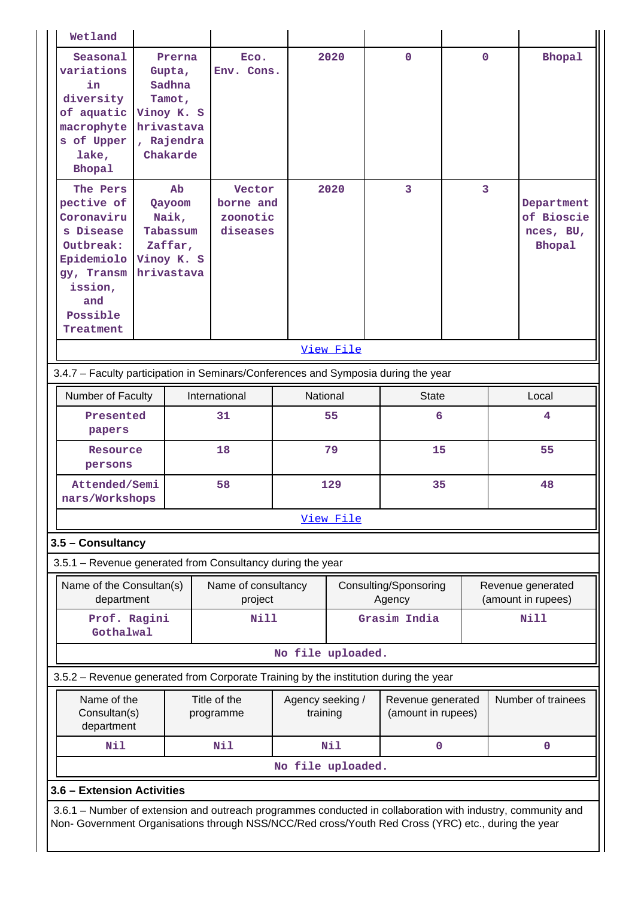| Wetland                                                                                                                                      |           |                                                                                            |                                             |                              |           |                                         |             |    |                                                        |
|----------------------------------------------------------------------------------------------------------------------------------------------|-----------|--------------------------------------------------------------------------------------------|---------------------------------------------|------------------------------|-----------|-----------------------------------------|-------------|----|--------------------------------------------------------|
| Seasonal<br>variations<br>in<br>diversity<br>of aquatic<br>macrophyte<br>s of Upper<br>lake,<br><b>Bhopal</b>                                |           | Prerna<br>Gupta,<br>Sadhna<br>Tamot,<br>Vinoy K. S<br>hrivastava<br>, Rajendra<br>Chakarde | Eco.<br>Env. Cons.                          |                              | 2020      | $\mathbf{0}$                            | $\mathbf 0$ |    | <b>Bhopal</b>                                          |
| The Pers<br>pective of<br>Coronaviru<br>s Disease<br>Outbreak:<br>Epidemiolo<br>gy, Transm<br>ission,<br>and<br>Possible<br><b>Treatment</b> |           | Ab<br>Qayoom<br>Naik,<br>Tabassum<br>Zaffar,<br>Vinoy K. S<br>hrivastava                   | Vector<br>borne and<br>zoonotic<br>diseases |                              | 2020      | 3                                       | 3           |    | Department<br>of Bioscie<br>nces, BU,<br><b>Bhopal</b> |
|                                                                                                                                              |           |                                                                                            |                                             |                              | View File |                                         |             |    |                                                        |
| 3.4.7 - Faculty participation in Seminars/Conferences and Symposia during the year                                                           |           |                                                                                            |                                             |                              |           |                                         |             |    |                                                        |
| International<br>National<br>Number of Faculty<br><b>State</b>                                                                               |           |                                                                                            |                                             |                              |           | Local                                   |             |    |                                                        |
|                                                                                                                                              | Presented |                                                                                            |                                             |                              | 55        | 6                                       |             |    | 4                                                      |
| papers                                                                                                                                       |           |                                                                                            |                                             |                              |           |                                         |             |    |                                                        |
| Resource<br>persons                                                                                                                          |           |                                                                                            | 18                                          |                              | 79        | 55<br>15                                |             |    |                                                        |
| Attended/Semi<br>nars/Workshops                                                                                                              |           |                                                                                            | 58                                          | 129                          |           | 35                                      |             | 48 |                                                        |
|                                                                                                                                              |           |                                                                                            |                                             |                              | View File |                                         |             |    |                                                        |
| 3.5 - Consultancy                                                                                                                            |           |                                                                                            |                                             |                              |           |                                         |             |    |                                                        |
| 3.5.1 - Revenue generated from Consultancy during the year                                                                                   |           |                                                                                            |                                             |                              |           |                                         |             |    |                                                        |
| Name of the Consultan(s)<br>department                                                                                                       |           |                                                                                            | Name of consultancy<br>project              |                              |           | Consulting/Sponsoring<br>Agency         |             |    | Revenue generated<br>(amount in rupees)                |
| Prof. Ragini<br>Gothalwal                                                                                                                    |           |                                                                                            | Nill                                        |                              |           | Grasim India                            |             |    | Nill                                                   |
|                                                                                                                                              |           |                                                                                            |                                             | No file uploaded.            |           |                                         |             |    |                                                        |
| 3.5.2 - Revenue generated from Corporate Training by the institution during the year                                                         |           |                                                                                            |                                             |                              |           |                                         |             |    |                                                        |
| Name of the<br>Consultan(s)<br>department                                                                                                    |           |                                                                                            | Title of the<br>programme                   | Agency seeking /<br>training |           | Revenue generated<br>(amount in rupees) |             |    | Number of trainees                                     |
| Nil                                                                                                                                          |           |                                                                                            | Nil                                         |                              | Nil       | $\mathbf{0}$                            |             |    | $\mathbf 0$                                            |
|                                                                                                                                              |           |                                                                                            |                                             | No file uploaded.            |           |                                         |             |    |                                                        |
| 3.6 - Extension Activities                                                                                                                   |           |                                                                                            |                                             |                              |           |                                         |             |    |                                                        |
| 3.6.1 – Number of extension and outreach programmes conducted in collaboration with industry, community and                                  |           |                                                                                            |                                             |                              |           |                                         |             |    |                                                        |
| Non- Government Organisations through NSS/NCC/Red cross/Youth Red Cross (YRC) etc., during the year                                          |           |                                                                                            |                                             |                              |           |                                         |             |    |                                                        |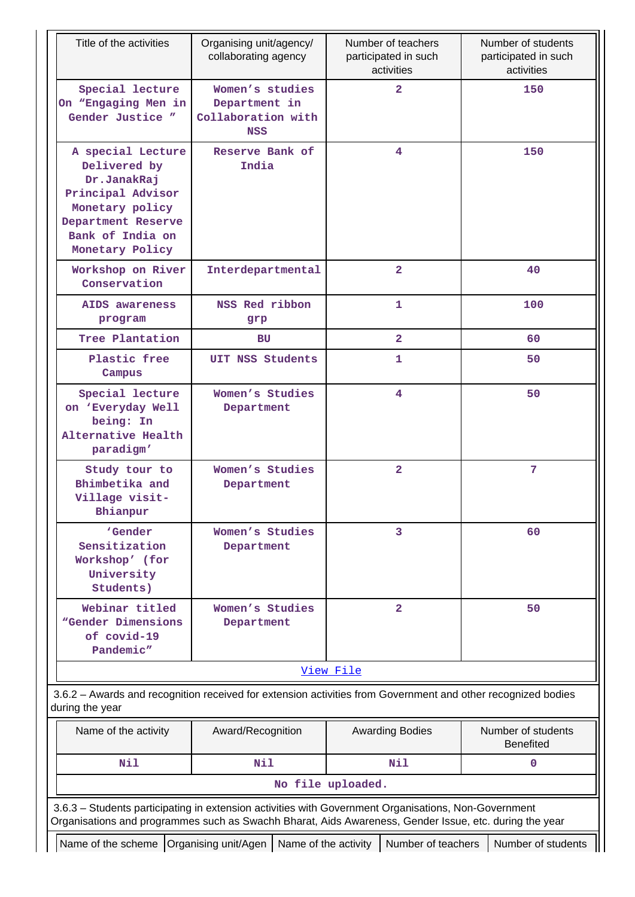|                                                                                                                                                       | Organising unit/agency/<br>collaborating agency                      | Number of teachers<br>participated in such<br>activities | Number of students<br>participated in such<br>activities |
|-------------------------------------------------------------------------------------------------------------------------------------------------------|----------------------------------------------------------------------|----------------------------------------------------------|----------------------------------------------------------|
| Special lecture<br>On "Engaging Men in<br>Gender Justice "                                                                                            | Women's studies<br>Department in<br>Collaboration with<br><b>NSS</b> | $\overline{2}$                                           | 150                                                      |
| A special Lecture<br>Delivered by<br>Dr.JanakRaj<br>Principal Advisor<br>Monetary policy<br>Department Reserve<br>Bank of India on<br>Monetary Policy | Reserve Bank of<br>India                                             | 4                                                        | 150                                                      |
| Workshop on River<br>Conservation                                                                                                                     | Interdepartmental                                                    | $\mathbf{2}$                                             | 40                                                       |
| AIDS awareness<br>program                                                                                                                             | NSS Red ribbon<br>grp                                                | $\mathbf{1}$                                             | 100                                                      |
| Tree Plantation                                                                                                                                       | BU                                                                   | $\overline{2}$                                           | 60                                                       |
| Plastic free<br>Campus                                                                                                                                | UIT NSS Students                                                     | $\mathbf{1}$                                             | 50                                                       |
| Special lecture<br>on 'Everyday Well<br>being: In<br>Alternative Health<br>paradigm'                                                                  | Women's Studies<br>Department                                        | $\overline{4}$                                           | 50                                                       |
| Study tour to<br>Bhimbetika and<br>Village visit-<br>Bhianpur                                                                                         | Women's Studies<br>Department                                        | $\overline{2}$                                           | $\overline{7}$                                           |
| 'Gender<br>Sensitization<br>Workshop' (for<br>University<br>Students)                                                                                 | Women's Studies<br>Department                                        | 3                                                        | 60                                                       |
| Webinar titled<br>"Gender Dimensions<br>of covid-19<br>Pandemic"                                                                                      | Women's Studies<br>Department                                        | $\overline{a}$                                           | 50                                                       |
|                                                                                                                                                       |                                                                      | View File                                                |                                                          |
| 3.6.2 - Awards and recognition received for extension activities from Government and other recognized bodies<br>during the year                       |                                                                      |                                                          |                                                          |
| Name of the activity                                                                                                                                  | Award/Recognition                                                    | <b>Awarding Bodies</b>                                   | Number of students<br><b>Benefited</b>                   |
| <b>Nil</b>                                                                                                                                            | Nil                                                                  | Nil                                                      | $\mathbf 0$                                              |
|                                                                                                                                                       |                                                                      | No file uploaded.                                        |                                                          |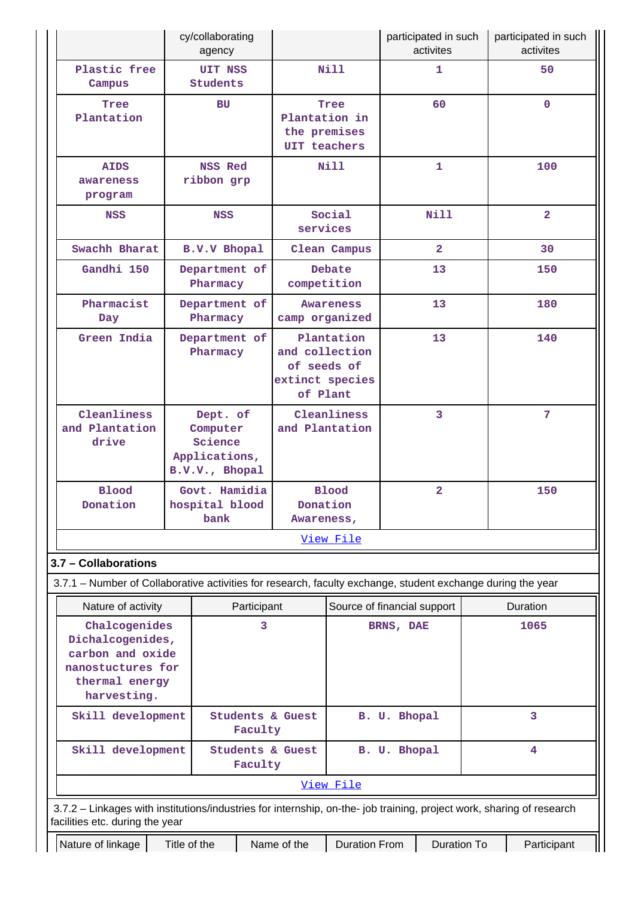|                                                                                                                                                          |                                                                                                   | cy/collaborating<br>agency                                         |             |                                                                            |                                          |              | participated in such<br>activites |      | participated in such<br>activites |
|----------------------------------------------------------------------------------------------------------------------------------------------------------|---------------------------------------------------------------------------------------------------|--------------------------------------------------------------------|-------------|----------------------------------------------------------------------------|------------------------------------------|--------------|-----------------------------------|------|-----------------------------------|
| Plastic free<br>Campus                                                                                                                                   |                                                                                                   | <b>UIT NSS</b><br>Students                                         |             |                                                                            | <b>Nill</b>                              |              | $\mathbf{1}$                      |      | 50                                |
| Tree<br>Plantation                                                                                                                                       |                                                                                                   | BU                                                                 |             | Plantation in<br>the premises<br>UIT teachers                              | Tree                                     |              | 60                                |      | $\mathbf{O}$                      |
| <b>AIDS</b><br>awareness<br>program                                                                                                                      |                                                                                                   | <b>NSS Red</b><br>ribbon grp                                       |             |                                                                            | <b>Nill</b>                              |              | $\mathbf{1}$                      |      | 100                               |
| <b>NSS</b>                                                                                                                                               |                                                                                                   | <b>NSS</b>                                                         |             | services                                                                   | Social                                   |              | <b>Nill</b>                       |      | $\overline{2}$                    |
| Swachh Bharat                                                                                                                                            |                                                                                                   | <b>B.V.V Bhopal</b>                                                |             |                                                                            | Clean Campus                             |              | $\overline{2}$                    |      | 30                                |
| Gandhi 150                                                                                                                                               |                                                                                                   | Department of<br>Pharmacy                                          |             | competition                                                                | Debate                                   |              | 13                                |      | 150                               |
| Pharmacist<br>Day                                                                                                                                        |                                                                                                   | Department of<br>Pharmacy                                          |             | camp organized                                                             | <b>Awareness</b>                         |              | 13                                |      | 180                               |
| Green India                                                                                                                                              |                                                                                                   | Department of<br>Pharmacy                                          |             | Plantation<br>and collection<br>of seeds of<br>extinct species<br>of Plant |                                          | 13           |                                   |      | 140                               |
| Cleanliness<br>and Plantation<br>drive                                                                                                                   |                                                                                                   | Dept. of<br>Computer<br>Science<br>Applications,<br>B.V.V., Bhopal |             | Cleanliness<br>and Plantation                                              |                                          |              | 3                                 |      | 7                                 |
| <b>Blood</b><br>Donation                                                                                                                                 |                                                                                                   | Govt. Hamidia<br>hospital blood<br>bank                            |             | Donation<br>Awareness,                                                     | <b>Blood</b>                             |              | $\overline{2}$                    |      | 150                               |
|                                                                                                                                                          |                                                                                                   |                                                                    |             |                                                                            | View File                                |              |                                   |      |                                   |
| 3.7 - Collaborations                                                                                                                                     |                                                                                                   |                                                                    |             |                                                                            |                                          |              |                                   |      |                                   |
| 3.7.1 – Number of Collaborative activities for research, faculty exchange, student exchange during the year                                              |                                                                                                   |                                                                    |             |                                                                            |                                          |              |                                   |      |                                   |
| Nature of activity                                                                                                                                       |                                                                                                   |                                                                    | Participant |                                                                            |                                          |              |                                   |      | Duration                          |
| harvesting.                                                                                                                                              | Chalcogenides<br>3<br>Dichalcogenides,<br>carbon and oxide<br>nanostuctures for<br>thermal energy |                                                                    |             |                                                                            | Source of financial support<br>BRNS, DAE |              |                                   | 1065 |                                   |
|                                                                                                                                                          | Skill development<br><b>Students &amp; Guest</b><br>Faculty                                       |                                                                    |             |                                                                            |                                          | B. U. Bhopal |                                   |      | 3                                 |
|                                                                                                                                                          | <b>Students &amp; Guest</b><br>Skill development<br>Faculty                                       |                                                                    |             | B. U. Bhopal                                                               |                                          |              |                                   | 4    |                                   |
|                                                                                                                                                          |                                                                                                   |                                                                    |             |                                                                            | View File                                |              |                                   |      |                                   |
| 3.7.2 - Linkages with institutions/industries for internship, on-the- job training, project work, sharing of research<br>facilities etc. during the year |                                                                                                   |                                                                    |             |                                                                            |                                          |              |                                   |      |                                   |
| Nature of linkage                                                                                                                                        | Title of the                                                                                      |                                                                    |             | Name of the                                                                | <b>Duration From</b>                     |              | Duration To                       |      | Participant                       |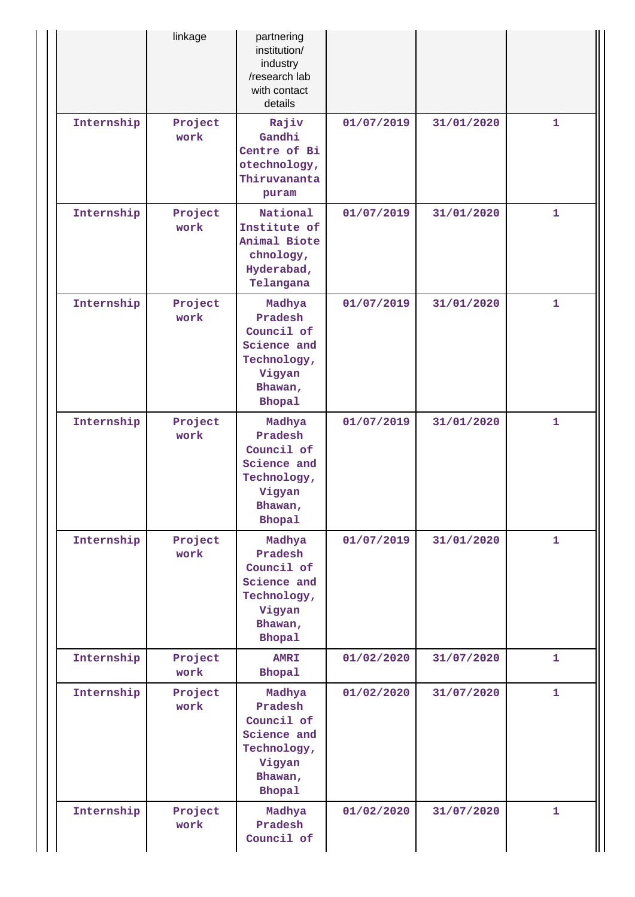|            | linkage         | partnering<br>institution/<br>industry<br>/research lab<br>with contact<br>details                  |            |            |              |
|------------|-----------------|-----------------------------------------------------------------------------------------------------|------------|------------|--------------|
| Internship | Project<br>work | Rajiv<br>Gandhi<br>Centre of Bi<br>otechnology,<br>Thiruvananta<br>puram                            | 01/07/2019 | 31/01/2020 | 1            |
| Internship | Project<br>work | National<br>Institute of<br>Animal Biote<br>chnology,<br>Hyderabad,<br>Telangana                    | 01/07/2019 | 31/01/2020 | $\mathbf{1}$ |
| Internship | Project<br>work | Madhya<br>Pradesh<br>Council of<br>Science and<br>Technology,<br>Vigyan<br>Bhawan,<br><b>Bhopal</b> | 01/07/2019 | 31/01/2020 | $\mathbf{1}$ |
| Internship | Project<br>work | Madhya<br>Pradesh<br>Council of<br>Science and<br>Technology,<br>Vigyan<br>Bhawan,<br>Bhopal        | 01/07/2019 | 31/01/2020 | 1            |
| Internship | Project<br>work | Madhya<br>Pradesh<br>Council of<br>Science and<br>Technology,<br>Vigyan<br>Bhawan,<br>Bhopal        | 01/07/2019 | 31/01/2020 | $\mathbf{1}$ |
| Internship | Project<br>work | <b>AMRI</b><br><b>Bhopal</b>                                                                        | 01/02/2020 | 31/07/2020 | 1            |
| Internship | Project<br>work | Madhya<br>Pradesh<br>Council of<br>Science and<br>Technology,<br>Vigyan<br>Bhawan,<br><b>Bhopal</b> | 01/02/2020 | 31/07/2020 | 1            |
| Internship | Project<br>work | Madhya<br>Pradesh<br>Council of                                                                     | 01/02/2020 | 31/07/2020 | 1            |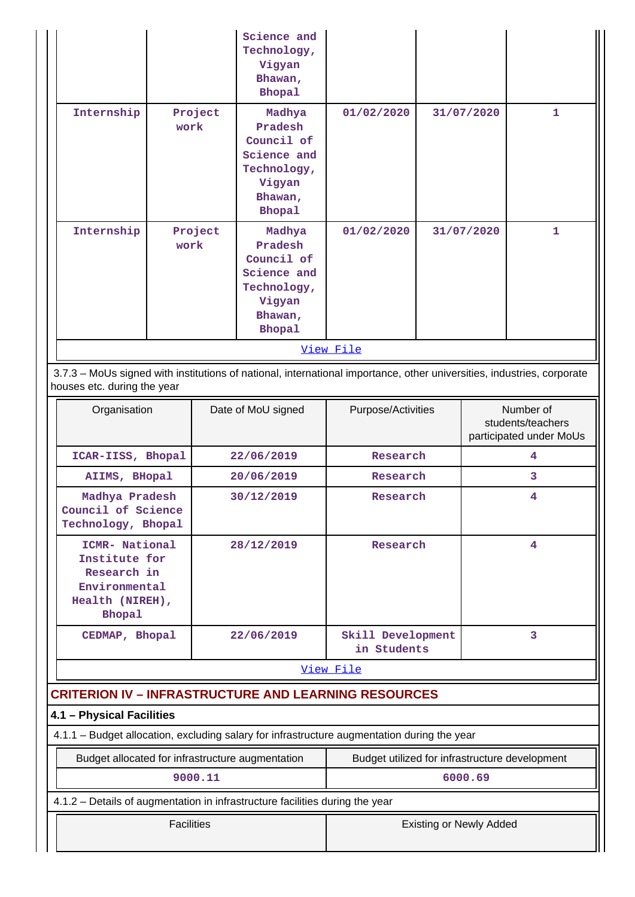|                                                                                                                                                       |                 | Science and<br>Technology,<br>Vigyan<br>Bhawan,<br><b>Bhopal</b>                                    |            |            |              |  |  |
|-------------------------------------------------------------------------------------------------------------------------------------------------------|-----------------|-----------------------------------------------------------------------------------------------------|------------|------------|--------------|--|--|
| Internship                                                                                                                                            | Project<br>work | Madhya<br>Pradesh<br>Council of<br>Science and<br>Technology,<br>Vigyan<br>Bhawan,<br><b>Bhopal</b> | 01/02/2020 | 31/07/2020 | $\mathbf{1}$ |  |  |
| Internship                                                                                                                                            | Project<br>work | Madhya<br>Pradesh<br>Council of<br>Science and<br>Technology,<br>Vigyan<br>Bhawan,<br><b>Bhopal</b> | 01/02/2020 | 31/07/2020 | 1            |  |  |
|                                                                                                                                                       | View File       |                                                                                                     |            |            |              |  |  |
| 3.7.3 - MoUs signed with institutions of national, international importance, other universities, industries, corporate<br>houses etc. during the year |                 |                                                                                                     |            |            |              |  |  |

| Organisation                                                                                        | Date of MoU signed | Purpose/Activities               | Number of<br>students/teachers<br>participated under MoUs |
|-----------------------------------------------------------------------------------------------------|--------------------|----------------------------------|-----------------------------------------------------------|
| ICAR-IISS, Bhopal                                                                                   | 22/06/2019         | Research                         | 4                                                         |
| AIIMS, BHopal                                                                                       | 20/06/2019         | Research                         | 3                                                         |
| Madhya Pradesh<br>Council of Science<br>Technology, Bhopal                                          | 30/12/2019         | Research                         | 4                                                         |
| ICMR- National<br>Institute for<br>Research in<br>Environmental<br>Health (NIREH),<br><b>Bhopal</b> | 28/12/2019         | Research                         | 4                                                         |
| CEDMAP, Bhopal                                                                                      | 22/06/2019         | Skill Development<br>in Students | 3                                                         |
|                                                                                                     |                    | View File                        |                                                           |
| <b>CRITERION IV - INFRASTRUCTURE AND LEARNING RESOURCES</b>                                         |                    |                                  |                                                           |
| 4.1 - Physical Facilities                                                                           |                    |                                  |                                                           |
| 4.1.1 – Budget allocation, excluding salary for infrastructure augmentation during the year         |                    |                                  |                                                           |

| Budget allocated for infrastructure augmentation                             | Budget utilized for infrastructure development |  |  |
|------------------------------------------------------------------------------|------------------------------------------------|--|--|
| 9000.11                                                                      | 6000.69                                        |  |  |
| 4.1.2 – Details of augmentation in infrastructure facilities during the year |                                                |  |  |
| <b>Facilities</b>                                                            | <b>Existing or Newly Added</b>                 |  |  |

 $\mathbf{I}$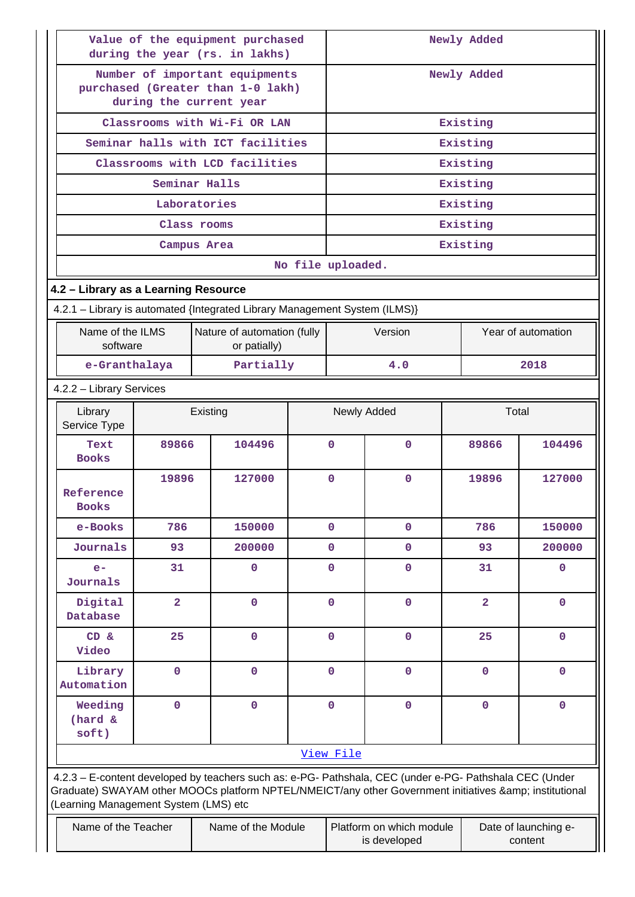| Value of the equipment purchased<br>during the year (rs. in lakhs)                             |                                   |                                                                                                                                                                                                                |                   | Newly Added |                                          |                |                                 |  |
|------------------------------------------------------------------------------------------------|-----------------------------------|----------------------------------------------------------------------------------------------------------------------------------------------------------------------------------------------------------------|-------------------|-------------|------------------------------------------|----------------|---------------------------------|--|
| Number of important equipments<br>purchased (Greater than 1-0 lakh)<br>during the current year |                                   |                                                                                                                                                                                                                |                   | Newly Added |                                          |                |                                 |  |
|                                                                                                | Classrooms with Wi-Fi OR LAN      |                                                                                                                                                                                                                |                   |             | Existing                                 |                |                                 |  |
|                                                                                                | Seminar halls with ICT facilities |                                                                                                                                                                                                                |                   |             |                                          | Existing       |                                 |  |
|                                                                                                |                                   | Classrooms with LCD facilities                                                                                                                                                                                 |                   |             |                                          | Existing       |                                 |  |
|                                                                                                |                                   | Seminar Halls                                                                                                                                                                                                  |                   |             |                                          | Existing       |                                 |  |
|                                                                                                |                                   | Laboratories                                                                                                                                                                                                   |                   |             |                                          | Existing       |                                 |  |
|                                                                                                |                                   | Class rooms                                                                                                                                                                                                    |                   |             |                                          | Existing       |                                 |  |
|                                                                                                |                                   | Campus Area                                                                                                                                                                                                    |                   |             |                                          | Existing       |                                 |  |
|                                                                                                |                                   |                                                                                                                                                                                                                | No file uploaded. |             |                                          |                |                                 |  |
| 4.2 - Library as a Learning Resource                                                           |                                   |                                                                                                                                                                                                                |                   |             |                                          |                |                                 |  |
|                                                                                                |                                   | 4.2.1 - Library is automated {Integrated Library Management System (ILMS)}                                                                                                                                     |                   |             |                                          |                |                                 |  |
| Name of the ILMS<br>software                                                                   |                                   | Nature of automation (fully<br>or patially)                                                                                                                                                                    |                   |             | Version                                  |                | Year of automation              |  |
| e-Granthalaya                                                                                  |                                   | Partially                                                                                                                                                                                                      |                   |             | 4.0                                      |                | 2018                            |  |
| 4.2.2 - Library Services                                                                       |                                   |                                                                                                                                                                                                                |                   |             |                                          |                |                                 |  |
| Library<br>Service Type                                                                        | Existing                          |                                                                                                                                                                                                                |                   |             | Newly Added                              | Total          |                                 |  |
| Text<br><b>Books</b>                                                                           | 89866                             | 104496                                                                                                                                                                                                         |                   | $\mathbf 0$ | $\mathbf{O}$                             | 89866          | 104496                          |  |
| Reference<br><b>Books</b>                                                                      | 19896                             | 127000                                                                                                                                                                                                         |                   | $\mathbf 0$ | $\mathbf{O}$                             | 19896          | 127000                          |  |
| e-Books                                                                                        | 786                               | 150000                                                                                                                                                                                                         |                   | $\mathbf 0$ | $\mathbf{O}$                             | 786            | 150000                          |  |
| Journals                                                                                       | 93                                | 200000                                                                                                                                                                                                         |                   | $\mathbf 0$ | $\mathbf{O}$                             | 93             | 200000                          |  |
| $e-$<br>Journals                                                                               | 31                                | 0                                                                                                                                                                                                              |                   | $\mathbf 0$ | $\mathbf 0$                              | 31             | $\mathbf 0$                     |  |
| Digital<br>Database                                                                            | $\overline{a}$                    | 0                                                                                                                                                                                                              |                   | $\mathbf 0$ | $\mathbf{0}$                             | $\overline{2}$ | $\mathbf{0}$                    |  |
| CD &<br>Video                                                                                  | 25                                | 0                                                                                                                                                                                                              |                   | $\mathbf 0$ | $\mathbf 0$                              | 25             | $\mathbf 0$                     |  |
| Library<br>Automation                                                                          | $\mathbf{O}$                      | 0                                                                                                                                                                                                              |                   | $\mathbf 0$ | $\mathbf{O}$                             | $\mathbf 0$    | $\mathbf{0}$                    |  |
| Weeding<br>(hard &<br>soft)                                                                    | $\mathbf 0$                       | $\mathbf 0$                                                                                                                                                                                                    |                   | $\mathbf 0$ | $\mathbf 0$                              | $\mathbf 0$    | $\mathbf{0}$                    |  |
|                                                                                                |                                   |                                                                                                                                                                                                                |                   | View File   |                                          |                |                                 |  |
| (Learning Management System (LMS) etc                                                          |                                   | 4.2.3 - E-content developed by teachers such as: e-PG- Pathshala, CEC (under e-PG- Pathshala CEC (Under<br>Graduate) SWAYAM other MOOCs platform NPTEL/NMEICT/any other Government initiatives & institutional |                   |             |                                          |                |                                 |  |
| Name of the Teacher                                                                            |                                   | Name of the Module                                                                                                                                                                                             |                   |             | Platform on which module<br>is developed |                | Date of launching e-<br>content |  |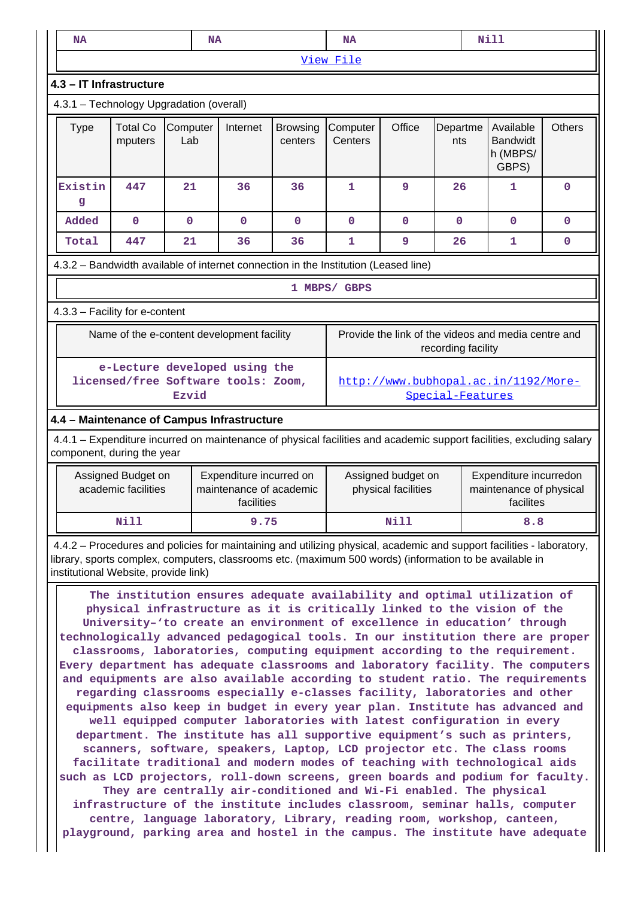|                                                                                                                                                                                                                                                                                                   |                                            |                 | <b>NA</b> |                         |                            | <b>NA</b>                                                                |                     |                    | <b>Nill</b>                                         |               |
|---------------------------------------------------------------------------------------------------------------------------------------------------------------------------------------------------------------------------------------------------------------------------------------------------|--------------------------------------------|-----------------|-----------|-------------------------|----------------------------|--------------------------------------------------------------------------|---------------------|--------------------|-----------------------------------------------------|---------------|
|                                                                                                                                                                                                                                                                                                   |                                            |                 |           |                         | View File                  |                                                                          |                     |                    |                                                     |               |
| 4.3 - IT Infrastructure                                                                                                                                                                                                                                                                           |                                            |                 |           |                         |                            |                                                                          |                     |                    |                                                     |               |
| 4.3.1 - Technology Upgradation (overall)                                                                                                                                                                                                                                                          |                                            |                 |           |                         |                            |                                                                          |                     |                    |                                                     |               |
| <b>Type</b>                                                                                                                                                                                                                                                                                       | <b>Total Co</b><br>mputers                 | Computer<br>Lab |           | Internet                | <b>Browsing</b><br>centers | Computer<br>Centers                                                      | Office              | Departme<br>nts    | Available<br><b>Bandwidt</b><br>h (MBPS/<br>GBPS)   | <b>Others</b> |
| Existin<br>g                                                                                                                                                                                                                                                                                      | 447                                        | 21              |           | 36                      | 36                         | $\mathbf{1}$                                                             | 9                   | 26                 | $\mathbf{1}$                                        | 0             |
| Added                                                                                                                                                                                                                                                                                             | $\mathbf 0$                                | 0               |           | $\mathbf 0$             | $\mathbf 0$                | $\mathbf 0$                                                              | 0                   | 0                  | $\mathbf{0}$                                        | 0             |
| Total                                                                                                                                                                                                                                                                                             | 447                                        | 21              |           | 36                      | 36                         | 1                                                                        | 9                   | 26                 | 1                                                   | 0             |
| 4.3.2 - Bandwidth available of internet connection in the Institution (Leased line)                                                                                                                                                                                                               |                                            |                 |           |                         |                            |                                                                          |                     |                    |                                                     |               |
|                                                                                                                                                                                                                                                                                                   |                                            |                 |           |                         |                            | 1 MBPS/ GBPS                                                             |                     |                    |                                                     |               |
| 4.3.3 - Facility for e-content                                                                                                                                                                                                                                                                    |                                            |                 |           |                         |                            |                                                                          |                     |                    |                                                     |               |
|                                                                                                                                                                                                                                                                                                   | Name of the e-content development facility |                 |           |                         |                            |                                                                          |                     | recording facility | Provide the link of the videos and media centre and |               |
| e-Lecture developed using the<br>licensed/free Software tools: Zoom,<br>http://www.bubhopal.ac.in/1192/More-<br>Special-Features<br>Ezvid                                                                                                                                                         |                                            |                 |           |                         |                            |                                                                          |                     |                    |                                                     |               |
| 4.4 - Maintenance of Campus Infrastructure<br>4.4.1 – Expenditure incurred on maintenance of physical facilities and academic support facilities, excluding salary<br>component, during the year<br>Assigned Budget on<br>Expenditure incurred on<br>Assigned budget on<br>Expenditure incurredon |                                            |                 |           |                         |                            |                                                                          |                     |                    |                                                     |               |
|                                                                                                                                                                                                                                                                                                   | academic facilities                        |                 |           | maintenance of academic |                            |                                                                          | physical facilities |                    | maintenance of physical                             |               |
|                                                                                                                                                                                                                                                                                                   |                                            |                 |           | facilities              |                            |                                                                          |                     |                    | facilites                                           |               |
|                                                                                                                                                                                                                                                                                                   | Nill                                       |                 |           | 9.75                    |                            |                                                                          | Nill                |                    | 8.8                                                 |               |
| 4.4.2 - Procedures and policies for maintaining and utilizing physical, academic and support facilities - laboratory,<br>library, sports complex, computers, classrooms etc. (maximum 500 words) (information to be available in<br>institutional Website, provide link)                          |                                            |                 |           |                         |                            | The institution ensures adequate availability and optimal utilization of |                     |                    |                                                     |               |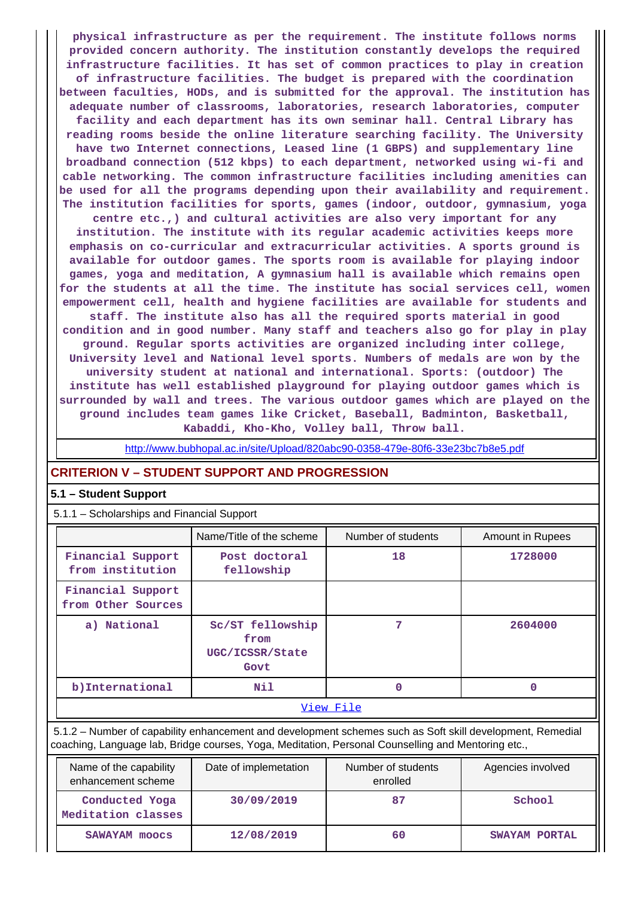**physical infrastructure as per the requirement. The institute follows norms provided concern authority. The institution constantly develops the required infrastructure facilities. It has set of common practices to play in creation of infrastructure facilities. The budget is prepared with the coordination between faculties, HODs, and is submitted for the approval. The institution has adequate number of classrooms, laboratories, research laboratories, computer facility and each department has its own seminar hall. Central Library has reading rooms beside the online literature searching facility. The University have two Internet connections, Leased line (1 GBPS) and supplementary line broadband connection (512 kbps) to each department, networked using wi-fi and cable networking. The common infrastructure facilities including amenities can be used for all the programs depending upon their availability and requirement. The institution facilities for sports, games (indoor, outdoor, gymnasium, yoga centre etc.,) and cultural activities are also very important for any institution. The institute with its regular academic activities keeps more emphasis on co-curricular and extracurricular activities. A sports ground is available for outdoor games. The sports room is available for playing indoor games, yoga and meditation, A gymnasium hall is available which remains open for the students at all the time. The institute has social services cell, women empowerment cell, health and hygiene facilities are available for students and staff. The institute also has all the required sports material in good**

**condition and in good number. Many staff and teachers also go for play in play ground. Regular sports activities are organized including inter college, University level and National level sports. Numbers of medals are won by the university student at national and international. Sports: (outdoor) The institute has well established playground for playing outdoor games which is surrounded by wall and trees. The various outdoor games which are played on the ground includes team games like Cricket, Baseball, Badminton, Basketball, Kabaddi, Kho-Kho, Volley ball, Throw ball.**

<http://www.bubhopal.ac.in/site/Upload/820abc90-0358-479e-80f6-33e23bc7b8e5.pdf>

#### **CRITERION V – STUDENT SUPPORT AND PROGRESSION**

#### **5.1 – Student Support**

5.1.1 – Scholarships and Financial Support

|                                                                                                           | Name/Title of the scheme                            | Number of students | Amount in Rupees |  |  |  |
|-----------------------------------------------------------------------------------------------------------|-----------------------------------------------------|--------------------|------------------|--|--|--|
| Financial Support<br>from institution                                                                     | Post doctoral<br>fellowship                         | 18                 | 1728000          |  |  |  |
| Financial Support<br>from Other Sources                                                                   |                                                     |                    |                  |  |  |  |
| a) National                                                                                               | Sc/ST fellowship<br>from<br>UGC/ICSSR/State<br>Govt | 7                  | 2604000          |  |  |  |
| b) International                                                                                          | Nil                                                 | 0                  | 0                |  |  |  |
|                                                                                                           | View File                                           |                    |                  |  |  |  |
| 5.1.2 – Number of capability enhancement and development schemes such as Soft skill development, Remedial |                                                     |                    |                  |  |  |  |

coaching, Language lab, Bridge courses, Yoga, Meditation, Personal Counselling and Mentoring etc.,

| Name of the capability<br>enhancement scheme | Date of implemetation | Number of students<br>enrolled | Agencies involved |
|----------------------------------------------|-----------------------|--------------------------------|-------------------|
| Conducted Yoga<br>Meditation classes         | 30/09/2019            | 87                             | School            |
| <b>SAWAYAM moocs</b>                         | 12/08/2019            | 60                             | SWAYAM PORTAL     |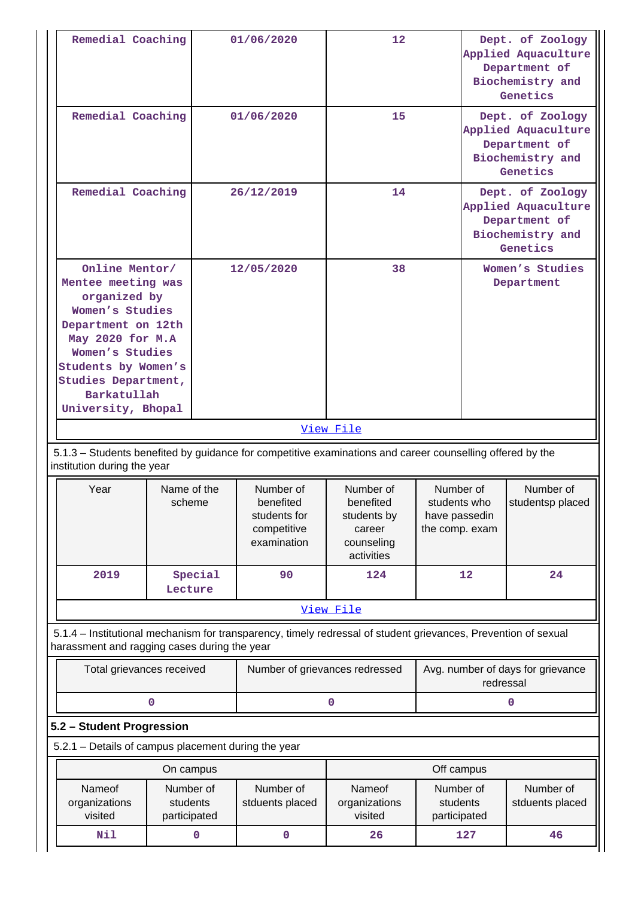| Remedial Coaching                                                                                                                                                                                                       |                                       | 01/06/2020                                                                                                     | $12 \overline{ }$                                                           |                                                              |                                                                                          | Dept. of Zoology<br>Applied Aquaculture<br>Department of<br>Biochemistry and<br>Genetics |
|-------------------------------------------------------------------------------------------------------------------------------------------------------------------------------------------------------------------------|---------------------------------------|----------------------------------------------------------------------------------------------------------------|-----------------------------------------------------------------------------|--------------------------------------------------------------|------------------------------------------------------------------------------------------|------------------------------------------------------------------------------------------|
| Remedial Coaching                                                                                                                                                                                                       |                                       | 01/06/2020                                                                                                     | 15                                                                          |                                                              |                                                                                          | Dept. of Zoology<br>Applied Aquaculture<br>Department of<br>Biochemistry and<br>Genetics |
| Remedial Coaching                                                                                                                                                                                                       |                                       | 26/12/2019                                                                                                     | 14                                                                          |                                                              | Dept. of Zoology<br>Applied Aquaculture<br>Department of<br>Biochemistry and<br>Genetics |                                                                                          |
| Online Mentor/<br>Mentee meeting was<br>organized by<br>Women's Studies<br>Department on 12th<br>May 2020 for M.A<br>Women's Studies<br>Students by Women's<br>Studies Department,<br>Barkatullah<br>University, Bhopal |                                       | 12/05/2020                                                                                                     | 38                                                                          |                                                              |                                                                                          | Women's Studies<br>Department                                                            |
|                                                                                                                                                                                                                         |                                       |                                                                                                                | View File                                                                   |                                                              |                                                                                          |                                                                                          |
|                                                                                                                                                                                                                         |                                       |                                                                                                                |                                                                             |                                                              |                                                                                          |                                                                                          |
| institution during the year                                                                                                                                                                                             |                                       | 5.1.3 – Students benefited by guidance for competitive examinations and career counselling offered by the      |                                                                             |                                                              |                                                                                          |                                                                                          |
| Year                                                                                                                                                                                                                    | Name of the<br>scheme                 | Number of<br>benefited<br>students for<br>competitive<br>examination                                           | Number of<br>benefited<br>students by<br>career<br>counseling<br>activities | Number of<br>students who<br>have passedin<br>the comp. exam |                                                                                          | Number of<br>studentsp placed                                                            |
| 2019                                                                                                                                                                                                                    | Special<br>Lecture                    | 90                                                                                                             | 124                                                                         |                                                              | 12                                                                                       | 24                                                                                       |
|                                                                                                                                                                                                                         |                                       |                                                                                                                | View File                                                                   |                                                              |                                                                                          |                                                                                          |
| harassment and ragging cases during the year                                                                                                                                                                            |                                       | 5.1.4 – Institutional mechanism for transparency, timely redressal of student grievances, Prevention of sexual |                                                                             |                                                              |                                                                                          |                                                                                          |
| Total grievances received                                                                                                                                                                                               |                                       | Number of grievances redressed                                                                                 |                                                                             |                                                              | redressal                                                                                | Avg. number of days for grievance                                                        |
|                                                                                                                                                                                                                         | 0                                     |                                                                                                                | 0                                                                           |                                                              |                                                                                          | 0                                                                                        |
| 5.2 - Student Progression                                                                                                                                                                                               |                                       |                                                                                                                |                                                                             |                                                              |                                                                                          |                                                                                          |
| 5.2.1 - Details of campus placement during the year                                                                                                                                                                     |                                       |                                                                                                                |                                                                             |                                                              |                                                                                          |                                                                                          |
|                                                                                                                                                                                                                         | On campus                             |                                                                                                                |                                                                             | Off campus                                                   |                                                                                          |                                                                                          |
| Nameof<br>organizations<br>visited                                                                                                                                                                                      | Number of<br>students<br>participated | Number of<br>stduents placed                                                                                   | Nameof<br>organizations<br>visited                                          | Number of<br>students<br>participated                        |                                                                                          | Number of<br>stduents placed                                                             |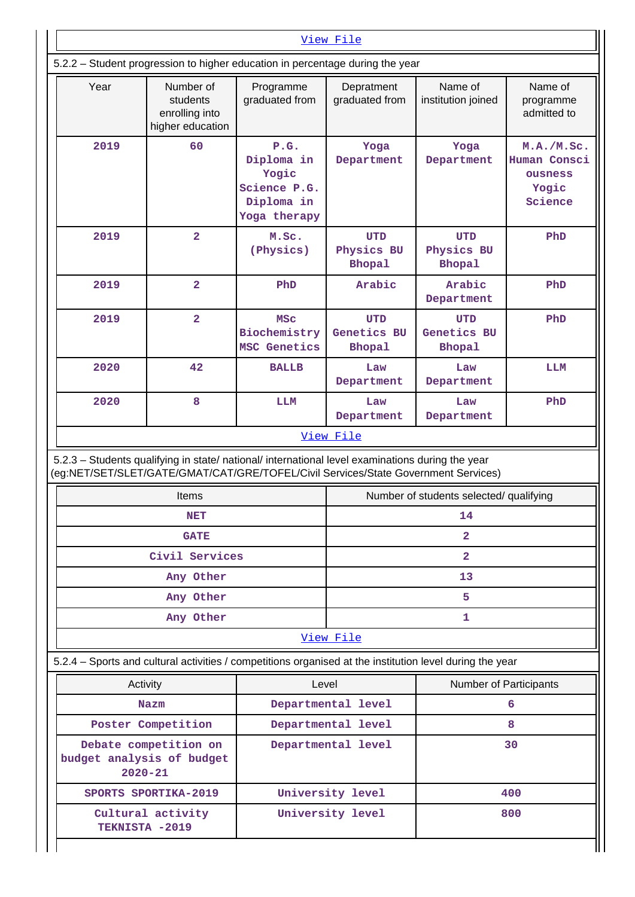| View File                                                                                                                                                                              |                                                                   |                                                                           |                                            |                                            |                                                           |
|----------------------------------------------------------------------------------------------------------------------------------------------------------------------------------------|-------------------------------------------------------------------|---------------------------------------------------------------------------|--------------------------------------------|--------------------------------------------|-----------------------------------------------------------|
| 5.2.2 - Student progression to higher education in percentage during the year                                                                                                          |                                                                   |                                                                           |                                            |                                            |                                                           |
| Year                                                                                                                                                                                   | Number of<br>students<br>enrolling into<br>higher education       | Programme<br>graduated from                                               | Depratment<br>graduated from               | Name of<br>institution joined              | Name of<br>programme<br>admitted to                       |
| 2019                                                                                                                                                                                   | 60                                                                | P.G.<br>Diploma in<br>Yogic<br>Science P.G.<br>Diploma in<br>Yoga therapy | Yoga<br>Department                         | Yoga<br>Department                         | M.A./M.Sc.<br>Human Consci<br>ousness<br>Yogic<br>Science |
| 2019                                                                                                                                                                                   | $\overline{\mathbf{2}}$                                           | M.Sc.<br>(Physics)                                                        | <b>UTD</b><br>Physics BU<br><b>Bhopal</b>  | <b>UTD</b><br>Physics BU<br><b>Bhopal</b>  | PhD                                                       |
| 2019                                                                                                                                                                                   | $\overline{2}$                                                    | PhD                                                                       | Arabic                                     | Arabic<br>Department                       | PhD                                                       |
| 2019                                                                                                                                                                                   | $\overline{\mathbf{2}}$                                           | <b>MSC</b><br>Biochemistry<br>MSC Genetics                                | <b>UTD</b><br>Genetics BU<br><b>Bhopal</b> | <b>UTD</b><br>Genetics BU<br><b>Bhopal</b> | PhD                                                       |
| 2020                                                                                                                                                                                   | 42                                                                | <b>BALLB</b>                                                              | Law<br>Department                          | Law<br>Department                          | LLM                                                       |
| 2020                                                                                                                                                                                   | 8                                                                 | <b>LLM</b>                                                                | Law<br>Department                          | Law<br>Department                          | PhD                                                       |
|                                                                                                                                                                                        |                                                                   |                                                                           | <u>View File</u>                           |                                            |                                                           |
| 5.2.3 - Students qualifying in state/ national/ international level examinations during the year<br>(eg:NET/SET/SLET/GATE/GMAT/CAT/GRE/TOFEL/Civil Services/State Government Services) |                                                                   |                                                                           |                                            |                                            |                                                           |
|                                                                                                                                                                                        | Items                                                             |                                                                           |                                            | Number of students selected/ qualifying    |                                                           |
|                                                                                                                                                                                        | <b>NET</b>                                                        |                                                                           |                                            | 14                                         |                                                           |
|                                                                                                                                                                                        | <b>GATE</b>                                                       |                                                                           |                                            | $\overline{2}$                             |                                                           |
|                                                                                                                                                                                        | Civil Services                                                    |                                                                           |                                            | $\overline{\mathbf{2}}$                    |                                                           |
|                                                                                                                                                                                        | Any Other                                                         |                                                                           |                                            | 13                                         |                                                           |
|                                                                                                                                                                                        | Any Other                                                         |                                                                           | 5                                          |                                            |                                                           |
|                                                                                                                                                                                        | Any Other                                                         |                                                                           | 1                                          |                                            |                                                           |
|                                                                                                                                                                                        |                                                                   |                                                                           | View File                                  |                                            |                                                           |
| 5.2.4 – Sports and cultural activities / competitions organised at the institution level during the year                                                                               |                                                                   |                                                                           |                                            |                                            |                                                           |
|                                                                                                                                                                                        | Activity                                                          | Level                                                                     | Number of Participants                     |                                            |                                                           |
|                                                                                                                                                                                        | Nazm                                                              |                                                                           | Departmental level                         |                                            | 6                                                         |
|                                                                                                                                                                                        | Poster Competition                                                |                                                                           | Departmental level                         | 8                                          |                                                           |
|                                                                                                                                                                                        | Debate competition on<br>budget analysis of budget<br>$2020 - 21$ |                                                                           | Departmental level                         |                                            | 30                                                        |
|                                                                                                                                                                                        | SPORTS SPORTIKA-2019                                              |                                                                           | University level                           |                                            | 400                                                       |
| TEKNISTA -2019                                                                                                                                                                         | Cultural activity                                                 |                                                                           | University level                           |                                            | 800                                                       |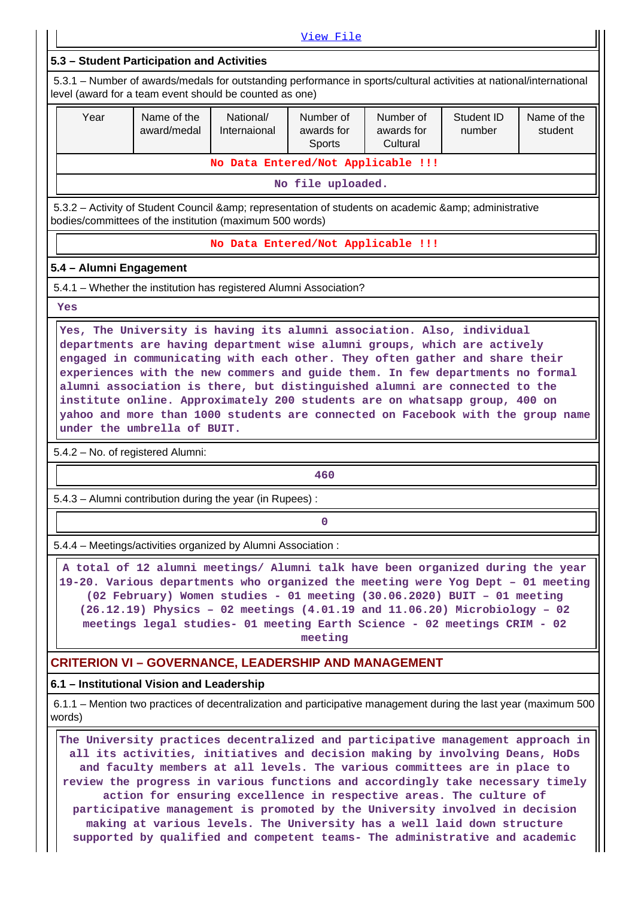[View File](https://assessmentonline.naac.gov.in/public/Postacc/Activities_Organised/14506_Activities_Organised_1635585786.xlsx) **5.3 – Student Participation and Activities** 5.3.1 – Number of awards/medals for outstanding performance in sports/cultural activities at national/international level (award for a team event should be counted as one) Year **Name of the** award/medal National/ Internaional Number of awards for Sports Number of awards for **Cultural** Student ID number Name of the student **No Data Entered/Not Applicable !!! No file uploaded.** 5.3.2 – Activity of Student Council & amp; representation of students on academic & amp; administrative bodies/committees of the institution (maximum 500 words) **No Data Entered/Not Applicable !!! 5.4 – Alumni Engagement** 5.4.1 – Whether the institution has registered Alumni Association?  **Yes Yes, The University is having its alumni association. Also, individual departments are having department wise alumni groups, which are actively engaged in communicating with each other. They often gather and share their experiences with the new commers and guide them. In few departments no formal alumni association is there, but distinguished alumni are connected to the institute online. Approximately 200 students are on whatsapp group, 400 on yahoo and more than 1000 students are connected on Facebook with the group name under the umbrella of BUIT.** 5.4.2 – No. of registered Alumni: **460** 5.4.3 – Alumni contribution during the year (in Rupees) : **0** 5.4.4 – Meetings/activities organized by Alumni Association : **A total of 12 alumni meetings/ Alumni talk have been organized during the year**

**19-20. Various departments who organized the meeting were Yog Dept – 01 meeting (02 February) Women studies - 01 meeting (30.06.2020) BUIT – 01 meeting (26.12.19) Physics – 02 meetings (4.01.19 and 11.06.20) Microbiology – 02 meetings legal studies- 01 meeting Earth Science - 02 meetings CRIM - 02 meeting**

## **CRITERION VI – GOVERNANCE, LEADERSHIP AND MANAGEMENT**

## **6.1 – Institutional Vision and Leadership**

 6.1.1 – Mention two practices of decentralization and participative management during the last year (maximum 500 words)

 **The University practices decentralized and participative management approach in all its activities, initiatives and decision making by involving Deans, HoDs and faculty members at all levels. The various committees are in place to review the progress in various functions and accordingly take necessary timely action for ensuring excellence in respective areas. The culture of participative management is promoted by the University involved in decision making at various levels. The University has a well laid down structure supported by qualified and competent teams- The administrative and academic**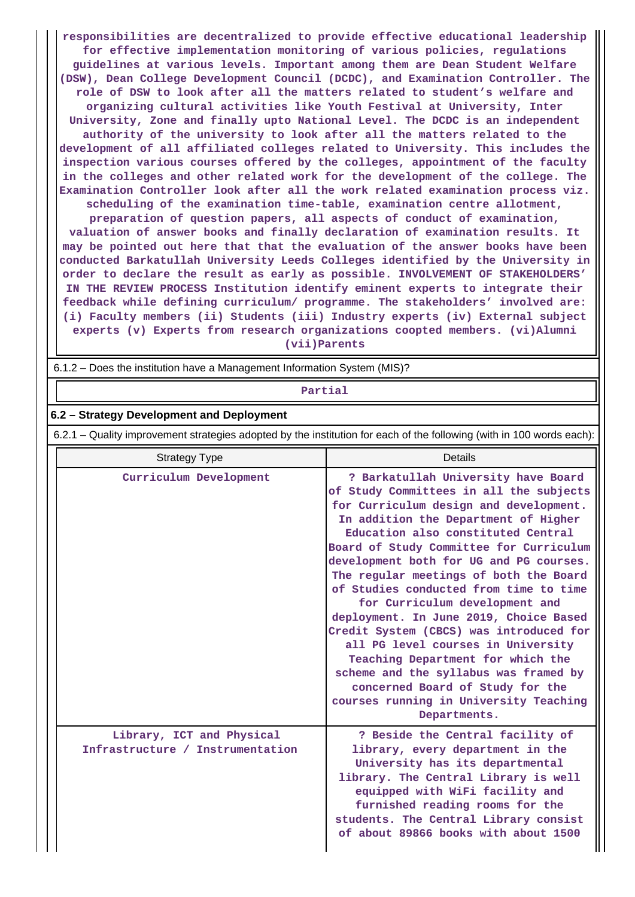**responsibilities are decentralized to provide effective educational leadership for effective implementation monitoring of various policies, regulations guidelines at various levels. Important among them are Dean Student Welfare (DSW), Dean College Development Council (DCDC), and Examination Controller. The role of DSW to look after all the matters related to student's welfare and organizing cultural activities like Youth Festival at University, Inter University, Zone and finally upto National Level. The DCDC is an independent authority of the university to look after all the matters related to the development of all affiliated colleges related to University. This includes the inspection various courses offered by the colleges, appointment of the faculty in the colleges and other related work for the development of the college. The Examination Controller look after all the work related examination process viz. scheduling of the examination time-table, examination centre allotment,**

**preparation of question papers, all aspects of conduct of examination, valuation of answer books and finally declaration of examination results. It may be pointed out here that that the evaluation of the answer books have been conducted Barkatullah University Leeds Colleges identified by the University in order to declare the result as early as possible. INVOLVEMENT OF STAKEHOLDERS' IN THE REVIEW PROCESS Institution identify eminent experts to integrate their feedback while defining curriculum/ programme. The stakeholders' involved are: (i) Faculty members (ii) Students (iii) Industry experts (iv) External subject experts (v) Experts from research organizations coopted members. (vi)Alumni (vii)Parents**

6.1.2 – Does the institution have a Management Information System (MIS)?

#### **Partial**

#### **6.2 – Strategy Development and Deployment**

6.2.1 – Quality improvement strategies adopted by the institution for each of the following (with in 100 words each):

| <b>Strategy Type</b>                                          | Details                                                                                                                                                                                                                                                                                                                                                                                                                                                                                                                                                                                                                                                                                                                   |
|---------------------------------------------------------------|---------------------------------------------------------------------------------------------------------------------------------------------------------------------------------------------------------------------------------------------------------------------------------------------------------------------------------------------------------------------------------------------------------------------------------------------------------------------------------------------------------------------------------------------------------------------------------------------------------------------------------------------------------------------------------------------------------------------------|
| Curriculum Development                                        | ? Barkatullah University have Board<br>of Study Committees in all the subjects<br>for Curriculum design and development.<br>In addition the Department of Higher<br>Education also constituted Central<br>Board of Study Committee for Curriculum<br>development both for UG and PG courses.<br>The regular meetings of both the Board<br>of Studies conducted from time to time<br>for Curriculum development and<br>deployment. In June 2019, Choice Based<br>Credit System (CBCS) was introduced for<br>all PG level courses in University<br>Teaching Department for which the<br>scheme and the syllabus was framed by<br>concerned Board of Study for the<br>courses running in University Teaching<br>Departments. |
| Library, ICT and Physical<br>Infrastructure / Instrumentation | ? Beside the Central facility of<br>library, every department in the<br>University has its departmental<br>library. The Central Library is well<br>equipped with WiFi facility and<br>furnished reading rooms for the<br>students. The Central Library consist<br>of about 89866 books with about 1500                                                                                                                                                                                                                                                                                                                                                                                                                    |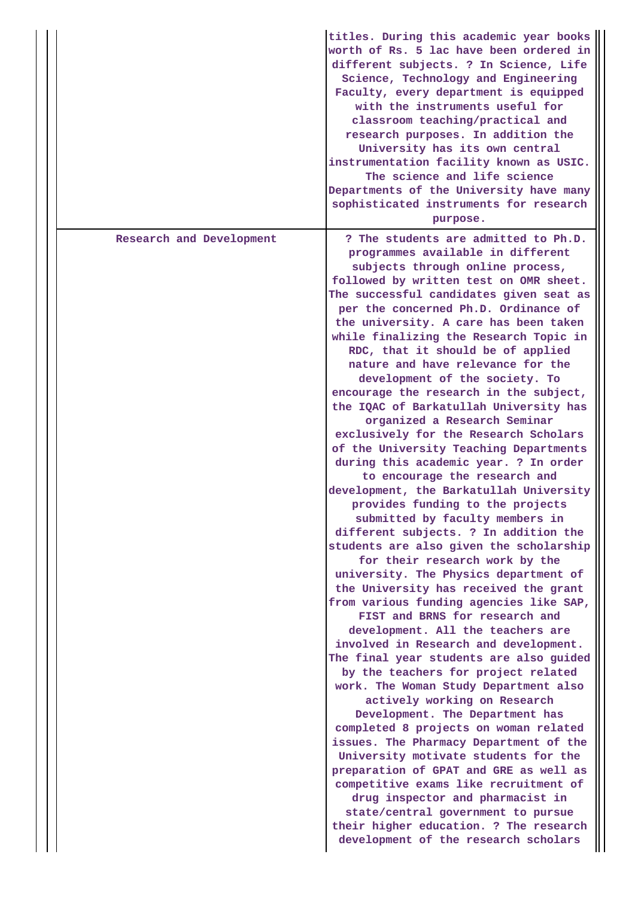|                          | titles. During this academic year books<br>worth of Rs. 5 lac have been ordered in<br>different subjects. ? In Science, Life<br>Science, Technology and Engineering<br>Faculty, every department is equipped<br>with the instruments useful for<br>classroom teaching/practical and<br>research purposes. In addition the<br>University has its own central<br>instrumentation facility known as USIC.<br>The science and life science<br>Departments of the University have many<br>sophisticated instruments for research<br>purpose.                                                                                                                                                                                                                                                                                                                                                                                                                                                                                                                                                                                                                                                                                                                                                                                                                                                                                                                                                                                                                                                                                                                                                                                                                                                 |
|--------------------------|-----------------------------------------------------------------------------------------------------------------------------------------------------------------------------------------------------------------------------------------------------------------------------------------------------------------------------------------------------------------------------------------------------------------------------------------------------------------------------------------------------------------------------------------------------------------------------------------------------------------------------------------------------------------------------------------------------------------------------------------------------------------------------------------------------------------------------------------------------------------------------------------------------------------------------------------------------------------------------------------------------------------------------------------------------------------------------------------------------------------------------------------------------------------------------------------------------------------------------------------------------------------------------------------------------------------------------------------------------------------------------------------------------------------------------------------------------------------------------------------------------------------------------------------------------------------------------------------------------------------------------------------------------------------------------------------------------------------------------------------------------------------------------------------|
| Research and Development | ? The students are admitted to Ph.D.<br>programmes available in different<br>subjects through online process,<br>followed by written test on OMR sheet.<br>The successful candidates given seat as<br>per the concerned Ph.D. Ordinance of<br>the university. A care has been taken<br>while finalizing the Research Topic in<br>RDC, that it should be of applied<br>nature and have relevance for the<br>development of the society. To<br>encourage the research in the subject,<br>the IQAC of Barkatullah University has<br>organized a Research Seminar<br>exclusively for the Research Scholars<br>of the University Teaching Departments<br>during this academic year. ? In order<br>to encourage the research and<br>development, the Barkatullah University<br>provides funding to the projects<br>submitted by faculty members in<br>different subjects. ? In addition the<br>students are also given the scholarship<br>for their research work by the<br>university. The Physics department of<br>the University has received the grant<br>from various funding agencies like SAP,<br>FIST and BRNS for research and<br>development. All the teachers are<br>involved in Research and development.<br>The final year students are also guided<br>by the teachers for project related<br>work. The Woman Study Department also<br>actively working on Research<br>Development. The Department has<br>completed 8 projects on woman related<br>issues. The Pharmacy Department of the<br>University motivate students for the<br>preparation of GPAT and GRE as well as<br>competitive exams like recruitment of<br>drug inspector and pharmacist in<br>state/central government to pursue<br>their higher education. ? The research<br>development of the research scholars |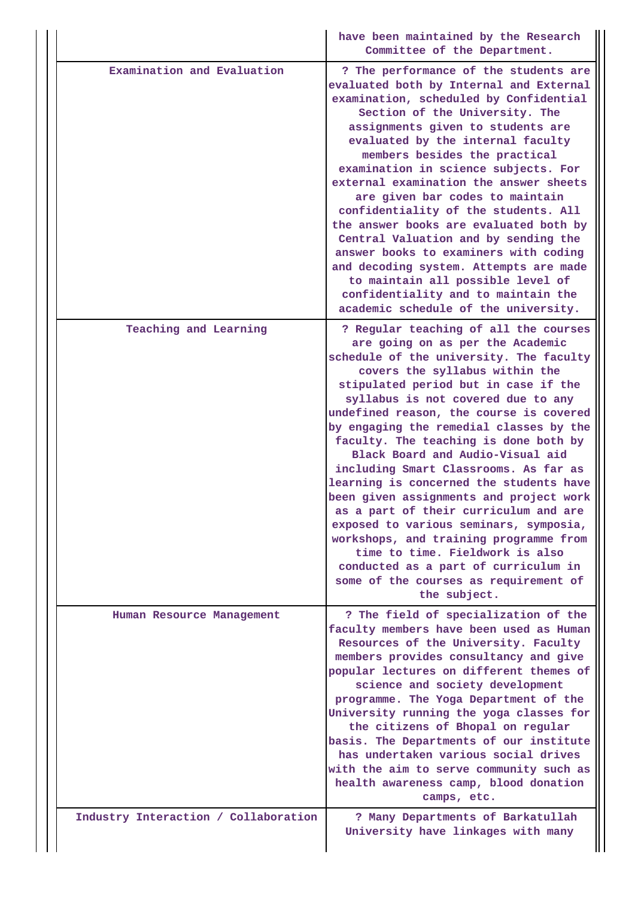|                                      | have been maintained by the Research<br>Committee of the Department.                                                                                                                                                                                                                                                                                                                                                                                                                                                                                                                                                                                                                                                                                                                                    |
|--------------------------------------|---------------------------------------------------------------------------------------------------------------------------------------------------------------------------------------------------------------------------------------------------------------------------------------------------------------------------------------------------------------------------------------------------------------------------------------------------------------------------------------------------------------------------------------------------------------------------------------------------------------------------------------------------------------------------------------------------------------------------------------------------------------------------------------------------------|
| Examination and Evaluation           | ? The performance of the students are<br>evaluated both by Internal and External<br>examination, scheduled by Confidential<br>Section of the University. The<br>assignments given to students are<br>evaluated by the internal faculty<br>members besides the practical<br>examination in science subjects. For<br>external examination the answer sheets<br>are given bar codes to maintain<br>confidentiality of the students. All<br>the answer books are evaluated both by<br>Central Valuation and by sending the<br>answer books to examiners with coding<br>and decoding system. Attempts are made<br>to maintain all possible level of<br>confidentiality and to maintain the<br>academic schedule of the university.                                                                           |
| Teaching and Learning                | ? Regular teaching of all the courses<br>are going on as per the Academic<br>schedule of the university. The faculty<br>covers the syllabus within the<br>stipulated period but in case if the<br>syllabus is not covered due to any<br>undefined reason, the course is covered<br>by engaging the remedial classes by the<br>faculty. The teaching is done both by<br>Black Board and Audio-Visual aid<br>including Smart Classrooms. As far as<br>learning is concerned the students have<br>been given assignments and project work<br>as a part of their curriculum and are<br>exposed to various seminars, symposia,<br>workshops, and training programme from<br>time to time. Fieldwork is also<br>conducted as a part of curriculum in<br>some of the courses as requirement of<br>the subject. |
| Human Resource Management            | ? The field of specialization of the<br>faculty members have been used as Human<br>Resources of the University. Faculty<br>members provides consultancy and give<br>popular lectures on different themes of<br>science and society development<br>programme. The Yoga Department of the<br>University running the yoga classes for<br>the citizens of Bhopal on regular<br>basis. The Departments of our institute<br>has undertaken various social drives<br>with the aim to serve community such as<br>health awareness camp, blood donation<br>camps, etc.                                                                                                                                                                                                                                           |
| Industry Interaction / Collaboration | ? Many Departments of Barkatullah<br>University have linkages with many                                                                                                                                                                                                                                                                                                                                                                                                                                                                                                                                                                                                                                                                                                                                 |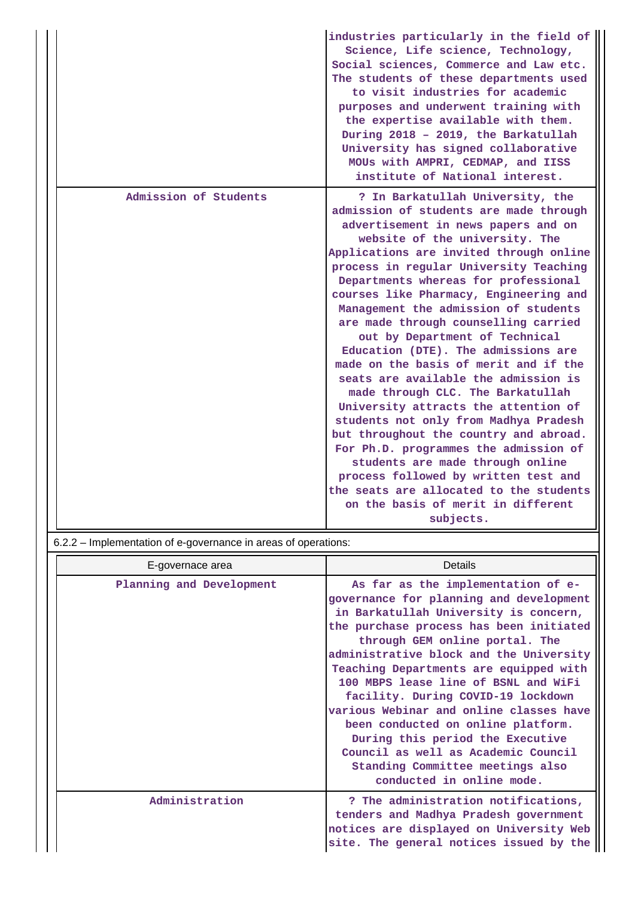|                       | industries particularly in the field of<br>Science, Life science, Technology,<br>Social sciences, Commerce and Law etc.<br>The students of these departments used<br>to visit industries for academic<br>purposes and underwent training with<br>the expertise available with them.<br>During 2018 - 2019, the Barkatullah<br>University has signed collaborative<br>MOUs with AMPRI, CEDMAP, and IISS<br>institute of National interest.                                                                                                                                                                                                                                                                                                                                                                                                                                                                                                               |
|-----------------------|---------------------------------------------------------------------------------------------------------------------------------------------------------------------------------------------------------------------------------------------------------------------------------------------------------------------------------------------------------------------------------------------------------------------------------------------------------------------------------------------------------------------------------------------------------------------------------------------------------------------------------------------------------------------------------------------------------------------------------------------------------------------------------------------------------------------------------------------------------------------------------------------------------------------------------------------------------|
| Admission of Students | ? In Barkatullah University, the<br>admission of students are made through<br>advertisement in news papers and on<br>website of the university. The<br>Applications are invited through online<br>process in regular University Teaching<br>Departments whereas for professional<br>courses like Pharmacy, Engineering and<br>Management the admission of students<br>are made through counselling carried<br>out by Department of Technical<br>Education (DTE). The admissions are<br>made on the basis of merit and if the<br>seats are available the admission is<br>made through CLC. The Barkatullah<br>University attracts the attention of<br>students not only from Madhya Pradesh<br>but throughout the country and abroad.<br>For Ph.D. programmes the admission of<br>students are made through online<br>process followed by written test and<br>the seats are allocated to the students<br>on the basis of merit in different<br>subjects. |

# 6.2.2 – Implementation of e-governance in areas of operations:

| E-governace area         | Details                                                                                                                                                                                                                                                                                                                                                                                                                                                                                                                                                                                             |
|--------------------------|-----------------------------------------------------------------------------------------------------------------------------------------------------------------------------------------------------------------------------------------------------------------------------------------------------------------------------------------------------------------------------------------------------------------------------------------------------------------------------------------------------------------------------------------------------------------------------------------------------|
| Planning and Development | As far as the implementation of e-<br>governance for planning and development<br>in Barkatullah University is concern,<br>the purchase process has been initiated<br>through GEM online portal. The<br>administrative block and the University<br>Teaching Departments are equipped with<br>100 MBPS lease line of BSNL and WiFi<br>facility. During COVID-19 lockdown<br>various Webinar and online classes have<br>been conducted on online platform.<br>During this period the Executive<br>Council as well as Academic Council<br>Standing Committee meetings also<br>conducted in online mode. |
| Administration           | ? The administration notifications,<br>tenders and Madhya Pradesh government<br>notices are displayed on University Web<br>site. The general notices issued by the                                                                                                                                                                                                                                                                                                                                                                                                                                  |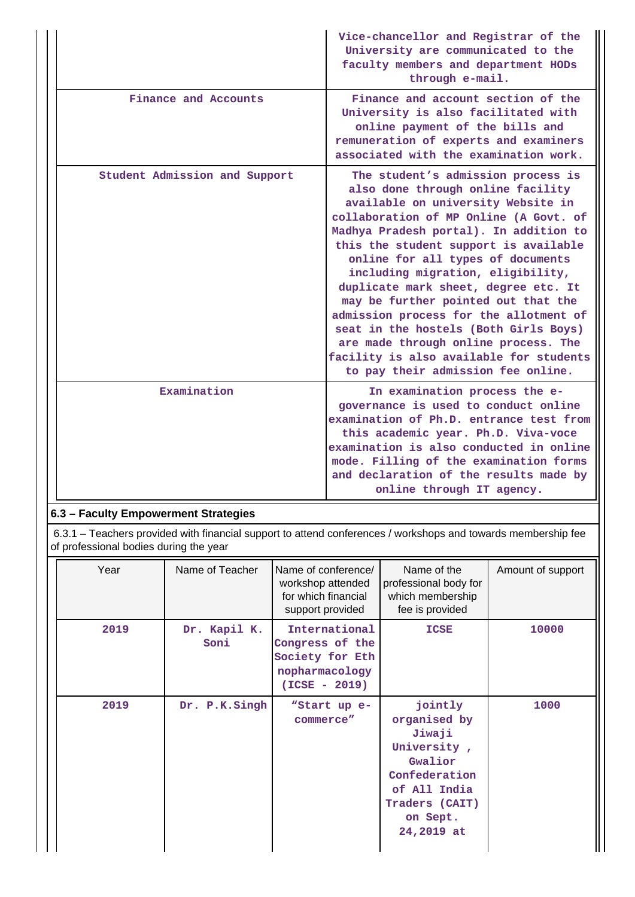|                               | Vice-chancellor and Registrar of the<br>University are communicated to the<br>faculty members and department HODs<br>through e-mail.                                                                                                                                                                                                                                                                                                                                                                                                                                                                            |
|-------------------------------|-----------------------------------------------------------------------------------------------------------------------------------------------------------------------------------------------------------------------------------------------------------------------------------------------------------------------------------------------------------------------------------------------------------------------------------------------------------------------------------------------------------------------------------------------------------------------------------------------------------------|
| Finance and Accounts          | Finance and account section of the<br>University is also facilitated with<br>online payment of the bills and<br>remuneration of experts and examiners<br>associated with the examination work.                                                                                                                                                                                                                                                                                                                                                                                                                  |
| Student Admission and Support | The student's admission process is<br>also done through online facility<br>available on university Website in<br>collaboration of MP Online (A Govt. of<br>Madhya Pradesh portal). In addition to<br>this the student support is available<br>online for all types of documents<br>including migration, eligibility,<br>duplicate mark sheet, degree etc. It<br>may be further pointed out that the<br>admission process for the allotment of<br>seat in the hostels (Both Girls Boys)<br>are made through online process. The<br>facility is also available for students<br>to pay their admission fee online. |
| Examination                   | In examination process the e-<br>governance is used to conduct online<br>examination of Ph.D. entrance test from<br>this academic year. Ph.D. Viva-voce<br>examination is also conducted in online<br>mode. Filling of the examination forms<br>and declaration of the results made by<br>online through IT agency.                                                                                                                                                                                                                                                                                             |

# **6.3 – Faculty Empowerment Strategies**

 6.3.1 – Teachers provided with financial support to attend conferences / workshops and towards membership fee of professional bodies during the year

| Year | Name of Teacher      | Name of conference/<br>workshop attended<br>for which financial<br>support provided      | Name of the<br>professional body for<br>which membership<br>fee is provided                                                              | Amount of support |
|------|----------------------|------------------------------------------------------------------------------------------|------------------------------------------------------------------------------------------------------------------------------------------|-------------------|
| 2019 | Dr. Kapil K.<br>Soni | International<br>Congress of the<br>Society for Eth<br>nopharmacology<br>$(ICSE - 2019)$ | <b>ICSE</b>                                                                                                                              | 10000             |
| 2019 | Dr. P.K.Singh        | "Start up e-<br>commerce"                                                                | jointly<br>organised by<br>Jiwaji<br>University,<br>Gwalior<br>Confederation<br>of All India<br>Traders (CAIT)<br>on Sept.<br>24,2019 at | 1000              |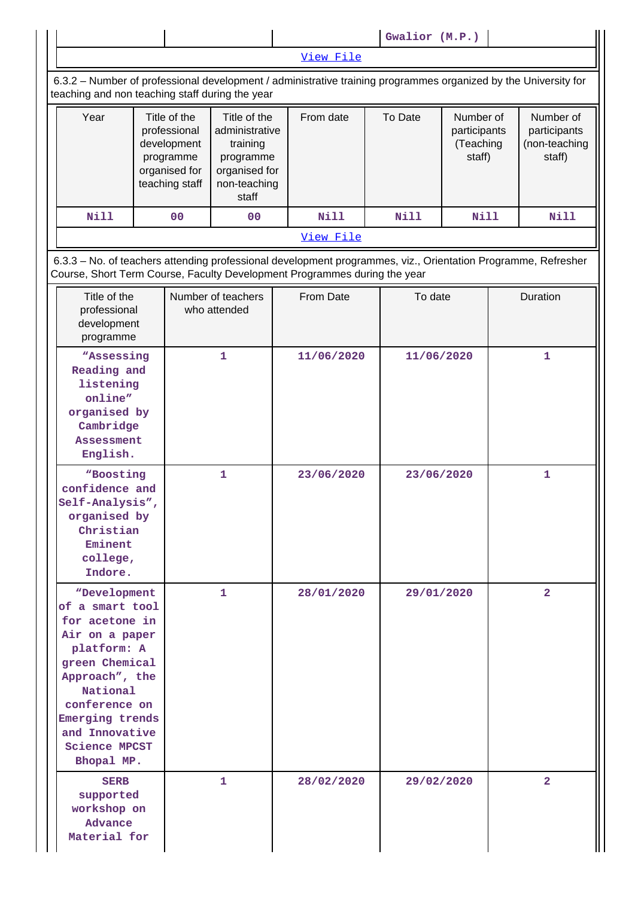|                                                                                                                                                                                                                                |  |                                                                                             |                                                                                                   |  |             |  | Gwalior (M.P.) |                                                  |  |                                                      |
|--------------------------------------------------------------------------------------------------------------------------------------------------------------------------------------------------------------------------------|--|---------------------------------------------------------------------------------------------|---------------------------------------------------------------------------------------------------|--|-------------|--|----------------|--------------------------------------------------|--|------------------------------------------------------|
|                                                                                                                                                                                                                                |  |                                                                                             |                                                                                                   |  | View File   |  |                |                                                  |  |                                                      |
| 6.3.2 - Number of professional development / administrative training programmes organized by the University for<br>teaching and non teaching staff during the year                                                             |  |                                                                                             |                                                                                                   |  |             |  |                |                                                  |  |                                                      |
| Year                                                                                                                                                                                                                           |  | Title of the<br>professional<br>development<br>programme<br>organised for<br>teaching staff | Title of the<br>administrative<br>training<br>programme<br>organised for<br>non-teaching<br>staff |  | From date   |  | To Date        | Number of<br>participants<br>(Teaching<br>staff) |  | Number of<br>participants<br>(non-teaching<br>staff) |
| <b>Nill</b>                                                                                                                                                                                                                    |  | 00                                                                                          | 0 <sup>0</sup>                                                                                    |  | <b>Nill</b> |  | <b>Nill</b>    | <b>Nill</b>                                      |  | <b>Nill</b>                                          |
|                                                                                                                                                                                                                                |  |                                                                                             |                                                                                                   |  | View File   |  |                |                                                  |  |                                                      |
| 6.3.3 - No. of teachers attending professional development programmes, viz., Orientation Programme, Refresher<br>Course, Short Term Course, Faculty Development Programmes during the year                                     |  |                                                                                             |                                                                                                   |  |             |  |                |                                                  |  |                                                      |
| Title of the<br>professional<br>development<br>programme                                                                                                                                                                       |  |                                                                                             | Number of teachers<br>who attended                                                                |  | From Date   |  | To date        |                                                  |  | Duration                                             |
| "Assessing<br>Reading and<br>listening<br>online"<br>organised by<br>Cambridge<br><b>Assessment</b><br>English.                                                                                                                |  |                                                                                             | $\mathbf{1}$                                                                                      |  | 11/06/2020  |  | 11/06/2020     |                                                  |  | $\mathbf{1}$                                         |
| "Boosting<br>confidence and<br>Self-Analysis",<br>organised by<br>Christian<br>Eminent<br>college,<br>Indore.                                                                                                                  |  |                                                                                             | $\mathbf{1}$                                                                                      |  | 23/06/2020  |  | 23/06/2020     |                                                  |  | $\mathbf{1}$                                         |
| "Development<br>of a smart tool<br>for acetone in<br>Air on a paper<br>platform: A<br>green Chemical<br>Approach", the<br>National<br>conference on<br>Emerging trends<br>and Innovative<br><b>Science MPCST</b><br>Bhopal MP. |  |                                                                                             | 1                                                                                                 |  | 28/01/2020  |  | 29/01/2020     |                                                  |  | $\overline{a}$                                       |
| <b>SERB</b><br>supported<br>workshop on<br><b>Advance</b><br>Material for                                                                                                                                                      |  |                                                                                             | 1.                                                                                                |  | 28/02/2020  |  | 29/02/2020     |                                                  |  | $\overline{a}$                                       |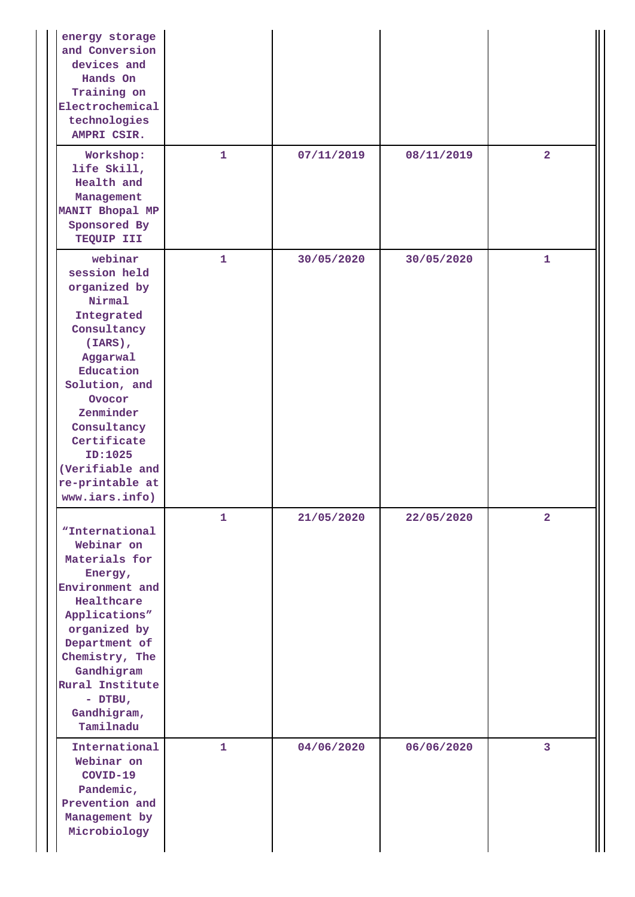| energy storage<br>and Conversion<br>devices and<br>Hands On<br>Training on<br>Electrochemical<br>technologies<br>AMPRI CSIR.                                                                                                                                   |              |            |            |                |
|----------------------------------------------------------------------------------------------------------------------------------------------------------------------------------------------------------------------------------------------------------------|--------------|------------|------------|----------------|
| Workshop:<br>life Skill,<br>Health and<br>Management<br>MANIT Bhopal MP<br>Sponsored By<br>TEQUIP III                                                                                                                                                          | $\mathbf{1}$ | 07/11/2019 | 08/11/2019 | $\overline{2}$ |
| webinar<br>session held<br>organized by<br>Nirmal<br>Integrated<br>Consultancy<br>$(IARS)$ ,<br>Aggarwal<br>Education<br>Solution, and<br>Ovocor<br>Zenminder<br>Consultancy<br>Certificate<br>ID:1025<br>(Verifiable and<br>re-printable at<br>www.iars.info) | 1            | 30/05/2020 | 30/05/2020 | $\mathbf{1}$   |
| "International<br>Webinar on<br>Materials for<br>Energy,<br>Environment and<br>Healthcare<br>Applications"<br>organized by<br>Department of<br>Chemistry, The<br>Gandhigram<br>Rural Institute<br>- DTBU,<br>Gandhigram,<br>Tamilnadu                          | 1            | 21/05/2020 | 22/05/2020 | $\overline{a}$ |
| International<br>Webinar on<br>COVID-19<br>Pandemic,<br>Prevention and<br>Management by<br>Microbiology                                                                                                                                                        | $\mathbf{1}$ | 04/06/2020 | 06/06/2020 | 3              |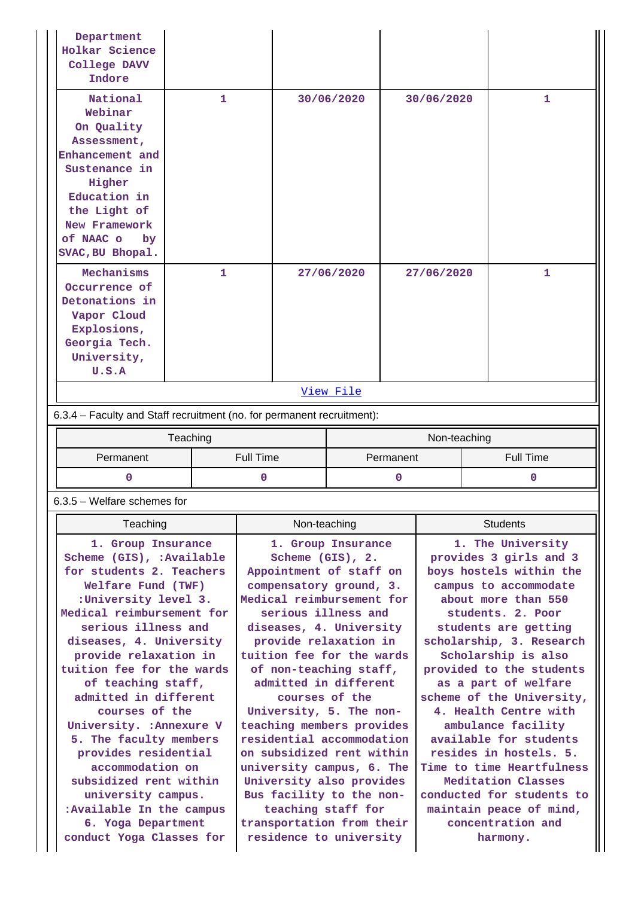| Department<br>Holkar Science<br>College DAVV<br>Indore                                                                                                                                                                                                                                                                                                                                                                                                                                                                                                         |              |                               |                |                                                                                                                                                                                                                                                                                                                                                                                                                                     |  |                  |                    |                                                                                                                                                                                                                                                                                                                                                                                                                                         |
|----------------------------------------------------------------------------------------------------------------------------------------------------------------------------------------------------------------------------------------------------------------------------------------------------------------------------------------------------------------------------------------------------------------------------------------------------------------------------------------------------------------------------------------------------------------|--------------|-------------------------------|----------------|-------------------------------------------------------------------------------------------------------------------------------------------------------------------------------------------------------------------------------------------------------------------------------------------------------------------------------------------------------------------------------------------------------------------------------------|--|------------------|--------------------|-----------------------------------------------------------------------------------------------------------------------------------------------------------------------------------------------------------------------------------------------------------------------------------------------------------------------------------------------------------------------------------------------------------------------------------------|
| National<br>Webinar<br>On Quality<br>Assessment,<br>Enhancement and<br>Sustenance in<br>Higher<br>Education in<br>the Light of<br>New Framework<br>of NAAC o<br>by<br>SVAC, BU Bhopal.                                                                                                                                                                                                                                                                                                                                                                         | $\mathbf{1}$ |                               |                | 30/06/2020                                                                                                                                                                                                                                                                                                                                                                                                                          |  | 30/06/2020       |                    | 1                                                                                                                                                                                                                                                                                                                                                                                                                                       |
| Mechanisms<br>Occurrence of<br>Detonations in<br>Vapor Cloud<br>Explosions,<br>Georgia Tech.<br>University,<br>U.S.A                                                                                                                                                                                                                                                                                                                                                                                                                                           | 1            |                               |                | 27/06/2020                                                                                                                                                                                                                                                                                                                                                                                                                          |  | 27/06/2020       |                    | 1                                                                                                                                                                                                                                                                                                                                                                                                                                       |
|                                                                                                                                                                                                                                                                                                                                                                                                                                                                                                                                                                |              |                               |                | View File                                                                                                                                                                                                                                                                                                                                                                                                                           |  |                  |                    |                                                                                                                                                                                                                                                                                                                                                                                                                                         |
| 6.3.4 - Faculty and Staff recruitment (no. for permanent recruitment):                                                                                                                                                                                                                                                                                                                                                                                                                                                                                         |              |                               |                |                                                                                                                                                                                                                                                                                                                                                                                                                                     |  |                  |                    |                                                                                                                                                                                                                                                                                                                                                                                                                                         |
|                                                                                                                                                                                                                                                                                                                                                                                                                                                                                                                                                                | Teaching     |                               |                |                                                                                                                                                                                                                                                                                                                                                                                                                                     |  | Non-teaching     |                    |                                                                                                                                                                                                                                                                                                                                                                                                                                         |
| Permanent                                                                                                                                                                                                                                                                                                                                                                                                                                                                                                                                                      |              | <b>Full Time</b><br>Permanent |                |                                                                                                                                                                                                                                                                                                                                                                                                                                     |  | <b>Full Time</b> |                    |                                                                                                                                                                                                                                                                                                                                                                                                                                         |
| 0                                                                                                                                                                                                                                                                                                                                                                                                                                                                                                                                                              |              | 0<br>0                        |                |                                                                                                                                                                                                                                                                                                                                                                                                                                     |  |                  | 0                  |                                                                                                                                                                                                                                                                                                                                                                                                                                         |
| $6.3.5$ – Welfare schemes for                                                                                                                                                                                                                                                                                                                                                                                                                                                                                                                                  |              |                               |                |                                                                                                                                                                                                                                                                                                                                                                                                                                     |  |                  |                    |                                                                                                                                                                                                                                                                                                                                                                                                                                         |
| Teaching                                                                                                                                                                                                                                                                                                                                                                                                                                                                                                                                                       |              | Non-teaching                  |                |                                                                                                                                                                                                                                                                                                                                                                                                                                     |  |                  | <b>Students</b>    |                                                                                                                                                                                                                                                                                                                                                                                                                                         |
| 1. Group Insurance<br>Scheme (GIS), :Available<br>for students 2. Teachers<br>Welfare Fund (TWF)<br>:University level 3.<br>Medical reimbursement for<br>serious illness and<br>diseases, 4. University<br>provide relaxation in<br>tuition fee for the wards<br>of teaching staff,<br>admitted in different<br>courses of the<br>University. : Annexure V<br>5. The faculty members<br>provides residential<br>accommodation on<br>subsidized rent within<br>university campus.<br>:Available In the campus<br>6. Yoga Department<br>conduct Yoga Classes for |              | University also provides      | courses of the | 1. Group Insurance<br>Scheme (GIS), 2.<br>Appointment of staff on<br>compensatory ground, 3.<br>Medical reimbursement for<br>serious illness and<br>diseases, 4. University<br>provide relaxation in<br>tuition fee for the wards<br>of non-teaching staff,<br>admitted in different<br>University, 5. The non-<br>teaching members provides<br>residential accommodation<br>on subsidized rent within<br>university campus, 6. The |  |                  | Meditation Classes | 1. The University<br>provides 3 girls and 3<br>boys hostels within the<br>campus to accommodate<br>about more than 550<br>students. 2. Poor<br>students are getting<br>scholarship, 3. Research<br>Scholarship is also<br>provided to the students<br>as a part of welfare<br>scheme of the University,<br>4. Health Centre with<br>ambulance facility<br>available for students<br>resides in hostels. 5.<br>Time to time Heartfulness |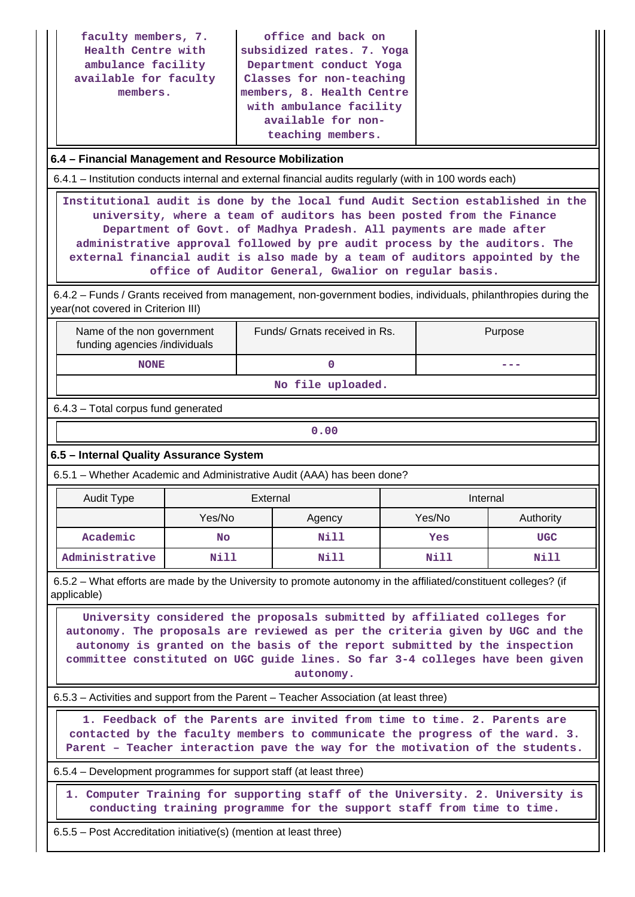| faculty members, 7.<br>Health Centre with<br>ambulance facility<br>available for faculty<br>members.                                                                                                                                                                                                                                                                                                                                                                                                                                                                  |                               |          | office and back on<br>subsidized rates. 7. Yoga<br>Department conduct Yoga<br>Classes for non-teaching<br>members, 8. Health Centre<br>with ambulance facility<br>available for non-<br>teaching members. |  |             |            |  |
|-----------------------------------------------------------------------------------------------------------------------------------------------------------------------------------------------------------------------------------------------------------------------------------------------------------------------------------------------------------------------------------------------------------------------------------------------------------------------------------------------------------------------------------------------------------------------|-------------------------------|----------|-----------------------------------------------------------------------------------------------------------------------------------------------------------------------------------------------------------|--|-------------|------------|--|
| 6.4 - Financial Management and Resource Mobilization                                                                                                                                                                                                                                                                                                                                                                                                                                                                                                                  |                               |          |                                                                                                                                                                                                           |  |             |            |  |
| 6.4.1 – Institution conducts internal and external financial audits regularly (with in 100 words each)                                                                                                                                                                                                                                                                                                                                                                                                                                                                |                               |          |                                                                                                                                                                                                           |  |             |            |  |
| Institutional audit is done by the local fund Audit Section established in the<br>university, where a team of auditors has been posted from the Finance<br>Department of Govt. of Madhya Pradesh. All payments are made after<br>administrative approval followed by pre audit process by the auditors. The<br>external financial audit is also made by a team of auditors appointed by the<br>office of Auditor General, Gwalior on regular basis.<br>6.4.2 - Funds / Grants received from management, non-government bodies, individuals, philanthropies during the |                               |          |                                                                                                                                                                                                           |  |             |            |  |
| year(not covered in Criterion III)<br>Name of the non government                                                                                                                                                                                                                                                                                                                                                                                                                                                                                                      |                               |          | Funds/ Grnats received in Rs.                                                                                                                                                                             |  |             | Purpose    |  |
| <b>NONE</b>                                                                                                                                                                                                                                                                                                                                                                                                                                                                                                                                                           | funding agencies /individuals |          |                                                                                                                                                                                                           |  |             | ---        |  |
|                                                                                                                                                                                                                                                                                                                                                                                                                                                                                                                                                                       |                               |          | $\mathbf 0$<br>No file uploaded.                                                                                                                                                                          |  |             |            |  |
| 6.4.3 - Total corpus fund generated                                                                                                                                                                                                                                                                                                                                                                                                                                                                                                                                   |                               |          |                                                                                                                                                                                                           |  |             |            |  |
|                                                                                                                                                                                                                                                                                                                                                                                                                                                                                                                                                                       |                               |          | 0.00                                                                                                                                                                                                      |  |             |            |  |
| 6.5 - Internal Quality Assurance System                                                                                                                                                                                                                                                                                                                                                                                                                                                                                                                               |                               |          |                                                                                                                                                                                                           |  |             |            |  |
| 6.5.1 - Whether Academic and Administrative Audit (AAA) has been done?                                                                                                                                                                                                                                                                                                                                                                                                                                                                                                |                               |          |                                                                                                                                                                                                           |  |             |            |  |
| <b>Audit Type</b>                                                                                                                                                                                                                                                                                                                                                                                                                                                                                                                                                     |                               | External |                                                                                                                                                                                                           |  | Internal    |            |  |
|                                                                                                                                                                                                                                                                                                                                                                                                                                                                                                                                                                       | Yes/No                        |          | Agency                                                                                                                                                                                                    |  | Yes/No      | Authority  |  |
| Academic                                                                                                                                                                                                                                                                                                                                                                                                                                                                                                                                                              | <b>No</b>                     |          | Nill                                                                                                                                                                                                      |  | Yes         | <b>UGC</b> |  |
| Administrative                                                                                                                                                                                                                                                                                                                                                                                                                                                                                                                                                        | <b>Nill</b>                   |          | Nill                                                                                                                                                                                                      |  | <b>Nill</b> | Nill       |  |
| 6.5.2 – What efforts are made by the University to promote autonomy in the affiliated/constituent colleges? (if<br>applicable)                                                                                                                                                                                                                                                                                                                                                                                                                                        |                               |          |                                                                                                                                                                                                           |  |             |            |  |
| University considered the proposals submitted by affiliated colleges for<br>autonomy. The proposals are reviewed as per the criteria given by UGC and the<br>autonomy is granted on the basis of the report submitted by the inspection<br>committee constituted on UGC guide lines. So far 3-4 colleges have been given<br>autonomy.                                                                                                                                                                                                                                 |                               |          |                                                                                                                                                                                                           |  |             |            |  |
|                                                                                                                                                                                                                                                                                                                                                                                                                                                                                                                                                                       |                               |          |                                                                                                                                                                                                           |  |             |            |  |
| 6.5.3 - Activities and support from the Parent - Teacher Association (at least three)<br>1. Feedback of the Parents are invited from time to time. 2. Parents are<br>contacted by the faculty members to communicate the progress of the ward. 3.<br>Parent - Teacher interaction pave the way for the motivation of the students.                                                                                                                                                                                                                                    |                               |          |                                                                                                                                                                                                           |  |             |            |  |
| 6.5.4 – Development programmes for support staff (at least three)                                                                                                                                                                                                                                                                                                                                                                                                                                                                                                     |                               |          |                                                                                                                                                                                                           |  |             |            |  |
|                                                                                                                                                                                                                                                                                                                                                                                                                                                                                                                                                                       |                               |          |                                                                                                                                                                                                           |  |             |            |  |

 **1. Computer Training for supporting staff of the University. 2. University is conducting training programme for the support staff from time to time.**

6.5.5 – Post Accreditation initiative(s) (mention at least three)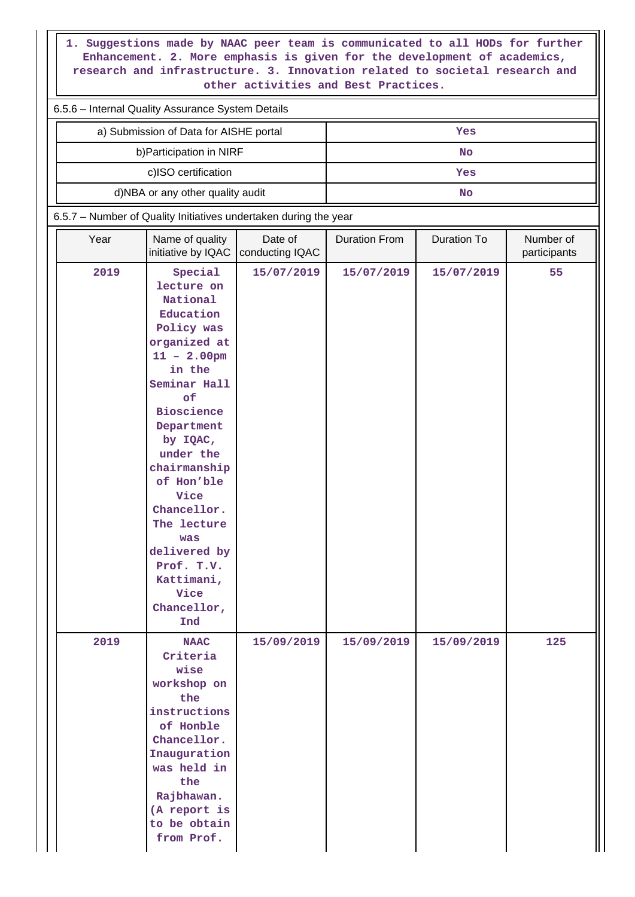**1. Suggestions made by NAAC peer team is communicated to all HODs for further Enhancement. 2. More emphasis is given for the development of academics, research and infrastructure. 3. Innovation related to societal research and other activities and Best Practices.**

| 6.5.6 - Internal Quality Assurance System Details |     |  |  |  |  |  |
|---------------------------------------------------|-----|--|--|--|--|--|
| a) Submission of Data for AISHE portal            | Yes |  |  |  |  |  |
| b) Participation in NIRF                          | No  |  |  |  |  |  |
| c)ISO certification                               | Yes |  |  |  |  |  |
| d)NBA or any other quality audit                  | No  |  |  |  |  |  |

6.5.7 – Number of Quality Initiatives undertaken during the year

| Year | Name of quality<br>initiative by IQAC                                                                                                                                                                                                                                                                                                           | Date of<br>conducting IQAC | <b>Duration From</b> | Duration To | Number of<br>participants |
|------|-------------------------------------------------------------------------------------------------------------------------------------------------------------------------------------------------------------------------------------------------------------------------------------------------------------------------------------------------|----------------------------|----------------------|-------------|---------------------------|
| 2019 | Special<br>lecture on<br>National<br>Education<br>Policy was<br>organized at<br>$11 - 2.00$ pm<br>in the<br>Seminar Hall<br>of<br><b>Bioscience</b><br>Department<br>by IQAC,<br>under the<br>chairmanship<br>of Hon'ble<br>Vice<br>Chancellor.<br>The lecture<br>was<br>delivered by<br>Prof. T.V.<br>Kattimani,<br>Vice<br>Chancellor,<br>Ind | 15/07/2019                 | 15/07/2019           | 15/07/2019  | 55                        |
| 2019 | <b>NAAC</b><br>Criteria<br>wise<br>workshop on<br>the<br>instructions<br>of Honble<br>Chancellor.<br>Inauguration<br>was held in<br>the<br>Rajbhawan.<br>(A report is<br>to be obtain<br>from Prof.                                                                                                                                             | 15/09/2019                 | 15/09/2019           | 15/09/2019  | 125                       |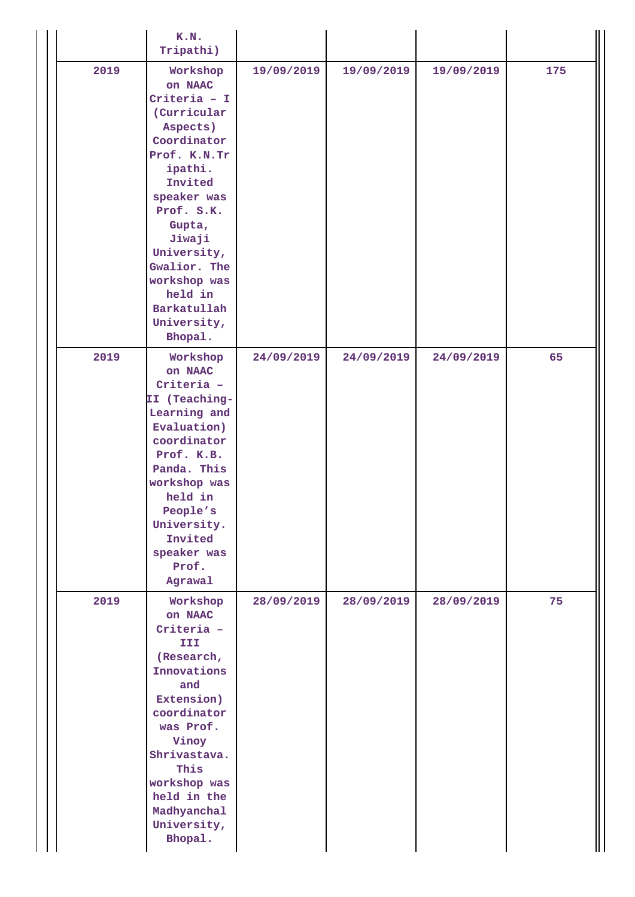|      | K.N.<br>Tripathi)                                                                                                                                                                                                                                                         |            |            |            |     |
|------|---------------------------------------------------------------------------------------------------------------------------------------------------------------------------------------------------------------------------------------------------------------------------|------------|------------|------------|-----|
| 2019 | Workshop<br>on NAAC<br>Criteria - $I$<br>(Curricular<br>Aspects)<br>Coordinator<br>Prof. K.N.Tr<br>ipathi.<br>Invited<br>speaker was<br>Prof. S.K.<br>Gupta,<br>Jiwaji<br>University,<br>Gwalior. The<br>workshop was<br>held in<br>Barkatullah<br>University,<br>Bhopal. | 19/09/2019 | 19/09/2019 | 19/09/2019 | 175 |
| 2019 | Workshop<br>on NAAC<br>Criteria -<br>II (Teaching-<br>Learning and<br>Evaluation)<br>coordinator<br>Prof. K.B.<br>Panda. This<br>workshop was<br>held in<br>People's<br>University.<br>Invited<br>speaker was<br>Prof.<br>Agrawal                                         | 24/09/2019 | 24/09/2019 | 24/09/2019 | 65  |
| 2019 | Workshop<br>on NAAC<br>Criteria -<br><b>III</b><br>(Research,<br>Innovations<br>and<br>Extension)<br>coordinator<br>was Prof.<br>Vinoy<br>Shrivastava.<br>This<br>workshop was<br>held in the<br>Madhyanchal<br>University,<br>Bhopal.                                    | 28/09/2019 | 28/09/2019 | 28/09/2019 | 75  |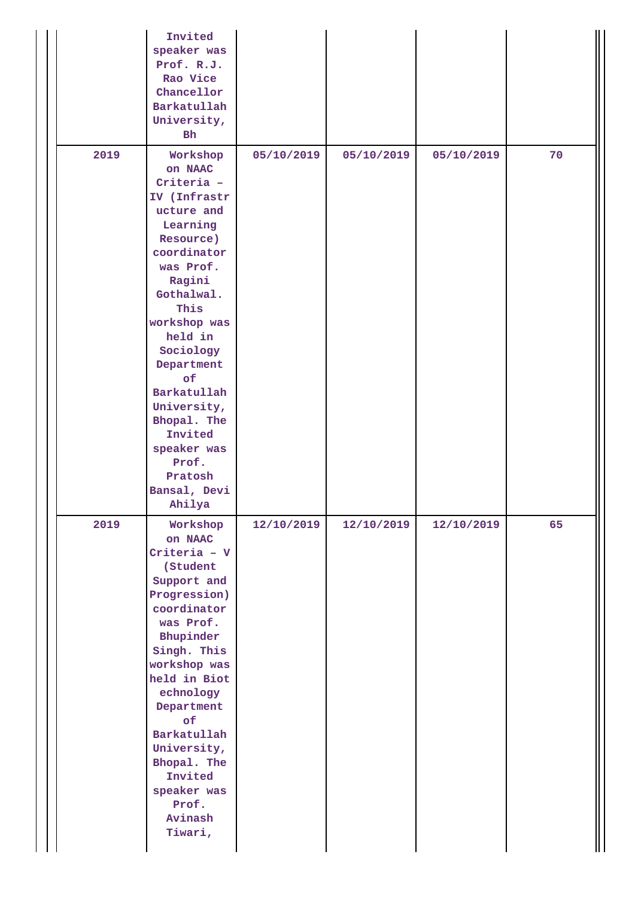|      | Invited<br>speaker was<br>Prof. R.J.<br>Rao Vice<br>Chancellor<br>Barkatullah<br>University,<br>Bh                                                                                                                                                                                                                                    |            |            |            |    |
|------|---------------------------------------------------------------------------------------------------------------------------------------------------------------------------------------------------------------------------------------------------------------------------------------------------------------------------------------|------------|------------|------------|----|
| 2019 | Workshop<br>on NAAC<br>Criteria -<br>IV (Infrastr<br>ucture and<br>Learning<br>Resource)<br>coordinator<br>was Prof.<br>Ragini<br>Gothalwal.<br>This<br>workshop was<br>held in<br>Sociology<br>Department<br>of<br>Barkatullah<br>University,<br>Bhopal. The<br>Invited<br>speaker was<br>Prof.<br>Pratosh<br>Bansal, Devi<br>Ahilya | 05/10/2019 | 05/10/2019 | 05/10/2019 | 70 |
| 2019 | Workshop<br>on NAAC<br>Criteria - V<br>(Student<br>Support and<br>Progression)<br>coordinator<br>was Prof.<br>Bhupinder<br>Singh. This<br>workshop was<br>held in Biot<br>echnology<br>Department<br>of<br>Barkatullah<br>University,<br>Bhopal. The<br>Invited<br>speaker was<br>Prof.<br>Avinash<br>Tiwari,                         | 12/10/2019 | 12/10/2019 | 12/10/2019 | 65 |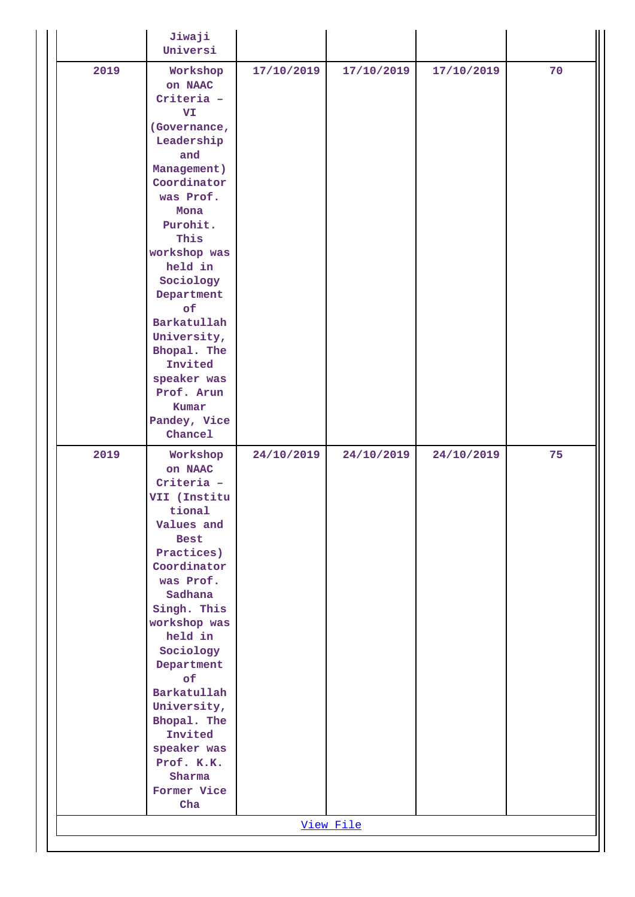|      | Jiwaji<br>Universi                                                                                                                                                                                                                                                                                                                            |            |            |            |    |
|------|-----------------------------------------------------------------------------------------------------------------------------------------------------------------------------------------------------------------------------------------------------------------------------------------------------------------------------------------------|------------|------------|------------|----|
| 2019 | Workshop<br>on NAAC<br>Criteria -<br>VI<br>(Governance,<br>Leadership<br>and<br>Management)<br>Coordinator<br>was Prof.<br>Mona<br>Purohit.<br>This<br>workshop was<br>held in<br>Sociology<br>Department<br>of<br>Barkatullah<br>University,<br>Bhopal. The<br>Invited<br>speaker was<br>Prof. Arun<br>Kumar<br>Pandey, Vice<br>Chancel      | 17/10/2019 | 17/10/2019 | 17/10/2019 | 70 |
| 2019 | Workshop<br>on NAAC<br>Criteria -<br>VII (Institu<br>tional<br>Values and<br><b>Best</b><br>Practices)<br>Coordinator<br>was Prof.<br>Sadhana<br>Singh. This<br>workshop was<br>held in<br>Sociology<br>Department<br>of<br>Barkatullah<br>University,<br>Bhopal. The<br>Invited<br>speaker was<br>Prof. K.K.<br>Sharma<br>Former Vice<br>Cha | 24/10/2019 | 24/10/2019 | 24/10/2019 | 75 |
|      |                                                                                                                                                                                                                                                                                                                                               |            | View File  |            |    |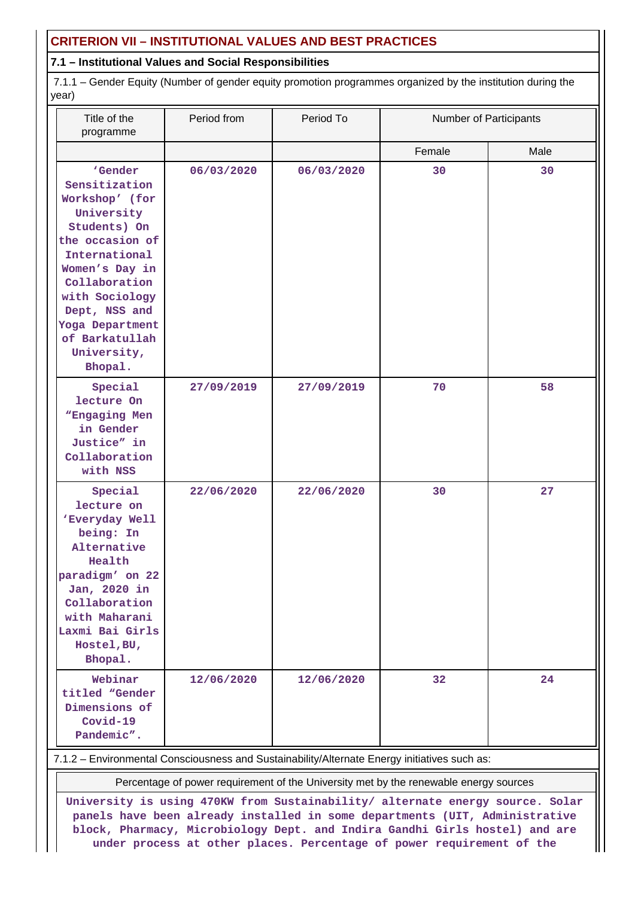# **CRITERION VII – INSTITUTIONAL VALUES AND BEST PRACTICES**

### **7.1 – Institutional Values and Social Responsibilities**

 7.1.1 – Gender Equity (Number of gender equity promotion programmes organized by the institution during the year)

| Title of the<br>programme                                                                                                                                                                                                                         | Period from | Period To  | Number of Participants |      |
|---------------------------------------------------------------------------------------------------------------------------------------------------------------------------------------------------------------------------------------------------|-------------|------------|------------------------|------|
|                                                                                                                                                                                                                                                   |             |            | Female                 | Male |
| 'Gender<br>Sensitization<br>Workshop' (for<br>University<br>Students) On<br>the occasion of<br>International<br>Women's Day in<br>Collaboration<br>with Sociology<br>Dept, NSS and<br>Yoga Department<br>of Barkatullah<br>University,<br>Bhopal. | 06/03/2020  | 06/03/2020 | 30                     | 30   |
| Special<br>lecture On<br>"Engaging Men<br>in Gender<br>Justice" in<br>Collaboration<br>with NSS                                                                                                                                                   | 27/09/2019  | 27/09/2019 | 70                     | 58   |
| Special<br>lecture on<br>'Everyday Well<br>being: In<br>Alternative<br>Health<br>paradigm' on 22<br>Jan, 2020 in<br>Collaboration<br>with Maharani<br>Laxmi Bai Girls<br>Hostel, BU,<br>Bhopal.                                                   | 22/06/2020  | 22/06/2020 | 30                     | 27   |
| Webinar<br>titled "Gender<br>Dimensions of<br>$Covid-19$<br>Pandemic".                                                                                                                                                                            | 12/06/2020  | 12/06/2020 | 32                     | 24   |

7.1.2 – Environmental Consciousness and Sustainability/Alternate Energy initiatives such as:

Percentage of power requirement of the University met by the renewable energy sources

**University is using 470KW from Sustainability/ alternate energy source. Solar panels have been already installed in some departments (UIT, Administrative block, Pharmacy, Microbiology Dept. and Indira Gandhi Girls hostel) and are under process at other places. Percentage of power requirement of the**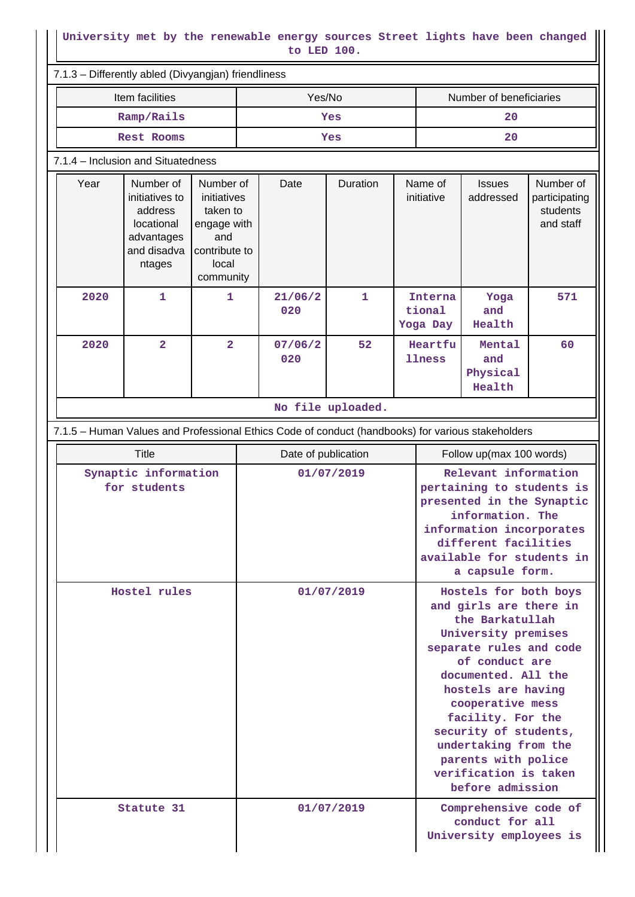### **University met by the renewable energy sources Street lights have been changed to LED 100.**

|                   | Item facilities                                                                                   |                                                                                                   | Yes/No              |                   |                   |                                                                                                                                                                                                        | Number of beneficiaries                                                                                                                                                                                                                                                                                                  |                                                     |
|-------------------|---------------------------------------------------------------------------------------------------|---------------------------------------------------------------------------------------------------|---------------------|-------------------|-------------------|--------------------------------------------------------------------------------------------------------------------------------------------------------------------------------------------------------|--------------------------------------------------------------------------------------------------------------------------------------------------------------------------------------------------------------------------------------------------------------------------------------------------------------------------|-----------------------------------------------------|
| Ramp/Rails        |                                                                                                   |                                                                                                   | Yes                 |                   |                   | 20                                                                                                                                                                                                     |                                                                                                                                                                                                                                                                                                                          |                                                     |
| <b>Rest Rooms</b> |                                                                                                   |                                                                                                   | Yes                 |                   |                   | 20                                                                                                                                                                                                     |                                                                                                                                                                                                                                                                                                                          |                                                     |
|                   | 7.1.4 - Inclusion and Situatedness                                                                |                                                                                                   |                     |                   |                   |                                                                                                                                                                                                        |                                                                                                                                                                                                                                                                                                                          |                                                     |
| Year              | Number of<br>initiatives to<br>address<br>locational<br>advantages<br>and disadva<br>ntages       | Number of<br>initiatives<br>taken to<br>engage with<br>and<br>contribute to<br>local<br>community | Date                | Duration          |                   | Name of<br>initiative                                                                                                                                                                                  | <b>Issues</b><br>addressed                                                                                                                                                                                                                                                                                               | Number of<br>participating<br>students<br>and staff |
| 2020              | $\mathbf 1$                                                                                       | 1                                                                                                 | 21/06/2<br>020      | 1                 |                   | Interna<br>tional<br>Yoga Day                                                                                                                                                                          | Yoga<br>and<br>Health                                                                                                                                                                                                                                                                                                    | 571                                                 |
| 2020              | $\overline{a}$                                                                                    | $\overline{2}$                                                                                    | 07/06/2<br>020      | 52                | Heartfu<br>llness |                                                                                                                                                                                                        | Mental<br>and<br>Physical<br>Health                                                                                                                                                                                                                                                                                      | 60                                                  |
|                   |                                                                                                   |                                                                                                   |                     | No file uploaded. |                   |                                                                                                                                                                                                        |                                                                                                                                                                                                                                                                                                                          |                                                     |
|                   | 7.1.5 - Human Values and Professional Ethics Code of conduct (handbooks) for various stakeholders |                                                                                                   |                     |                   |                   |                                                                                                                                                                                                        |                                                                                                                                                                                                                                                                                                                          |                                                     |
|                   | <b>Title</b>                                                                                      |                                                                                                   | Date of publication |                   |                   |                                                                                                                                                                                                        | Follow up(max 100 words)                                                                                                                                                                                                                                                                                                 |                                                     |
|                   | Synaptic information<br>for students                                                              |                                                                                                   |                     | 01/07/2019        |                   | Relevant information<br>pertaining to students is<br>presented in the Synaptic<br>information. The<br>information incorporates<br>different facilities<br>available for students in<br>a capsule form. |                                                                                                                                                                                                                                                                                                                          |                                                     |
|                   | Hostel rules                                                                                      |                                                                                                   |                     | 01/07/2019        |                   |                                                                                                                                                                                                        |                                                                                                                                                                                                                                                                                                                          |                                                     |
|                   |                                                                                                   |                                                                                                   |                     |                   |                   |                                                                                                                                                                                                        | and girls are there in<br>the Barkatullah<br>University premises<br>separate rules and code<br>of conduct are<br>documented. All the<br>hostels are having<br>cooperative mess<br>facility. For the<br>security of students,<br>undertaking from the<br>parents with police<br>verification is taken<br>before admission | Hostels for both boys                               |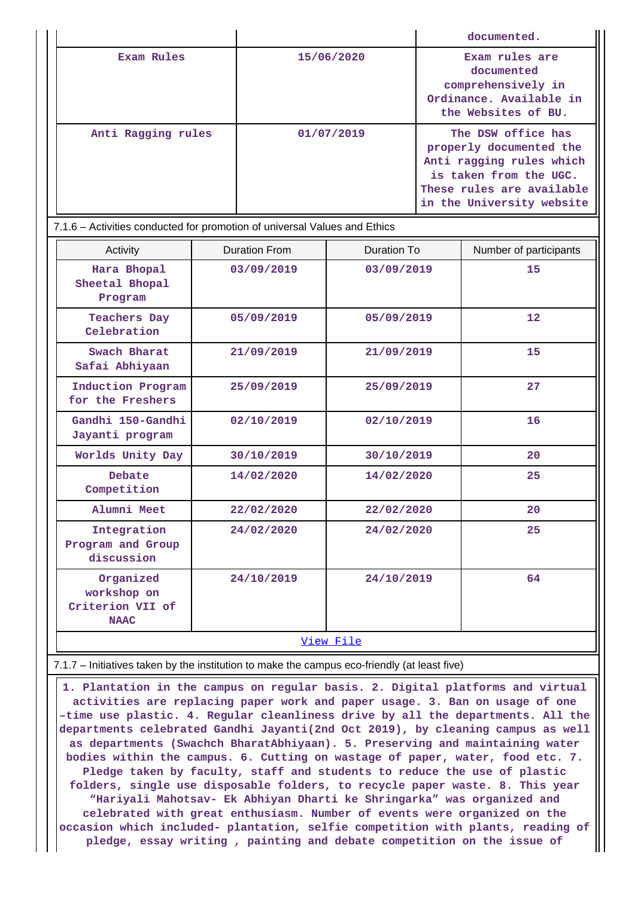|                    |            | documented.                                                                                                                                                   |
|--------------------|------------|---------------------------------------------------------------------------------------------------------------------------------------------------------------|
| Exam Rules         | 15/06/2020 | Exam rules are<br>documented<br>comprehensively in<br>Ordinance. Available in<br>the Websites of BU.                                                          |
| Anti Ragging rules | 01/07/2019 | The DSW office has<br>properly documented the<br>Anti ragging rules which<br>is taken from the UGC.<br>These rules are available<br>in the University website |

| 7.1.6 – Activities conducted for promotion of universal Values and Ethics |                      |             |                        |  |  |  |
|---------------------------------------------------------------------------|----------------------|-------------|------------------------|--|--|--|
| Activity                                                                  | <b>Duration From</b> | Duration To | Number of participants |  |  |  |
| Hara Bhopal<br>Sheetal Bhopal<br>Program                                  | 03/09/2019           | 03/09/2019  | 15                     |  |  |  |
| <b>Teachers Day</b><br>Celebration                                        | 05/09/2019           | 05/09/2019  | 12                     |  |  |  |
| Swach Bharat<br>Safai Abhiyaan                                            | 21/09/2019           | 21/09/2019  | 15                     |  |  |  |
| Induction Program<br>for the Freshers                                     | 25/09/2019           | 25/09/2019  | 27                     |  |  |  |
| Gandhi 150-Gandhi<br>Jayanti program                                      | 02/10/2019           | 02/10/2019  | 16                     |  |  |  |
| Worlds Unity Day                                                          | 30/10/2019           | 30/10/2019  | 20                     |  |  |  |
| Debate<br>Competition                                                     | 14/02/2020           | 14/02/2020  | 25                     |  |  |  |
| Alumni Meet                                                               | 22/02/2020           | 22/02/2020  | 20                     |  |  |  |
| Integration<br>Program and Group<br>discussion                            | 24/02/2020           | 24/02/2020  | 25                     |  |  |  |
| Organized<br>workshop on<br>Criterion VII of<br><b>NAAC</b>               | 24/10/2019           | 24/10/2019  | 64                     |  |  |  |
| View File                                                                 |                      |             |                        |  |  |  |

#### 7.1.7 – Initiatives taken by the institution to make the campus eco-friendly (at least five)

 **1. Plantation in the campus on regular basis. 2. Digital platforms and virtual activities are replacing paper work and paper usage. 3. Ban on usage of one –time use plastic. 4. Regular cleanliness drive by all the departments. All the departments celebrated Gandhi Jayanti(2nd Oct 2019), by cleaning campus as well as departments (Swachch BharatAbhiyaan). 5. Preserving and maintaining water bodies within the campus. 6. Cutting on wastage of paper, water, food etc. 7. Pledge taken by faculty, staff and students to reduce the use of plastic folders, single use disposable folders, to recycle paper waste. 8. This year "Hariyali Mahotsav- Ek Abhiyan Dharti ke Shringarka" was organized and celebrated with great enthusiasm. Number of events were organized on the occasion which included- plantation, selfie competition with plants, reading of pledge, essay writing , painting and debate competition on the issue of**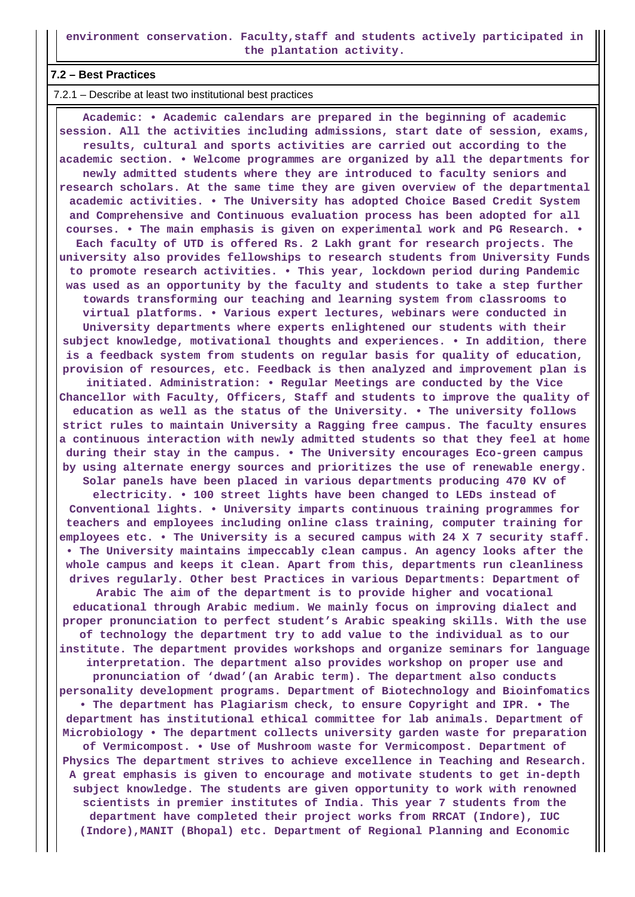**environment conservation. Faculty,staff and students actively participated in the plantation activity.**

#### **7.2 – Best Practices**

7.2.1 – Describe at least two institutional best practices

 **Academic: • Academic calendars are prepared in the beginning of academic session. All the activities including admissions, start date of session, exams, results, cultural and sports activities are carried out according to the academic section. • Welcome programmes are organized by all the departments for newly admitted students where they are introduced to faculty seniors and research scholars. At the same time they are given overview of the departmental academic activities. • The University has adopted Choice Based Credit System and Comprehensive and Continuous evaluation process has been adopted for all courses. • The main emphasis is given on experimental work and PG Research. • Each faculty of UTD is offered Rs. 2 Lakh grant for research projects. The university also provides fellowships to research students from University Funds to promote research activities. • This year, lockdown period during Pandemic was used as an opportunity by the faculty and students to take a step further towards transforming our teaching and learning system from classrooms to virtual platforms. • Various expert lectures, webinars were conducted in University departments where experts enlightened our students with their subject knowledge, motivational thoughts and experiences. • In addition, there is a feedback system from students on regular basis for quality of education, provision of resources, etc. Feedback is then analyzed and improvement plan is initiated. Administration: • Regular Meetings are conducted by the Vice Chancellor with Faculty, Officers, Staff and students to improve the quality of education as well as the status of the University. • The university follows strict rules to maintain University a Ragging free campus. The faculty ensures a continuous interaction with newly admitted students so that they feel at home during their stay in the campus. • The University encourages Eco-green campus by using alternate energy sources and prioritizes the use of renewable energy. Solar panels have been placed in various departments producing 470 KV of electricity. • 100 street lights have been changed to LEDs instead of Conventional lights. • University imparts continuous training programmes for teachers and employees including online class training, computer training for employees etc. • The University is a secured campus with 24 X 7 security staff. • The University maintains impeccably clean campus. An agency looks after the whole campus and keeps it clean. Apart from this, departments run cleanliness drives regularly. Other best Practices in various Departments: Department of Arabic The aim of the department is to provide higher and vocational educational through Arabic medium. We mainly focus on improving dialect and proper pronunciation to perfect student's Arabic speaking skills. With the use of technology the department try to add value to the individual as to our institute. The department provides workshops and organize seminars for language interpretation. The department also provides workshop on proper use and pronunciation of 'dwad'(an Arabic term). The department also conducts personality development programs. Department of Biotechnology and Bioinfomatics • The department has Plagiarism check, to ensure Copyright and IPR. • The department has institutional ethical committee for lab animals. Department of Microbiology • The department collects university garden waste for preparation of Vermicompost. • Use of Mushroom waste for Vermicompost. Department of Physics The department strives to achieve excellence in Teaching and Research. A great emphasis is given to encourage and motivate students to get in-depth subject knowledge. The students are given opportunity to work with renowned scientists in premier institutes of India. This year 7 students from the department have completed their project works from RRCAT (Indore), IUC (Indore),MANIT (Bhopal) etc. Department of Regional Planning and Economic**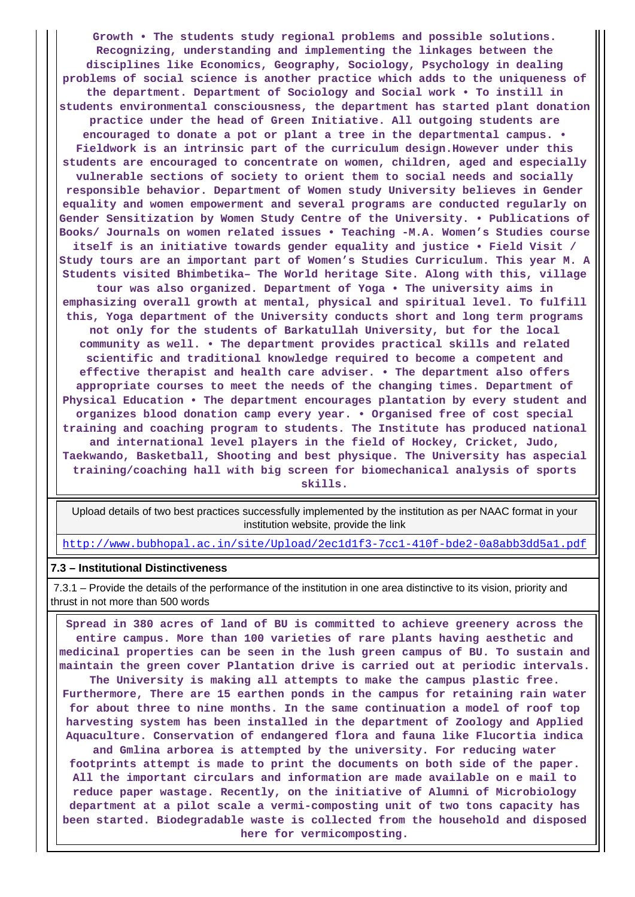**Growth • The students study regional problems and possible solutions. Recognizing, understanding and implementing the linkages between the disciplines like Economics, Geography, Sociology, Psychology in dealing problems of social science is another practice which adds to the uniqueness of the department. Department of Sociology and Social work • To instill in students environmental consciousness, the department has started plant donation practice under the head of Green Initiative. All outgoing students are encouraged to donate a pot or plant a tree in the departmental campus. • Fieldwork is an intrinsic part of the curriculum design.However under this students are encouraged to concentrate on women, children, aged and especially vulnerable sections of society to orient them to social needs and socially responsible behavior. Department of Women study University believes in Gender equality and women empowerment and several programs are conducted regularly on Gender Sensitization by Women Study Centre of the University. • Publications of Books/ Journals on women related issues • Teaching -M.A. Women's Studies course itself is an initiative towards gender equality and justice • Field Visit / Study tours are an important part of Women's Studies Curriculum. This year M. A Students visited Bhimbetika– The World heritage Site. Along with this, village tour was also organized. Department of Yoga • The university aims in emphasizing overall growth at mental, physical and spiritual level. To fulfill this, Yoga department of the University conducts short and long term programs not only for the students of Barkatullah University, but for the local community as well. • The department provides practical skills and related scientific and traditional knowledge required to become a competent and effective therapist and health care adviser. • The department also offers appropriate courses to meet the needs of the changing times. Department of Physical Education • The department encourages plantation by every student and organizes blood donation camp every year. • Organised free of cost special training and coaching program to students. The Institute has produced national and international level players in the field of Hockey, Cricket, Judo, Taekwando, Basketball, Shooting and best physique. The University has aspecial training/coaching hall with big screen for biomechanical analysis of sports skills.**

 Upload details of two best practices successfully implemented by the institution as per NAAC format in your institution website, provide the link

<http://www.bubhopal.ac.in/site/Upload/2ec1d1f3-7cc1-410f-bde2-0a8abb3dd5a1.pdf>

#### **7.3 – Institutional Distinctiveness**

 7.3.1 – Provide the details of the performance of the institution in one area distinctive to its vision, priority and thrust in not more than 500 words

 **Spread in 380 acres of land of BU is committed to achieve greenery across the entire campus. More than 100 varieties of rare plants having aesthetic and medicinal properties can be seen in the lush green campus of BU. To sustain and maintain the green cover Plantation drive is carried out at periodic intervals. The University is making all attempts to make the campus plastic free. Furthermore, There are 15 earthen ponds in the campus for retaining rain water for about three to nine months. In the same continuation a model of roof top harvesting system has been installed in the department of Zoology and Applied Aquaculture. Conservation of endangered flora and fauna like Flucortia indica and Gmlina arborea is attempted by the university. For reducing water footprints attempt is made to print the documents on both side of the paper. All the important circulars and information are made available on e mail to reduce paper wastage. Recently, on the initiative of Alumni of Microbiology department at a pilot scale a vermi-composting unit of two tons capacity has been started. Biodegradable waste is collected from the household and disposed here for vermicomposting.**